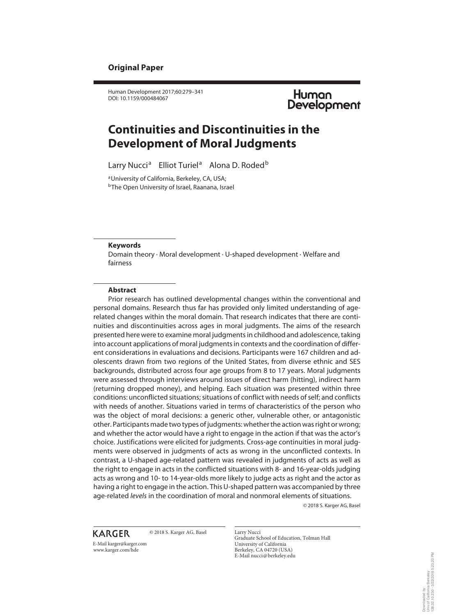Human Development 2017;60:279–341 DOI: 10.1159/000484067

# Human<br>Development

## **Continuities and Discontinuities in the Development of Moral Judgments**

Larry Nucci<sup>a</sup> Elliot Turiel<sup>a</sup> Alona D. Roded<sup>b</sup>

<sup>a</sup> University of California, Berkeley, CA, USA; b The Open University of Israel, Raanana, Israel

#### **Keywords**

 Domain theory · Moral development · U-shaped development · Welfare and fairness

#### **Abstract**

 Prior research has outlined developmental changes within the conventional and personal domains. Research thus far has provided only limited understanding of agerelated changes within the moral domain. That research indicates that there are continuities and discontinuities across ages in moral judgments. The aims of the research presented here were to examine moral judgments in childhood and adolescence, taking into account applications of moral judgments in contexts and the coordination of different considerations in evaluations and decisions. Participants were 167 children and adolescents drawn from two regions of the United States, from diverse ethnic and SES backgrounds, distributed across four age groups from 8 to 17 years. Moral judgments were assessed through interviews around issues of direct harm (hitting), indirect harm (returning dropped money), and helping. Each situation was presented within three conditions: unconflicted situations; situations of conflict with needs of self; and conflicts with needs of another. Situations varied in terms of characteristics of the person who was the object of moral decisions: a generic other, vulnerable other, or antagonistic other. Participants made two types of judgments: whether the action was right or wrong; and whether the actor would have a right to engage in the action if that was the actor's choice. Justifications were elicited for judgments. Cross-age continuities in moral judgments were observed in judgments of acts as wrong in the unconflicted contexts. In contrast, a U-shaped age-related pattern was revealed in judgments of acts as well as the right to engage in acts in the conflicted situations with 8- and 16-year-olds judging acts as wrong and 10- to 14-year-olds more likely to judge acts as right and the actor as having a right to engage in the action. This U-shaped pattern was accompanied by three age-related *levels* in the coordination of moral and nonmoral elements of situations.

© 2018 S. Karger AG, Basel

 © 2018 S. Karger AG, Basel **KARGER** E-Mail karger@karger.com www.karger.com/hde

 Larry Nucci Graduate School of Education, Tolman Hall University of California Berkeley, CA 04720 (USA) E-Mail nucci @ berkeley.edu

Jniv.of California Berkeley<br>28.32.10.230 - 3/22/2018 5:23:20 PM 128.32.10.230 - 3/22/2018 5:23:20 PMUniv.of California Berkeley Downloaded by: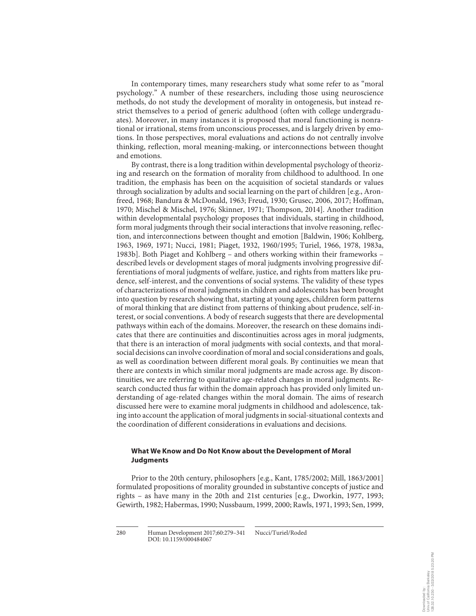In contemporary times, many researchers study what some refer to as "moral psychology." A number of these researchers, including those using neuroscience methods, do not study the development of morality in ontogenesis, but instead restrict themselves to a period of generic adulthood (often with college undergraduates). Moreover, in many instances it is proposed that moral functioning is nonrational or irrational, stems from unconscious processes, and is largely driven by emotions. In those perspectives, moral evaluations and actions do not centrally involve thinking, reflection, moral meaning-making, or interconnections between thought and emotions.

 By contrast, there is a long tradition within developmental psychology of theorizing and research on the formation of morality from childhood to adulthood. In one tradition, the emphasis has been on the acquisition of societal standards or values through socialization by adults and social learning on the part of children [e.g., Aronfreed, 1968; Bandura & McDonald, 1963; Freud, 1930; Grusec, 2006, 2017; Hoffman, 1970; Mischel & Mischel, 1976; Skinner, 1971; Thompson, 2014]. Another tradition within developmentalal psychology proposes that individuals, starting in childhood, form moral judgments through their social interactions that involve reasoning, reflection, and interconnections between thought and emotion [Baldwin, 1906; Kohlberg, 1963, 1969, 1971; Nucci, 1981; Piaget, 1932, 1960/1995; Turiel, 1966, 1978, 1983a, 1983b]. Both Piaget and Kohlberg – and others working within their frameworks – described levels or development stages of moral judgments involving progressive differentiations of moral judgments of welfare, justice, and rights from matters like prudence, self-interest, and the conventions of social systems. The validity of these types of characterizations of moral judgments in children and adolescents has been brought into question by research showing that, starting at young ages, children form patterns of moral thinking that are distinct from patterns of thinking about prudence, self-interest, or social conventions. A body of research suggests that there are developmental pathways within each of the domains. Moreover, the research on these domains indicates that there are continuities and discontinuities across ages in moral judgments, that there is an interaction of moral judgments with social contexts, and that moralsocial decisions can involve coordination of moral and social considerations and goals, as well as coordination between different moral goals. By continuities we mean that there are contexts in which similar moral judgments are made across age. By discontinuities, we are referring to qualitative age-related changes in moral judgments. Research conducted thus far within the domain approach has provided only limited understanding of age-related changes within the moral domain. The aims of research discussed here were to examine moral judgments in childhood and adolescence, taking into account the application of moral judgments in social-situational contexts and the coordination of different considerations in evaluations and decisions.

## **What We Know and Do Not Know about the Development of Moral Judgments**

 Prior to the 20th century, philosophers [e.g., Kant, 1785/2002; Mill, 1863/2001] formulated propositions of morality grounded in substantive concepts of justice and rights – as have many in the 20th and 21st centuries [e.g., Dworkin, 1977, 1993; Gewirth, 1982; Habermas, 1990; Nussbaum, 1999, 2000; Rawls, 1971, 1993; Sen, 1999,

Human Development 2017;60:279–341 280 Nucci/Turiel/Roded DOI: 10.1159/000484067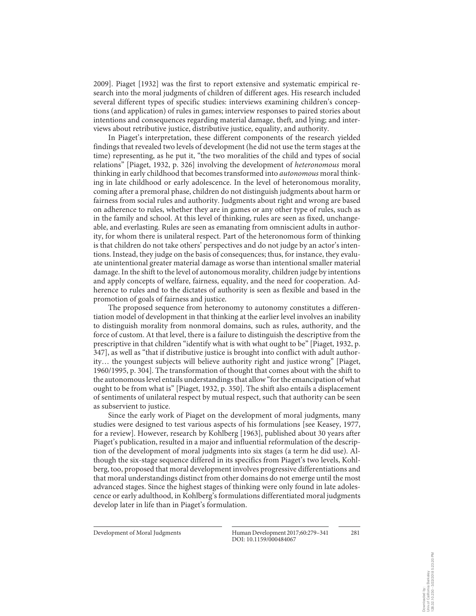2009]. Piaget [1932] was the first to report extensive and systematic empirical research into the moral judgments of children of different ages. His research included several different types of specific studies: interviews examining children's conceptions (and application) of rules in games; interview responses to paired stories about intentions and consequences regarding material damage, theft, and lying; and interviews about retributive justice, distributive justice, equality, and authority.

 In Piaget's interpretation, these different components of the research yielded findings that revealed two levels of development (he did not use the term stages at the time) representing, as he put it, "the two moralities of the child and types of social relations" [Piaget, 1932, p. 326] involving the development of *heteronomous* moral thinking in early childhood that becomes transformed into *autonomous* moral thinking in late childhood or early adolescence. In the level of heteronomous morality, coming after a premoral phase, children do not distinguish judgments about harm or fairness from social rules and authority. Judgments about right and wrong are based on adherence to rules, whether they are in games or any other type of rules, such as in the family and school. At this level of thinking, rules are seen as fixed, unchangeable, and everlasting. Rules are seen as emanating from omniscient adults in authority, for whom there is unilateral respect. Part of the heteronomous form of thinking is that children do not take others' perspectives and do not judge by an actor's intentions. Instead, they judge on the basis of consequences; thus, for instance, they evaluate unintentional greater material damage as worse than intentional smaller material damage. In the shift to the level of autonomous morality, children judge by intentions and apply concepts of welfare, fairness, equality, and the need for cooperation. Adherence to rules and to the dictates of authority is seen as flexible and based in the promotion of goals of fairness and justice.

 The proposed sequence from heteronomy to autonomy constitutes a differentiation model of development in that thinking at the earlier level involves an inability to distinguish morality from nonmoral domains, such as rules, authority, and the force of custom. At that level, there is a failure to distinguish the descriptive from the prescriptive in that children "identify what is with what ought to be" [Piaget, 1932, p. 347], as well as "that if distributive justice is brought into conflict with adult authority… the youngest subjects will believe authority right and justice wrong" [Piaget, 1960/1995, p. 304]. The transformation of thought that comes about with the shift to the autonomous level entails understandings that allow "for the emancipation of what ought to be from what is" [Piaget, 1932, p. 350]. The shift also entails a displacement of sentiments of unilateral respect by mutual respect, such that authority can be seen as subservient to justice.

 Since the early work of Piaget on the development of moral judgments, many studies were designed to test various aspects of his formulations [see Keasey, 1977, for a review]. However, research by Kohlberg [1963], published about 30 years after Piaget's publication, resulted in a major and influential reformulation of the description of the development of moral judgments into six stages (a term he did use). Although the six-stage sequence differed in its specifics from Piaget's two levels, Kohlberg, too, proposed that moral development involves progressive differentiations and that moral understandings distinct from other domains do not emerge until the most advanced stages. Since the highest stages of thinking were only found in late adolescence or early adulthood, in Kohlberg's formulations differentiated moral judgments develop later in life than in Piaget's formulation.

 Development of Moral Judgments Human Development 2017;60:279–341 281 DOI: 10.1159/000484067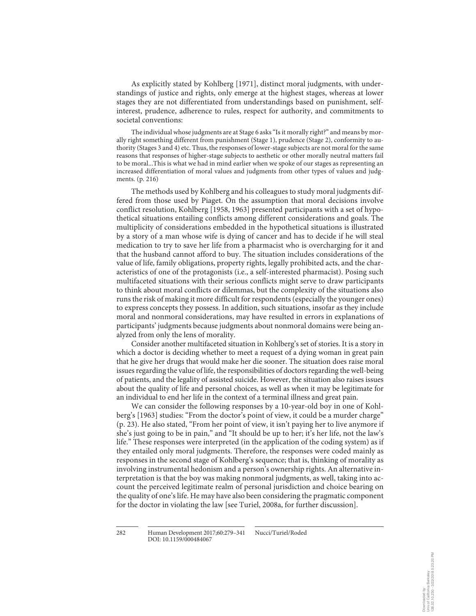As explicitly stated by Kohlberg [1971], distinct moral judgments, with understandings of justice and rights, only emerge at the highest stages, whereas at lower stages they are not differentiated from understandings based on punishment, selfinterest, prudence, adherence to rules, respect for authority, and commitments to societal conventions:

 The individual whose judgments are at Stage 6 asks "Is it morally right?" and means by morally right something different from punishment (Stage 1), prudence (Stage 2), conformity to authority (Stages 3 and 4) etc. Thus, the responses of lower-stage subjects are not moral for the same reasons that responses of higher-stage subjects to aesthetic or other morally neutral matters fail to be moral...This is what we had in mind earlier when we spoke of our stages as representing an increased differentiation of moral values and judgments from other types of values and judgments. (p. 216)

 The methods used by Kohlberg and his colleagues to study moral judgments differed from those used by Piaget. On the assumption that moral decisions involve conflict resolution, Kohlberg [1958, 1963] presented participants with a set of hypothetical situations entailing conflicts among different considerations and goals. The multiplicity of considerations embedded in the hypothetical situations is illustrated by a story of a man whose wife is dying of cancer and has to decide if he will steal medication to try to save her life from a pharmacist who is overcharging for it and that the husband cannot afford to buy. The situation includes considerations of the value of life, family obligations, property rights, legally prohibited acts, and the characteristics of one of the protagonists (i.e., a self-interested pharmacist). Posing such multifaceted situations with their serious conflicts might serve to draw participants to think about moral conflicts or dilemmas, but the complexity of the situations also runs the risk of making it more difficult for respondents (especially the younger ones) to express concepts they possess. In addition, such situations, insofar as they include moral and nonmoral considerations, may have resulted in errors in explanations of participants' judgments because judgments about nonmoral domains were being analyzed from only the lens of morality.

 Consider another multifaceted situation in Kohlberg's set of stories. It is a story in which a doctor is deciding whether to meet a request of a dying woman in great pain that he give her drugs that would make her die sooner. The situation does raise moral issues regarding the value of life, the responsibilities of doctors regarding the well-being of patients, and the legality of assisted suicide. However, the situation also raises issues about the quality of life and personal choices, as well as when it may be legitimate for an individual to end her life in the context of a terminal illness and great pain.

 We can consider the following responses by a 10-year-old boy in one of Kohlberg's [1963] studies: "From the doctor's point of view, it could be a murder charge" (p. 23). He also stated, "From her point of view, it isn't paying her to live anymore if she's just going to be in pain," and "It should be up to her; it's her life, not the law's life." These responses were interpreted (in the application of the coding system) as if they entailed only moral judgments. Therefore, the responses were coded mainly as responses in the second stage of Kohlberg's sequence; that is, thinking of morality as involving instrumental hedonism and a person's ownership rights. An alternative interpretation is that the boy was making nonmoral judgments, as well, taking into account the perceived legitimate realm of personal jurisdiction and choice bearing on the quality of one's life. He may have also been considering the pragmatic component for the doctor in violating the law [see Turiel, 2008a, for further discussion].

 Human Development 2017;60:279–341 282 Nucci/Turiel/Roded DOI: 10.1159/000484067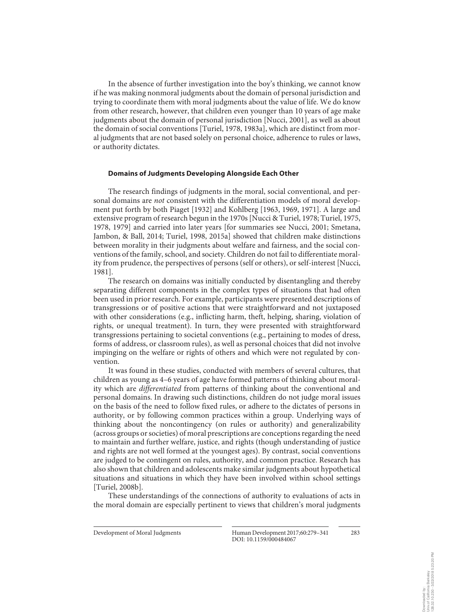In the absence of further investigation into the boy's thinking, we cannot know if he was making nonmoral judgments about the domain of personal jurisdiction and trying to coordinate them with moral judgments about the value of life. We do know from other research, however, that children even younger than 10 years of age make judgments about the domain of personal jurisdiction [Nucci, 2001], as well as about the domain of social conventions [Turiel, 1978, 1983a], which are distinct from moral judgments that are not based solely on personal choice, adherence to rules or laws, or authority dictates.

#### **Domains of Judgments Developing Alongside Each Other**

 The research findings of judgments in the moral, social conventional, and personal domains are *not* consistent with the differentiation models of moral development put forth by both Piaget [1932] and Kohlberg [1963, 1969, 1971]. A large and extensive program of research begun in the 1970s [Nucci & Turiel, 1978; Turiel, 1975, 1978, 1979] and carried into later years [for summaries see Nucci, 2001; Smetana, Jambon, & Ball, 2014; Turiel, 1998, 2015a] showed that children make distinctions between morality in their judgments about welfare and fairness, and the social conventions of the family, school, and society. Children do not fail to differentiate morality from prudence, the perspectives of persons (self or others), or self-interest [Nucci, 1981].

 The research on domains was initially conducted by disentangling and thereby separating different components in the complex types of situations that had often been used in prior research. For example, participants were presented descriptions of transgressions or of positive actions that were straightforward and not juxtaposed with other considerations (e.g., inflicting harm, theft, helping, sharing, violation of rights, or unequal treatment). In turn, they were presented with straightforward transgressions pertaining to societal conventions (e.g., pertaining to modes of dress, forms of address, or classroom rules), as well as personal choices that did not involve impinging on the welfare or rights of others and which were not regulated by convention.

 It was found in these studies, conducted with members of several cultures, that children as young as 4–6 years of age have formed patterns of thinking about morality which are *differentiated* from patterns of thinking about the conventional and personal domains. In drawing such distinctions, children do not judge moral issues on the basis of the need to follow fixed rules, or adhere to the dictates of persons in authority, or by following common practices within a group. Underlying ways of thinking about the noncontingency (on rules or authority) and generalizability (across groups or societies) of moral prescriptions are conceptions regarding the need to maintain and further welfare, justice, and rights (though understanding of justice and rights are not well formed at the youngest ages). By contrast, social conventions are judged to be contingent on rules, authority, and common practice. Research has also shown that children and adolescents make similar judgments about hypothetical situations and situations in which they have been involved within school settings [Turiel, 2008b].

 These understandings of the connections of authority to evaluations of acts in the moral domain are especially pertinent to views that children's moral judgments

 Development of Moral Judgments Human Development 2017;60:279–341 283 DOI: 10.1159/000484067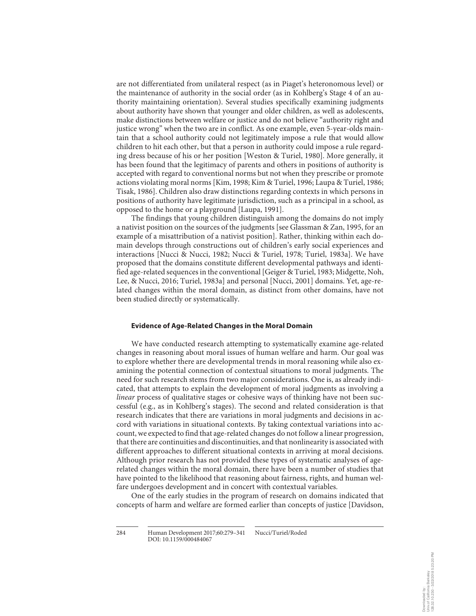are not differentiated from unilateral respect (as in Piaget's heteronomous level) or the maintenance of authority in the social order (as in Kohlberg's Stage 4 of an authority maintaining orientation). Several studies specifically examining judgments about authority have shown that younger and older children, as well as adolescents, make distinctions between welfare or justice and do not believe "authority right and justice wrong" when the two are in conflict. As one example, even 5-year-olds maintain that a school authority could not legitimately impose a rule that would allow children to hit each other, but that a person in authority could impose a rule regarding dress because of his or her position [Weston & Turiel, 1980]. More generally, it has been found that the legitimacy of parents and others in positions of authority is accepted with regard to conventional norms but not when they prescribe or promote actions violating moral norms [Kim, 1998; Kim & Turiel, 1996; Laupa & Turiel, 1986; Tisak, 1986]. Children also draw distinctions regarding contexts in which persons in positions of authority have legitimate jurisdiction, such as a principal in a school, as opposed to the home or a playground [Laupa, 1991].

 The findings that young children distinguish among the domains do not imply a nativist position on the sources of the judgments [see Glassman & Zan, 1995, for an example of a misattribution of a nativist position]. Rather, thinking within each domain develops through constructions out of children's early social experiences and interactions [Nucci & Nucci, 1982; Nucci & Turiel, 1978; Turiel, 1983a]. We have proposed that the domains constitute different developmental pathways and identified age-related sequences in the conventional [Geiger & Turiel, 1983; Midgette, Noh, Lee, & Nucci, 2016; Turiel, 1983a] and personal [Nucci, 2001] domains. Yet, age-related changes within the moral domain, as distinct from other domains, have not been studied directly or systematically.

#### **Evidence of Age-Related Changes in the Moral Domain**

 We have conducted research attempting to systematically examine age-related changes in reasoning about moral issues of human welfare and harm. Our goal was to explore whether there are developmental trends in moral reasoning while also examining the potential connection of contextual situations to moral judgments. The need for such research stems from two major considerations. One is, as already indicated, that attempts to explain the development of moral judgments as involving a *linear* process of qualitative stages or cohesive ways of thinking have not been successful (e.g., as in Kohlberg's stages). The second and related consideration is that research indicates that there are variations in moral judgments and decisions in accord with variations in situational contexts. By taking contextual variations into account, we expected to find that age-related changes do not follow a linear progression, that there are continuities and discontinuities, and that nonlinearity is associated with different approaches to different situational contexts in arriving at moral decisions. Although prior research has not provided these types of systematic analyses of agerelated changes within the moral domain, there have been a number of studies that have pointed to the likelihood that reasoning about fairness, rights, and human welfare undergoes development and in concert with contextual variables.

 One of the early studies in the program of research on domains indicated that concepts of harm and welfare are formed earlier than concepts of justice [Davidson,

Human Development 2017;60:279–341 284 Nucci/Turiel/Roded DOI: 10.1159/000484067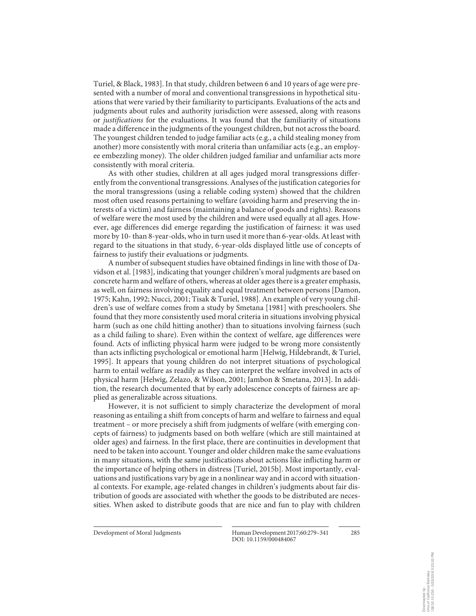Turiel, & Black, 1983]. In that study, children between 6 and 10 years of age were presented with a number of moral and conventional transgressions in hypothetical situations that were varied by their familiarity to participants. Evaluations of the acts and judgments about rules and authority jurisdiction were assessed, along with reasons or *justifications* for the evaluations. It was found that the familiarity of situations made a difference in the judgments of the youngest children, but not across the board. The youngest children tended to judge familiar acts (e.g., a child stealing money from another) more consistently with moral criteria than unfamiliar acts (e.g., an employee embezzling money). The older children judged familiar and unfamiliar acts more consistently with moral criteria.

 As with other studies, children at all ages judged moral transgressions differently from the conventional transgressions. Analyses of the justification categories for the moral transgressions (using a reliable coding system) showed that the children most often used reasons pertaining to welfare (avoiding harm and preserving the interests of a victim) and fairness (maintaining a balance of goods and rights). Reasons of welfare were the most used by the children and were used equally at all ages. However, age differences did emerge regarding the justification of fairness: it was used more by 10- than 8-year-olds, who in turn used it more than 6-year-olds. At least with regard to the situations in that study, 6-year-olds displayed little use of concepts of fairness to justify their evaluations or judgments.

 A number of subsequent studies have obtained findings in line with those of Davidson et al. [1983], indicating that younger children's moral judgments are based on concrete harm and welfare of others, whereas at older ages there is a greater emphasis, as well, on fairness involving equality and equal treatment between persons [Damon, 1975; Kahn, 1992; Nucci, 2001; Tisak & Turiel, 1988]. An example of very young children's use of welfare comes from a study by Smetana [1981] with preschoolers. She found that they more consistently used moral criteria in situations involving physical harm (such as one child hitting another) than to situations involving fairness (such as a child failing to share). Even within the context of welfare, age differences were found. Acts of inflicting physical harm were judged to be wrong more consistently than acts inflicting psychological or emotional harm [Helwig, Hildebrandt, & Turiel, 1995]. It appears that young children do not interpret situations of psychological harm to entail welfare as readily as they can interpret the welfare involved in acts of physical harm [Helwig, Zelazo, & Wilson, 2001; Jambon & Smetana, 2013]. In addition, the research documented that by early adolescence concepts of fairness are applied as generalizable across situations.

 However, it is not sufficient to simply characterize the development of moral reasoning as entailing a shift from concepts of harm and welfare to fairness and equal treatment – or more precisely a shift from judgments of welfare (with emerging concepts of fairness) to judgments based on both welfare (which are still maintained at older ages) and fairness. In the first place, there are continuities in development that need to be taken into account. Younger and older children make the same evaluations in many situations, with the same justifications about actions like inflicting harm or the importance of helping others in distress [Turiel, 2015b]. Most importantly, evaluations and justifications vary by age in a nonlinear way and in accord with situational contexts. For example, age-related changes in children's judgments about fair distribution of goods are associated with whether the goods to be distributed are necessities. When asked to distribute goods that are nice and fun to play with children

 Development of Moral Judgments Human Development 2017;60:279–341 285 DOI: 10.1159/000484067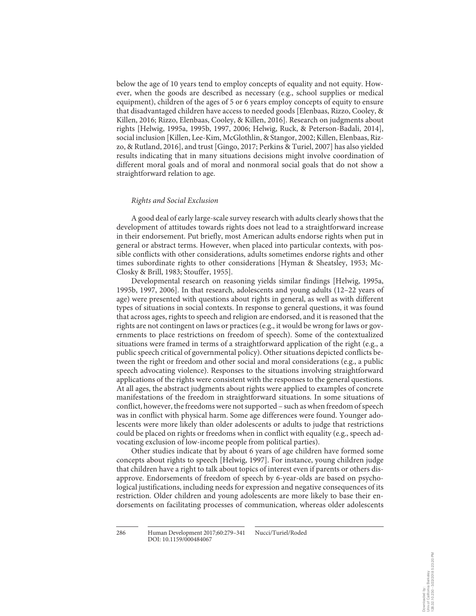below the age of 10 years tend to employ concepts of equality and not equity. However, when the goods are described as necessary (e.g., school supplies or medical equipment), children of the ages of 5 or 6 years employ concepts of equity to ensure that disadvantaged children have access to needed goods [Elenbaas, Rizzo, Cooley, & Killen, 2016; Rizzo, Elenbaas, Cooley, & Killen, 2016]. Research on judgments about rights [Helwig, 1995a, 1995b, 1997, 2006; Helwig, Ruck, & Peterson-Badali, 2014], social inclusion [Killen, Lee-Kim, McGlothlin, & Stangor, 2002; Killen, Elenbaas, Rizzo, & Rutland, 2016], and trust [Gingo, 2017; Perkins & Turiel, 2007] has also yielded results indicating that in many situations decisions might involve coordination of different moral goals and of moral and nonmoral social goals that do not show a straightforward relation to age.

#### *Rights and Social Exclusion*

 A good deal of early large-scale survey research with adults clearly shows that the development of attitudes towards rights does not lead to a straightforward increase in their endorsement. Put briefly, most American adults endorse rights when put in general or abstract terms. However, when placed into particular contexts, with possible conflicts with other considerations, adults sometimes endorse rights and other times subordinate rights to other considerations [Hyman & Sheatsley, 1953; Mc-Closky & Brill, 1983; Stouffer, 1955].

 Developmental research on reasoning yields similar findings [Helwig, 1995a, 1995b, 1997, 2006]. In that research, adolescents and young adults (12–22 years of age) were presented with questions about rights in general, as well as with different types of situations in social contexts. In response to general questions, it was found that across ages, rights to speech and religion are endorsed, and it is reasoned that the rights are not contingent on laws or practices (e.g., it would be wrong for laws or governments to place restrictions on freedom of speech). Some of the contextualized situations were framed in terms of a straightforward application of the right (e.g., a public speech critical of governmental policy). Other situations depicted conflicts between the right or freedom and other social and moral considerations (e.g., a public speech advocating violence). Responses to the situations involving straightforward applications of the rights were consistent with the responses to the general questions. At all ages, the abstract judgments about rights were applied to examples of concrete manifestations of the freedom in straightforward situations. In some situations of conflict, however, the freedoms were not supported – such as when freedom of speech was in conflict with physical harm. Some age differences were found. Younger adolescents were more likely than older adolescents or adults to judge that restrictions could be placed on rights or freedoms when in conflict with equality (e.g., speech advocating exclusion of low-income people from political parties).

 Other studies indicate that by about 6 years of age children have formed some concepts about rights to speech [Helwig, 1997]. For instance, young children judge that children have a right to talk about topics of interest even if parents or others disapprove. Endorsements of freedom of speech by 6-year-olds are based on psychological justifications, including needs for expression and negative consequences of its restriction. Older children and young adolescents are more likely to base their endorsements on facilitating processes of communication, whereas older adolescents

286 Human Development 2017;60:279–341 Nucci/Turiel/Roded DOI: 10.1159/000484067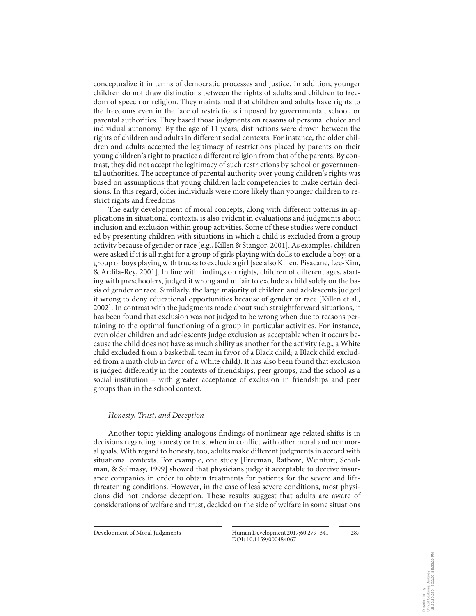conceptualize it in terms of democratic processes and justice. In addition, younger children do not draw distinctions between the rights of adults and children to freedom of speech or religion. They maintained that children and adults have rights to the freedoms even in the face of restrictions imposed by governmental, school, or parental authorities. They based those judgments on reasons of personal choice and individual autonomy. By the age of 11 years, distinctions were drawn between the rights of children and adults in different social contexts. For instance, the older children and adults accepted the legitimacy of restrictions placed by parents on their young children's right to practice a different religion from that of the parents. By contrast, they did not accept the legitimacy of such restrictions by school or governmental authorities. The acceptance of parental authority over young children's rights was based on assumptions that young children lack competencies to make certain decisions. In this regard, older individuals were more likely than younger children to restrict rights and freedoms.

 The early development of moral concepts, along with different patterns in applications in situational contexts, is also evident in evaluations and judgments about inclusion and exclusion within group activities. Some of these studies were conducted by presenting children with situations in which a child is excluded from a group activity because of gender or race [e.g., Killen & Stangor, 2001]. As examples, children were asked if it is all right for a group of girls playing with dolls to exclude a boy; or a group of boys playing with trucks to exclude a girl [see also Killen, Pisacane, Lee-Kim, & Ardila-Rey, 2001]. In line with findings on rights, children of different ages, starting with preschoolers, judged it wrong and unfair to exclude a child solely on the basis of gender or race. Similarly, the large majority of children and adolescents judged it wrong to deny educational opportunities because of gender or race [Killen et al., 2002]. In contrast with the judgments made about such straightforward situations, it has been found that exclusion was not judged to be wrong when due to reasons pertaining to the optimal functioning of a group in particular activities. For instance, even older children and adolescents judge exclusion as acceptable when it occurs because the child does not have as much ability as another for the activity (e.g., a White child excluded from a basketball team in favor of a Black child; a Black child excluded from a math club in favor of a White child). It has also been found that exclusion is judged differently in the contexts of friendships, peer groups, and the school as a social institution – with greater acceptance of exclusion in friendships and peer groups than in the school context.

#### *Honesty, Trust, and Deception*

 Another topic yielding analogous findings of nonlinear age-related shifts is in decisions regarding honesty or trust when in conflict with other moral and nonmoral goals. With regard to honesty, too, adults make different judgments in accord with situational contexts. For example, one study [Freeman, Rathore, Weinfurt, Schulman, & Sulmasy, 1999] showed that physicians judge it acceptable to deceive insurance companies in order to obtain treatments for patients for the severe and lifethreatening conditions. However, in the case of less severe conditions, most physicians did not endorse deception. These results suggest that adults are aware of considerations of welfare and trust, decided on the side of welfare in some situations

 Development of Moral Judgments Human Development 2017;60:279–341 287 DOI: 10.1159/000484067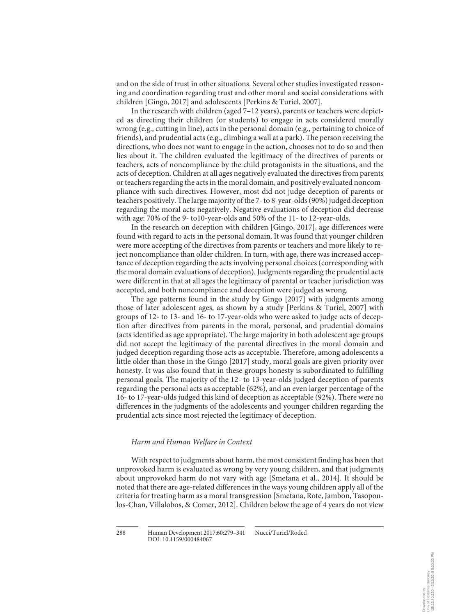and on the side of trust in other situations. Several other studies investigated reasoning and coordination regarding trust and other moral and social considerations with children [Gingo, 2017] and adolescents [Perkins & Turiel, 2007].

 In the research with children (aged 7–12 years), parents or teachers were depicted as directing their children (or students) to engage in acts considered morally wrong (e.g., cutting in line), acts in the personal domain (e.g., pertaining to choice of friends), and prudential acts (e.g., climbing a wall at a park). The person receiving the directions, who does not want to engage in the action, chooses not to do so and then lies about it. The children evaluated the legitimacy of the directives of parents or teachers, acts of noncompliance by the child protagonists in the situations, and the acts of deception. Children at all ages negatively evaluated the directives from parents or teachers regarding the acts in the moral domain, and positively evaluated noncompliance with such directives. However, most did not judge deception of parents or teachers positively. The large majority of the 7- to 8-year-olds (90%) judged deception regarding the moral acts negatively. Negative evaluations of deception did decrease with age: 70% of the 9- to10-year-olds and 50% of the 11- to 12-year-olds.

 In the research on deception with children [Gingo, 2017], age differences were found with regard to acts in the personal domain. It was found that younger children were more accepting of the directives from parents or teachers and more likely to reject noncompliance than older children. In turn, with age, there was increased acceptance of deception regarding the acts involving personal choices (corresponding with the moral domain evaluations of deception). Judgments regarding the prudential acts were different in that at all ages the legitimacy of parental or teacher jurisdiction was accepted, and both noncompliance and deception were judged as wrong.

 The age patterns found in the study by Gingo [2017] with judgments among those of later adolescent ages, as shown by a study [Perkins & Turiel, 2007] with groups of 12- to 13- and 16- to 17-year-olds who were asked to judge acts of deception after directives from parents in the moral, personal, and prudential domains (acts identified as age appropriate). The large majority in both adolescent age groups did not accept the legitimacy of the parental directives in the moral domain and judged deception regarding those acts as acceptable. Therefore, among adolescents a little older than those in the Gingo [2017] study, moral goals are given priority over honesty. It was also found that in these groups honesty is subordinated to fulfilling personal goals. The majority of the 12- to 13-year-olds judged deception of parents regarding the personal acts as acceptable (62%), and an even larger percentage of the 16- to 17-year-olds judged this kind of deception as acceptable (92%). There were no differences in the judgments of the adolescents and younger children regarding the prudential acts since most rejected the legitimacy of deception.

#### *Harm and Human Welfare in Context*

 With respect to judgments about harm, the most consistent finding has been that unprovoked harm is evaluated as wrong by very young children, and that judgments about unprovoked harm do not vary with age [Smetana et al., 2014]. It should be noted that there are age-related differences in the ways young children apply all of the criteria for treating harm as a moral transgression [Smetana, Rote, Jambon, Tasopoulos-Chan, Villalobos, & Comer, 2012]. Children below the age of 4 years do not view

Human Development 2017;60:279–341 288 Nucci/Turiel/Roded DOI: 10.1159/000484067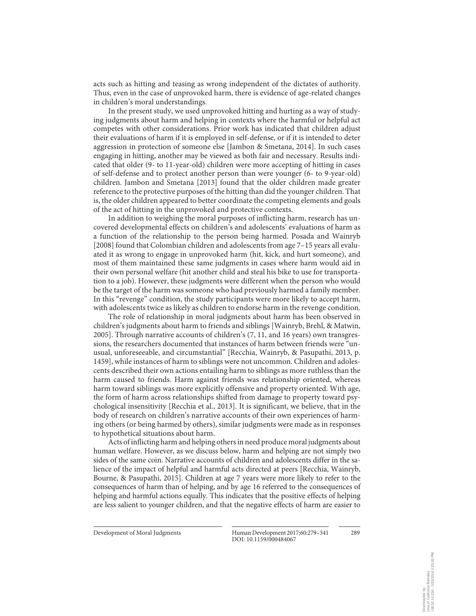acts such as hitting and teasing as wrong independent of the dictates of authority. Thus, even in the case of unprovoked harm, there is evidence of age-related changes in children's moral understandings.

 In the present study, we used unprovoked hitting and hurting as a way of studying judgments about harm and helping in contexts where the harmful or helpful act competes with other considerations. Prior work has indicated that children adjust their evaluations of harm if it is employed in self-defense, or if it is intended to deter aggression in protection of someone else [Jambon & Smetana, 2014]. In such cases engaging in hitting, another may be viewed as both fair and necessary. Results indicated that older (9- to 11-year-old) children were more accepting of hitting in cases of self-defense and to protect another person than were younger (6- to 9-year-old) children. Jambon and Smetana [2013] found that the older children made greater reference to the protective purposes of the hitting than did the younger children. That is, the older children appeared to better coordinate the competing elements and goals of the act of hitting in the unprovoked and protective contexts.

 In addition to weighing the moral purposes of inflicting harm, research has uncovered developmental effects on children's and adolescents' evaluations of harm as a function of the relationship to the person being harmed. Posada and Wainryb [2008] found that Colombian children and adolescents from age 7-15 years all evaluated it as wrong to engage in unprovoked harm (hit, kick, and hurt someone), and most of them maintained these same judgments in cases where harm would aid in their own personal welfare (hit another child and steal his bike to use for transportation to a job). However, these judgments were different when the person who would be the target of the harm was someone who had previously harmed a family member. In this "revenge" condition, the study participants were more likely to accept harm, with adolescents twice as likely as children to endorse harm in the revenge condition.

 The role of relationship in moral judgments about harm has been observed in children's judgments about harm to friends and siblings [Wainryb, Brehl, & Matwin, 2005]. Through narrative accounts of children's (7, 11, and 16 years) own transgressions, the researchers documented that instances of harm between friends were "unusual, unforeseeable, and circumstantial" [Recchia, Wainryb, & Pasupathi, 2013, p. 1459], while instances of harm to siblings were not uncommon. Children and adolescents described their own actions entailing harm to siblings as more ruthless than the harm caused to friends. Harm against friends was relationship oriented, whereas harm toward siblings was more explicitly offensive and property oriented. With age, the form of harm across relationships shifted from damage to property toward psychological insensitivity [Recchia et al., 2013]. It is significant, we believe, that in the body of research on children's narrative accounts of their own experiences of harming others (or being harmed by others), similar judgments were made as in responses to hypothetical situations about harm.

 Acts of inflicting harm and helping others in need produce moral judgments about human welfare. However, as we discuss below, harm and helping are not simply two sides of the same coin. Narrative accounts of children and adolescents differ in the salience of the impact of helpful and harmful acts directed at peers [Recchia, Wainryb, Bourne, & Pasupathi, 2015]. Children at age 7 years were more likely to refer to the consequences of harm than of helping, and by age 16 referred to the consequences of helping and harmful actions equally. This indicates that the positive effects of helping are less salient to younger children, and that the negative effects of harm are easier to

 Development of Moral Judgments Human Development 2017;60:279–341 289 DOI: 10.1159/000484067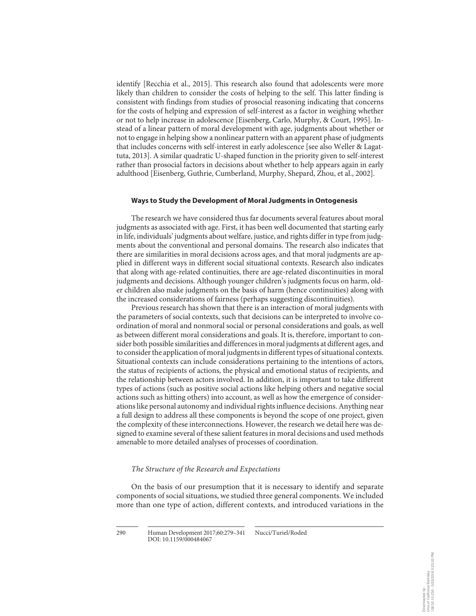identify [Recchia et al., 2015]. This research also found that adolescents were more likely than children to consider the costs of helping to the self. This latter finding is consistent with findings from studies of prosocial reasoning indicating that concerns for the costs of helping and expression of self-interest as a factor in weighing whether or not to help increase in adolescence [Eisenberg, Carlo, Murphy, & Court, 1995]. Instead of a linear pattern of moral development with age, judgments about whether or not to engage in helping show a nonlinear pattern with an apparent phase of judgments that includes concerns with self-interest in early adolescence [see also Weller & Lagattuta, 2013]. A similar quadratic U-shaped function in the priority given to self-interest rather than prosocial factors in decisions about whether to help appears again in early adulthood [Eisenberg, Guthrie, Cumberland, Murphy, Shepard, Zhou, et al., 2002].

#### **Ways to Study the Development of Moral Judgments in Ontogenesis**

 The research we have considered thus far documents several features about moral judgments as associated with age. First, it has been well documented that starting early in life, individuals' judgments about welfare, justice, and rights differ in type from judgments about the conventional and personal domains. The research also indicates that there are similarities in moral decisions across ages, and that moral judgments are applied in different ways in different social situational contexts. Research also indicates that along with age-related continuities, there are age-related discontinuities in moral judgments and decisions. Although younger children's judgments focus on harm, older children also make judgments on the basis of harm (hence continuities) along with the increased considerations of fairness (perhaps suggesting discontinuities).

 Previous research has shown that there is an interaction of moral judgments with the parameters of social contexts, such that decisions can be interpreted to involve coordination of moral and nonmoral social or personal considerations and goals, as well as between different moral considerations and goals. It is, therefore, important to consider both possible similarities and differences in moral judgments at different ages, and to consider the application of moral judgments in different types of situational contexts. Situational contexts can include considerations pertaining to the intentions of actors, the status of recipients of actions, the physical and emotional status of recipients, and the relationship between actors involved. In addition, it is important to take different types of actions (such as positive social actions like helping others and negative social actions such as hitting others) into account, as well as how the emergence of considerations like personal autonomy and individual rights influence decisions. Anything near a full design to address all these components is beyond the scope of one project, given the complexity of these interconnections. However, the research we detail here was designed to examine several of these salient features in moral decisions and used methods amenable to more detailed analyses of processes of coordination.

## *The Structure of the Research and Expectations*

 On the basis of our presumption that it is necessary to identify and separate components of social situations, we studied three general components. We included more than one type of action, different contexts, and introduced variations in the

 Human Development 2017;60:279–341 290 Nucci/Turiel/Roded DOI: 10.1159/000484067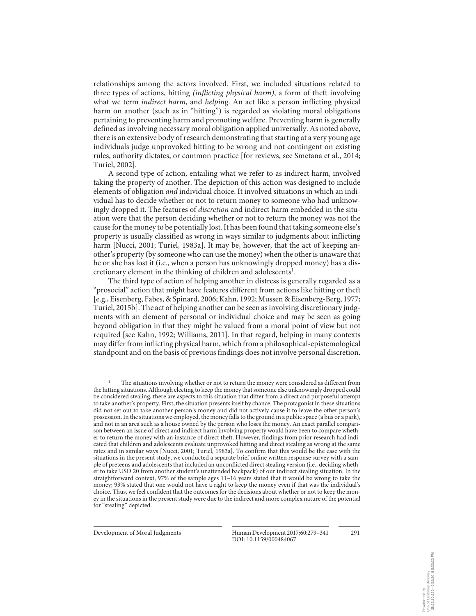relationships among the actors involved. First, we included situations related to three types of actions, hitting *(inflicting physical harm)* , a form of theft involving what we term *indirect harm*, and *helping*. An act like a person inflicting physical harm on another (such as in "hitting") is regarded as violating moral obligations pertaining to preventing harm and promoting welfare. Preventing harm is generally defined as involving necessary moral obligation applied universally. As noted above, there is an extensive body of research demonstrating that starting at a very young age individuals judge unprovoked hitting to be wrong and not contingent on existing rules, authority dictates, or common practice [for reviews, see Smetana et al., 2014; Turiel, 2002].

 A second type of action, entailing what we refer to as indirect harm, involved taking the property of another. The depiction of this action was designed to include elements of obligation *and* individual choice. It involved situations in which an individual has to decide whether or not to return money to someone who had unknowingly dropped it. The features of *discretion* and indirect harm embedded in the situation were that the person deciding whether or not to return the money was not the cause for the money to be potentially lost. It has been found that taking someone else's property is usually classified as wrong in ways similar to judgments about inflicting harm [Nucci, 2001; Turiel, 1983a]. It may be, however, that the act of keeping another's property (by someone who can use the money) when the other is unaware that he or she has lost it (i.e., when a person has unknowingly dropped money) has a discretionary element in the thinking of children and adolescents<sup>1</sup>.

 The third type of action of helping another in distress is generally regarded as a "prosocial" action that might have features different from actions like hitting or theft [e.g., Eisenberg, Fabes, & Spinard, 2006; Kahn, 1992; Mussen & Eisenberg-Berg, 1977; Turiel, 2015b]. The act of helping another can be seen as involving discretionary judgments with an element of personal or individual choice and may be seen as going beyond obligation in that they might be valued from a moral point of view but not required [see Kahn, 1992; Williams, 2011]. In that regard, helping in many contexts may differ from inflicting physical harm, which from a philosophical-epistemological standpoint and on the basis of previous findings does not involve personal discretion.

 Development of Moral Judgments Human Development 2017;60:279–341 291 DOI: 10.1159/000484067

<sup>1</sup> The situations involving whether or not to return the money were considered as different from the hitting situations. Although electing to keep the money that someone else unknowingly dropped could be considered stealing, there are aspects to this situation that differ from a direct and purposeful attempt to take another's property. First, the situation presents itself by chance. The protagonist in these situations did not set out to take another person's money and did not actively cause it to leave the other person's possession. In the situations we employed, the money falls to the ground in a public space (a bus or a park), and not in an area such as a house owned by the person who loses the money. An exact parallel comparison between an issue of direct and indirect harm involving property would have been to compare whether to return the money with an instance of direct theft. However, findings from prior research had indicated that children and adolescents evaluate unprovoked hitting and direct stealing as wrong at the same rates and in similar ways [Nucci, 2001; Turiel, 1983a]. To confirm that this would be the case with the situations in the present study, we conducted a separate brief online written response survey with a sample of preteens and adolescents that included an unconflicted direct stealing version (i.e., deciding whether to take USD 20 from another student's unattended backpack) of our indirect stealing situation. In the straightforward context, 97% of the sample ages 11–16 years stated that it would be wrong to take the money; 93% stated that one would not have a right to keep the money even if that was the individual's choice. Thus, we feel confident that the outcomes for the decisions about whether or not to keep the money in the situations in the present study were due to the indirect and more complex nature of the potential for "stealing" depicted.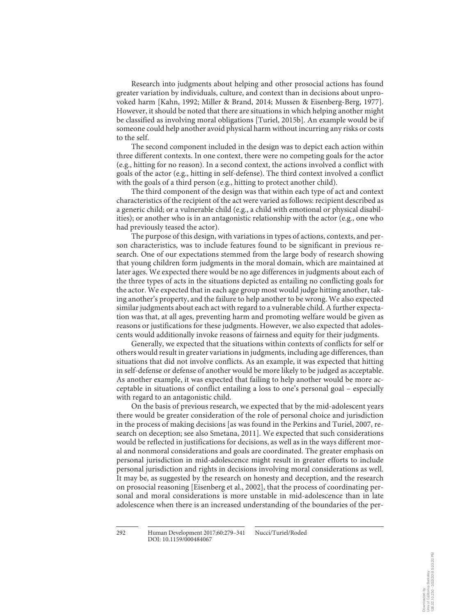Research into judgments about helping and other prosocial actions has found greater variation by individuals, culture, and context than in decisions about unprovoked harm [Kahn, 1992; Miller & Brand, 2014; Mussen & Eisenberg-Berg, 1977]. However, it should be noted that there are situations in which helping another might be classified as involving moral obligations [Turiel, 2015b]. An example would be if someone could help another avoid physical harm without incurring any risks or costs to the self.

 The second component included in the design was to depict each action within three different contexts. In one context, there were no competing goals for the actor (e.g., hitting for no reason). In a second context, the actions involved a conflict with goals of the actor (e.g., hitting in self-defense). The third context involved a conflict with the goals of a third person (e.g., hitting to protect another child).

 The third component of the design was that within each type of act and context characteristics of the recipient of the act were varied as follows: recipient described as a generic child; or a vulnerable child (e.g., a child with emotional or physical disabilities); or another who is in an antagonistic relationship with the actor (e.g., one who had previously teased the actor).

 The purpose of this design, with variations in types of actions, contexts, and person characteristics, was to include features found to be significant in previous research. One of our expectations stemmed from the large body of research showing that young children form judgments in the moral domain, which are maintained at later ages. We expected there would be no age differences in judgments about each of the three types of acts in the situations depicted as entailing no conflicting goals for the actor. We expected that in each age group most would judge hitting another, taking another's property, and the failure to help another to be wrong. We also expected similar judgments about each act with regard to a vulnerable child. A further expectation was that, at all ages, preventing harm and promoting welfare would be given as reasons or justifications for these judgments. However, we also expected that adolescents would additionally invoke reasons of fairness and equity for their judgments.

 Generally, we expected that the situations within contexts of conflicts for self or others would result in greater variations in judgments, including age differences, than situations that did not involve conflicts. As an example, it was expected that hitting in self-defense or defense of another would be more likely to be judged as acceptable. As another example, it was expected that failing to help another would be more acceptable in situations of conflict entailing a loss to one's personal goal – especially with regard to an antagonistic child.

 On the basis of previous research, we expected that by the mid-adolescent years there would be greater consideration of the role of personal choice and jurisdiction in the process of making decisions [as was found in the Perkins and Turiel, 2007, research on deception; see also Smetana, 2011]. We expected that such considerations would be reflected in justifications for decisions, as well as in the ways different moral and nonmoral considerations and goals are coordinated. The greater emphasis on personal jurisdiction in mid-adolescence might result in greater efforts to include personal jurisdiction and rights in decisions involving moral considerations as well. It may be, as suggested by the research on honesty and deception, and the research on prosocial reasoning [Eisenberg et al., 2002], that the process of coordinating personal and moral considerations is more unstable in mid-adolescence than in late adolescence when there is an increased understanding of the boundaries of the per-

 Human Development 2017;60:279–341 292 Nucci/Turiel/Roded DOI: 10.1159/000484067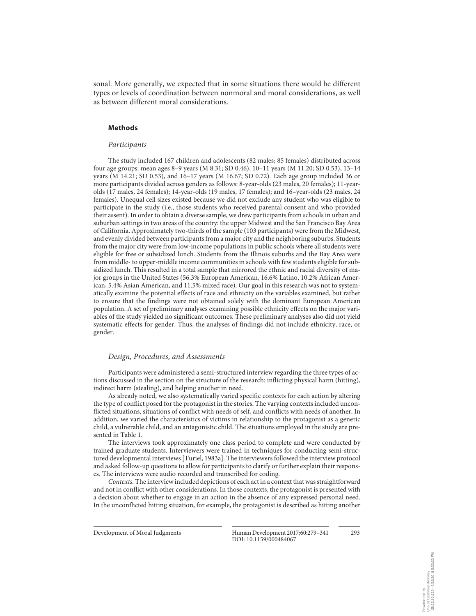sonal. More generally, we expected that in some situations there would be different types or levels of coordination between nonmoral and moral considerations, as well as between different moral considerations.

## **Methods**

#### *Participants*

 The study included 167 children and adolescents (82 males; 85 females) distributed across four age groups: mean ages 8–9 years (M 8.31; SD 0.46), 10–11 years (M 11.20; SD 0.53), 13–14 years (M 14.21; SD 0.53), and 16–17 years (M 16.67; SD 0.72). Each age group included 36 or more participants divided across genders as follows: 8-year-olds (23 males, 20 females); 11-yearolds (17 males, 24 females); 14-year-olds (19 males, 17 females); and 16–year-olds (23 males, 24 females). Unequal cell sizes existed because we did not exclude any student who was eligible to participate in the study (i.e., those students who received parental consent and who provided their assent). In order to obtain a diverse sample, we drew participants from schools in urban and suburban settings in two areas of the country: the upper Midwest and the San Francisco Bay Area of California. Approximately two-thirds of the sample (103 participants) were from the Midwest, and evenly divided between participants from a major city and the neighboring suburbs. Students from the major city were from low-income populations in public schools where all students were eligible for free or subsidized lunch. Students from the Illinois suburbs and the Bay Area were from middle- to upper-middle income communities in schools with few students eligible for subsidized lunch. This resulted in a total sample that mirrored the ethnic and racial diversity of major groups in the United States (56.3% European American, 16.6% Latino, 10.2% African American, 5.4% Asian American, and 11.5% mixed race). Our goal in this research was not to systematically examine the potential effects of race and ethnicity on the variables examined, but rather to ensure that the findings were not obtained solely with the dominant European American population. A set of preliminary analyses examining possible ethnicity effects on the major variables of the study yielded no significant outcomes. These preliminary analyses also did not yield systematic effects for gender. Thus, the analyses of findings did not include ethnicity, race, or gender.

## *Design, Procedures, and Assessments*

 Participants were administered a semi-structured interview regarding the three types of actions discussed in the section on the structure of the research: inflicting physical harm (hitting), indirect harm (stealing), and helping another in need.

 As already noted, we also systematically varied specific contexts for each action by altering the type of conflict posed for the protagonist in the stories. The varying contexts included unconflicted situations, situations of conflict with needs of self, and conflicts with needs of another. In addition, we varied the characteristics of victims in relationship to the protagonist as a generic child, a vulnerable child, and an antagonistic child. The situations employed in the study are presented in Table 1.

 The interviews took approximately one class period to complete and were conducted by trained graduate students. Interviewers were trained in techniques for conducting semi-structured developmental interviews [Turiel, 1983a]. The interviewers followed the interview protocol and asked follow-up questions to allow for participants to clarify or further explain their responses. The interviews were audio recorded and transcribed for coding.

*Contexts.* The interview included depictions of each act in a context that was straightforward and not in conflict with other considerations. In those contexts, the protagonist is presented with a decision about whether to engage in an action in the absence of any expressed personal need. In the unconflicted hitting situation, for example, the protagonist is described as hitting another

 Development of Moral Judgments Human Development 2017;60:279–341 293 DOI: 10.1159/000484067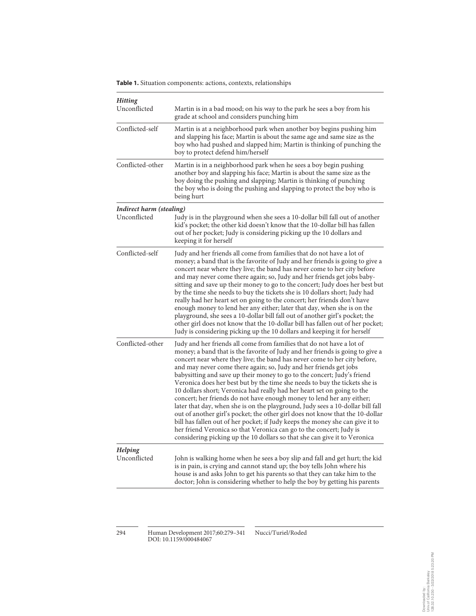| <b>Hitting</b><br>Unconflicted | Martin is in a bad mood; on his way to the park he sees a boy from his<br>grade at school and considers punching him                                                                                                                                                                                                                                                                                                                                                                                                                                                                                                                                                                                                                                                                                                                                                                                                                                                                                                          |
|--------------------------------|-------------------------------------------------------------------------------------------------------------------------------------------------------------------------------------------------------------------------------------------------------------------------------------------------------------------------------------------------------------------------------------------------------------------------------------------------------------------------------------------------------------------------------------------------------------------------------------------------------------------------------------------------------------------------------------------------------------------------------------------------------------------------------------------------------------------------------------------------------------------------------------------------------------------------------------------------------------------------------------------------------------------------------|
| Conflicted-self                | Martin is at a neighborhood park when another boy begins pushing him<br>and slapping his face; Martin is about the same age and same size as the<br>boy who had pushed and slapped him; Martin is thinking of punching the<br>boy to protect defend him/herself                                                                                                                                                                                                                                                                                                                                                                                                                                                                                                                                                                                                                                                                                                                                                               |
| Conflicted-other               | Martin is in a neighborhood park when he sees a boy begin pushing<br>another boy and slapping his face; Martin is about the same size as the<br>boy doing the pushing and slapping; Martin is thinking of punching<br>the boy who is doing the pushing and slapping to protect the boy who is<br>being hurt                                                                                                                                                                                                                                                                                                                                                                                                                                                                                                                                                                                                                                                                                                                   |
| Indirect harm (stealing)       |                                                                                                                                                                                                                                                                                                                                                                                                                                                                                                                                                                                                                                                                                                                                                                                                                                                                                                                                                                                                                               |
| Unconflicted                   | Judy is in the playground when she sees a 10-dollar bill fall out of another<br>kid's pocket; the other kid doesn't know that the 10-dollar bill has fallen<br>out of her pocket; Judy is considering picking up the 10 dollars and<br>keeping it for herself                                                                                                                                                                                                                                                                                                                                                                                                                                                                                                                                                                                                                                                                                                                                                                 |
| Conflicted-self                | Judy and her friends all come from families that do not have a lot of<br>money; a band that is the favorite of Judy and her friends is going to give a<br>concert near where they live; the band has never come to her city before<br>and may never come there again; so, Judy and her friends get jobs baby-<br>sitting and save up their money to go to the concert; Judy does her best but<br>by the time she needs to buy the tickets she is 10 dollars short; Judy had<br>really had her heart set on going to the concert; her friends don't have<br>enough money to lend her any either; later that day, when she is on the<br>playground, she sees a 10-dollar bill fall out of another girl's pocket; the<br>other girl does not know that the 10-dollar bill has fallen out of her pocket;<br>Judy is considering picking up the 10 dollars and keeping it for herself                                                                                                                                              |
| Conflicted-other               | Judy and her friends all come from families that do not have a lot of<br>money; a band that is the favorite of Judy and her friends is going to give a<br>concert near where they live; the band has never come to her city before,<br>and may never come there again; so, Judy and her friends get jobs<br>babysitting and save up their money to go to the concert; Judy's friend<br>Veronica does her best but by the time she needs to buy the tickets she is<br>10 dollars short; Veronica had really had her heart set on going to the<br>concert; her friends do not have enough money to lend her any either;<br>later that day, when she is on the playground, Judy sees a 10-dollar bill fall<br>out of another girl's pocket; the other girl does not know that the 10-dollar<br>bill has fallen out of her pocket; if Judy keeps the money she can give it to<br>her friend Veronica so that Veronica can go to the concert; Judy is<br>considering picking up the 10 dollars so that she can give it to Veronica |
| <b>Helping</b><br>Unconflicted | John is walking home when he sees a boy slip and fall and get hurt; the kid<br>is in pain, is crying and cannot stand up; the boy tells John where his<br>house is and asks John to get his parents so that they can take him to the<br>doctor; John is considering whether to help the boy by getting his parents                                                                                                                                                                                                                                                                                                                                                                                                                                                                                                                                                                                                                                                                                                            |

 **Table 1.** Situation components: actions, contexts, relationships

 Human Development 2017;60:279–341 DOI: 10.1159/000484067 294 Human Development 2017;60:279–341 Nucci/Turiel/Roded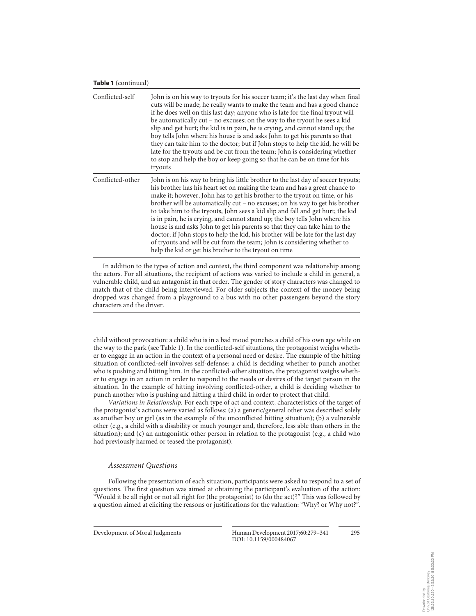#### **Table 1** (continued)

| Conflicted-self  | John is on his way to tryouts for his soccer team; it's the last day when final<br>cuts will be made; he really wants to make the team and has a good chance<br>if he does well on this last day; anyone who is late for the final tryout will<br>be automatically cut – no excuses; on the way to the tryout he sees a kid<br>slip and get hurt; the kid is in pain, he is crying, and cannot stand up; the<br>boy tells John where his house is and asks John to get his parents so that<br>they can take him to the doctor; but if John stops to help the kid, he will be<br>late for the tryouts and be cut from the team; John is considering whether<br>to stop and help the boy or keep going so that he can be on time for his<br>tryouts                                                        |
|------------------|----------------------------------------------------------------------------------------------------------------------------------------------------------------------------------------------------------------------------------------------------------------------------------------------------------------------------------------------------------------------------------------------------------------------------------------------------------------------------------------------------------------------------------------------------------------------------------------------------------------------------------------------------------------------------------------------------------------------------------------------------------------------------------------------------------|
| Conflicted-other | John is on his way to bring his little brother to the last day of soccer tryouts;<br>his brother has his heart set on making the team and has a great chance to<br>make it; however, John has to get his brother to the tryout on time, or his<br>brother will be automatically cut – no excuses; on his way to get his brother<br>to take him to the tryouts, John sees a kid slip and fall and get hurt; the kid<br>is in pain, he is crying, and cannot stand up; the boy tells John where his<br>house is and asks John to get his parents so that they can take him to the<br>doctor; if John stops to help the kid, his brother will be late for the last day<br>of tryouts and will be cut from the team; John is considering whether to<br>help the kid or get his brother to the tryout on time |

 In addition to the types of action and context, the third component was relationship among the actors. For all situations, the recipient of actions was varied to include a child in general, a vulnerable child, and an antagonist in that order. The gender of story characters was changed to match that of the child being interviewed. For older subjects the context of the money being dropped was changed from a playground to a bus with no other passengers beyond the story characters and the driver.

child without provocation: a child who is in a bad mood punches a child of his own age while on the way to the park (see Table 1). In the conflicted-self situations, the protagonist weighs whether to engage in an action in the context of a personal need or desire. The example of the hitting situation of conflicted-self involves self-defense: a child is deciding whether to punch another who is pushing and hitting him. In the conflicted-other situation, the protagonist weighs whether to engage in an action in order to respond to the needs or desires of the target person in the situation. In the example of hitting involving conflicted-other, a child is deciding whether to punch another who is pushing and hitting a third child in order to protect that child.

*Variations in Relationship.* For each type of act and context, characteristics of the target of the protagonist's actions were varied as follows: (a) a generic/general other was described solely as another boy or girl (as in the example of the unconflicted hitting situation); (b) a vulnerable other (e.g., a child with a disability or much younger and, therefore, less able than others in the situation); and (c) an antagonistic other person in relation to the protagonist (e.g., a child who had previously harmed or teased the protagonist).

#### *Assessment Questions*

 Following the presentation of each situation, participants were asked to respond to a set of questions. The first question was aimed at obtaining the participant's evaluation of the action: "Would it be all right or not all right for (the protagonist) to (do the act)?" This was followed by a question aimed at eliciting the reasons or justifications for the valuation: "Why? or Why not?".

 Development of Moral Judgments Human Development 2017;60:279–341 295 DOI: 10.1159/000484067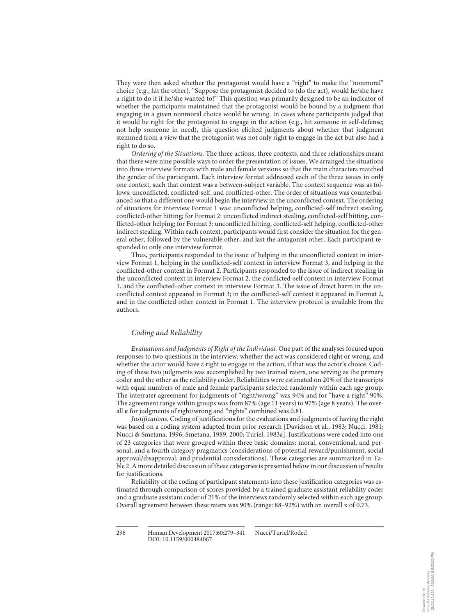They were then asked whether the protagonist would have a "right" to make the "nonmoral" choice (e.g., hit the other). "Suppose the protagonist decided to (do the act), would he/she have a right to do it if he/she wanted to?" This question was primarily designed to be an indicator of whether the participants maintained that the protagonist would be bound by a judgment that engaging in a given nonmoral choice would be wrong. In cases where participants judged that it would be right for the protagonist to engage in the action (e.g., hit someone in self-defense; not help someone in need), this question elicited judgments about whether that judgment stemmed from a view that the protagonist was not only right to engage in the act but also had a right to do so.

*Ordering of the Situations.* The three actions, three contexts, and three relationships meant that there were nine possible ways to order the presentation of issues. We arranged the situations into three interview formats with male and female versions so that the main characters matched the gender of the participant. Each interview format addressed each of the three issues in only one context, such that context was a between-subject variable. The context sequence was as follows: unconflicted, conflicted-self, and conflicted-other. The order of situations was counterbalanced so that a different one would begin the interview in the unconflicted context. The ordering of situations for interview Format 1 was: unconflicted helping, conflicted-self indirect stealing, conflicted-other hitting; for Format 2: unconflicted indirect stealing, conflicted-self hitting, conflicted-other helping; for Format 3: unconflicted hitting, conflicted-self helping, conflicted-other indirect stealing. Within each context, participants would first consider the situation for the general other, followed by the vulnerable other, and last the antagonist other. Each participant responded to only one interview format.

 Thus, participants responded to the issue of helping in the unconflicted context in interview Format 1, helping in the conflicted-self context in interview Format 3, and helping in the conflicted-other context in Format 2. Participants responded to the issue of indirect stealing in the unconflicted context in interview Format 2, the conflicted-self context in interview Format 1, and the conflicted-other context in interview Format 3. The issue of direct harm in the unconflicted context appeared in Format 3; in the conflicted-self context it appeared in Format 2, and in the conflicted other context in Format 1. The interview protocol is available from the authors.

## *Coding and Reliability*

*Evaluations and Judgments of Right of the Individual.* One part of the analyses focused upon responses to two questions in the interview: whether the act was considered right or wrong, and whether the actor would have a right to engage in the action, if that was the actor's choice. Coding of these two judgments was accomplished by two trained raters, one serving as the primary coder and the other as the reliability coder. Reliabilities were estimated on 20% of the transcripts with equal numbers of male and female participants selected randomly within each age group. The interrater agreement for judgments of "right/wrong" was 94% and for "have a right" 90%. The agreement range within groups was from 87% (age 11 years) to 97% (age 8 years). The overall κ for judgments of right/wrong and "rights" combined was 0.81.

*Justifications.* Coding of justifications for the evaluations and judgments of having the right was based on a coding system adapted from prior research [Davidson et al., 1983; Nucci, 1981; Nucci & Smetana, 1996; Smetana, 1989, 2000; Turiel, 1983a]. Justifications were coded into one of 23 categories that were grouped within three basic domains: moral, conventional, and personal, and a fourth category pragmatics (considerations of potential reward/punishment, social approval/disapproval, and prudential considerations). These categories are summarized in Table 2. A more detailed discussion of these categories is presented below in our discussion of results for justifications.

 Reliability of the coding of participant statements into these justification categories was estimated through comparison of scores provided by a trained graduate assistant reliability coder and a graduate assistant coder of 21% of the interviews randomly selected within each age group. Overall agreement between these raters was 90% (range: 88–92%) with an overall κ of 0.73.

 Human Development 2017;60:279–341 296 Nucci/Turiel/Roded DOI: 10.1159/000484067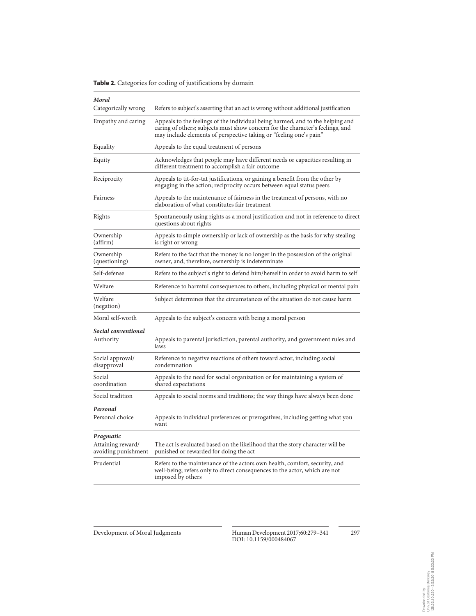**Table 2.** Categories for coding of justifications by domain

| Moral<br>Categorically wrong                          | Refers to subject's asserting that an act is wrong without additional justification                                                                                                                                                    |
|-------------------------------------------------------|----------------------------------------------------------------------------------------------------------------------------------------------------------------------------------------------------------------------------------------|
| Empathy and caring                                    | Appeals to the feelings of the individual being harmed, and to the helping and<br>caring of others; subjects must show concern for the character's feelings, and<br>may include elements of perspective taking or "feeling one's pain" |
| Equality                                              | Appeals to the equal treatment of persons                                                                                                                                                                                              |
| Equity                                                | Acknowledges that people may have different needs or capacities resulting in<br>different treatment to accomplish a fair outcome                                                                                                       |
| Reciprocity                                           | Appeals to tit-for-tat justifications, or gaining a benefit from the other by<br>engaging in the action; reciprocity occurs between equal status peers                                                                                 |
| Fairness                                              | Appeals to the maintenance of fairness in the treatment of persons, with no<br>elaboration of what constitutes fair treatment                                                                                                          |
| Rights                                                | Spontaneously using rights as a moral justification and not in reference to direct<br>questions about rights                                                                                                                           |
| Ownership<br>(affirm)                                 | Appeals to simple ownership or lack of ownership as the basis for why stealing<br>is right or wrong                                                                                                                                    |
| Ownership<br>(questioning)                            | Refers to the fact that the money is no longer in the possession of the original<br>owner, and, therefore, ownership is indeterminate                                                                                                  |
| Self-defense                                          | Refers to the subject's right to defend him/herself in order to avoid harm to self                                                                                                                                                     |
| Welfare                                               | Reference to harmful consequences to others, including physical or mental pain                                                                                                                                                         |
| Welfare<br>(negation)                                 | Subject determines that the circumstances of the situation do not cause harm                                                                                                                                                           |
| Moral self-worth                                      | Appeals to the subject's concern with being a moral person                                                                                                                                                                             |
| Social conventional<br>Authority                      | Appeals to parental jurisdiction, parental authority, and government rules and<br>laws                                                                                                                                                 |
| Social approval/<br>disapproval                       | Reference to negative reactions of others toward actor, including social<br>condemnation                                                                                                                                               |
| Social<br>coordination                                | Appeals to the need for social organization or for maintaining a system of<br>shared expectations                                                                                                                                      |
| Social tradition                                      | Appeals to social norms and traditions; the way things have always been done                                                                                                                                                           |
| Personal<br>Personal choice                           | Appeals to individual preferences or prerogatives, including getting what you<br>want                                                                                                                                                  |
| Pragmatic<br>Attaining reward/<br>avoiding punishment | The act is evaluated based on the likelihood that the story character will be<br>punished or rewarded for doing the act                                                                                                                |
| Prudential                                            | Refers to the maintenance of the actors own health, comfort, security, and<br>well-being; refers only to direct consequences to the actor, which are not<br>imposed by others                                                          |

 Development of Moral Judgments Human Development 2017;60:279–341 297 DOI: 10.1159/000484067

Downloaded by:<br>Univ.of California Berkeley<br>128.32.10.230 - 3/22/2018 5:23:20 PM 128.32.10.230 - 3/22/2018 5:23:20 PMUniv.of California Berkeley Downloaded by: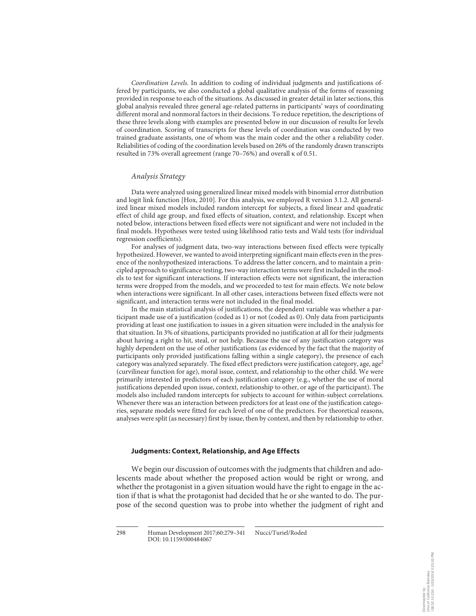*Coordination Levels.* In addition to coding of individual judgments and justifications offered by participants, we also conducted a global qualitative analysis of the forms of reasoning provided in response to each of the situations. As discussed in greater detail in later sections, this global analysis revealed three general age-related patterns in participants' ways of coordinating different moral and nonmoral factors in their decisions. To reduce repetition, the descriptions of these three levels along with examples are presented below in our discussion of results for levels of coordination. Scoring of transcripts for these levels of coordination was conducted by two trained graduate assistants, one of whom was the main coder and the other a reliability coder. Reliabilities of coding of the coordination levels based on 26% of the randomly drawn transcripts resulted in 73% overall agreement (range 70–76%) and overall κ of 0.51.

## *Analysis Strategy*

 Data were analyzed using generalized linear mixed models with binomial error distribution and logit link function [Hox, 2010]. For this analysis, we employed R version 3.1.2. All generalized linear mixed models included random intercept for subjects, a fixed linear and quadratic effect of child age group, and fixed effects of situation, context, and relationship. Except when noted below, interactions between fixed effects were not significant and were not included in the final models. Hypotheses were tested using likelihood ratio tests and Wald tests (for individual regression coefficients).

 For analyses of judgment data, two-way interactions between fixed effects were typically hypothesized. However, we wanted to avoid interpreting significant main effects even in the presence of the nonhypothesized interactions. To address the latter concern, and to maintain a principled approach to significance testing, two-way interaction terms were first included in the models to test for significant interactions. If interaction effects were not significant, the interaction terms were dropped from the models, and we proceeded to test for main effects. We note below when interactions were significant. In all other cases, interactions between fixed effects were not significant, and interaction terms were not included in the final model.

 In the main statistical analysis of justifications, the dependent variable was whether a participant made use of a justification (coded as 1) or not (coded as 0). Only data from participants providing at least one justification to issues in a given situation were included in the analysis for that situation. In 3% of situations, participants provided no justification at all for their judgments about having a right to hit, steal, or not help. Because the use of any justification category was highly dependent on the use of other justifications (as evidenced by the fact that the majority of participants only provided justifications falling within a single category), the presence of each category was analyzed separately. The fixed effect predictors were justification category, age, age<sup>2</sup> (curvilinear function for age), moral issue, context, and relationship to the other child. We were primarily interested in predictors of each justification category (e.g., whether the use of moral justifications depended upon issue, context, relationship to other, or age of the participant). The models also included random intercepts for subjects to account for within-subject correlations. Whenever there was an interaction between predictors for at least one of the justification categories, separate models were fitted for each level of one of the predictors. For theoretical reasons, analyses were split (as necessary) first by issue, then by context, and then by relationship to other.

#### **Judgments: Context, Relationship, and Age Effects**

 We begin our discussion of outcomes with the judgments that children and adolescents made about whether the proposed action would be right or wrong, and whether the protagonist in a given situation would have the right to engage in the action if that is what the protagonist had decided that he or she wanted to do. The purpose of the second question was to probe into whether the judgment of right and

Human Development 2017;60:279–341 298 Nucci/Turiel/Roded DOI: 10.1159/000484067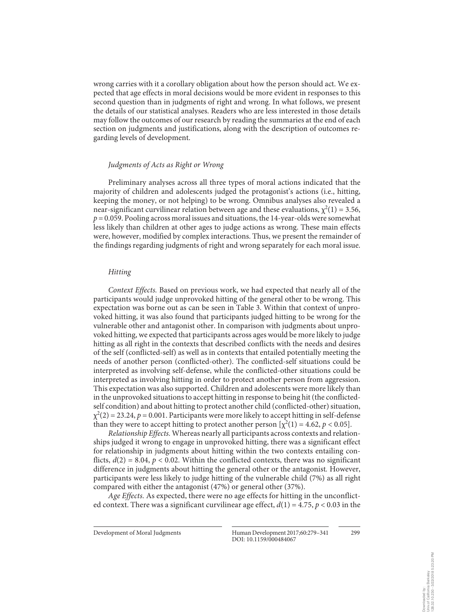wrong carries with it a corollary obligation about how the person should act. We expected that age effects in moral decisions would be more evident in responses to this second question than in judgments of right and wrong. In what follows, we present the details of our statistical analyses. Readers who are less interested in those details may follow the outcomes of our research by reading the summaries at the end of each section on judgments and justifications, along with the description of outcomes regarding levels of development.

## *Judgments of Acts as Right or Wrong*

 Preliminary analyses across all three types of moral actions indicated that the majority of children and adolescents judged the protagonist's actions (i.e., hitting, keeping the money, or not helping) to be wrong. Omnibus analyses also revealed a near-significant curvilinear relation between age and these evaluations,  $\chi^2(1) = 3.56$ ,  $p = 0.059$ . Pooling across moral issues and situations, the 14-year-olds were somewhat less likely than children at other ages to judge actions as wrong. These main effects were, however, modified by complex interactions. Thus, we present the remainder of the findings regarding judgments of right and wrong separately for each moral issue.

#### *Hitting*

*Context Effects.* Based on previous work, we had expected that nearly all of the participants would judge unprovoked hitting of the general other to be wrong. This expectation was borne out as can be seen in Table 3. Within that context of unprovoked hitting, it was also found that participants judged hitting to be wrong for the vulnerable other and antagonist other. In comparison with judgments about unprovoked hitting, we expected that participants across ages would be more likely to judge hitting as all right in the contexts that described conflicts with the needs and desires of the self (conflicted-self) as well as in contexts that entailed potentially meeting the needs of another person (conflicted-other). The conflicted-self situations could be interpreted as involving self-defense, while the conflicted-other situations could be interpreted as involving hitting in order to protect another person from aggression. This expectation was also supported. Children and adolescents were more likely than in the unprovoked situations to accept hitting in response to being hit (the conflictedself condition) and about hitting to protect another child (conflicted-other) situation,  $\chi^2(2) = 23.24$ ,  $p = 0.001$ . Participants were more likely to accept hitting in self-defense than they were to accept hitting to protect another person  $[\chi^2(1) = 4.62, p < 0.05]$ .

*Relationship Effects.* Whereas nearly all participants across contexts and relationships judged it wrong to engage in unprovoked hitting, there was a significant effect for relationship in judgments about hitting within the two contexts entailing conflicts,  $d(2) = 8.04$ ,  $p < 0.02$ . Within the conflicted contexts, there was no significant difference in judgments about hitting the general other or the antagonist *.* However, participants were less likely to judge hitting of the vulnerable child (7%) as all right compared with either the antagonist (47%) or general other (37%).

*Age Effects.* As expected, there were no age effects for hitting in the unconflicted context. There was a significant curvilinear age effect,  $d(1) = 4.75$ ,  $p < 0.03$  in the

 Development of Moral Judgments Human Development 2017;60:279–341 299 DOI: 10.1159/000484067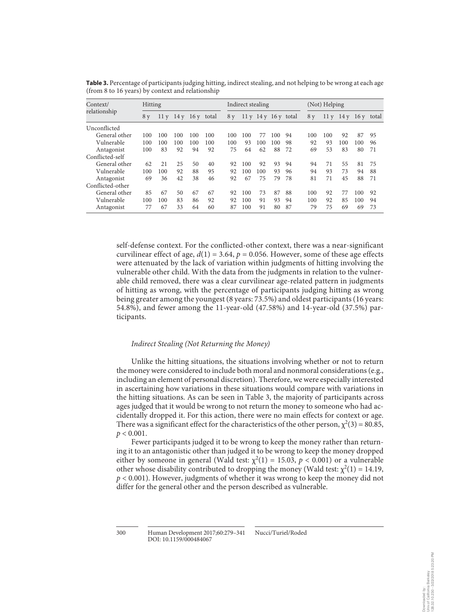| Context/<br>relationship | Hitting |                 |                 |            | Indirect stealing |     |     |     | (Not) Helping |                        |                |     |     |     |       |
|--------------------------|---------|-----------------|-----------------|------------|-------------------|-----|-----|-----|---------------|------------------------|----------------|-----|-----|-----|-------|
|                          | 8 y     | 11 <sub>v</sub> | 14 <sub>V</sub> | 16 y total |                   | 8 y |     |     |               | $11 y 14 y 16 y$ total | 8 <sub>V</sub> | 11y | 14y | 16y | total |
| Unconflicted             |         |                 |                 |            |                   |     |     |     |               |                        |                |     |     |     |       |
| General other            | 100     | 100             | 100             | 100        | 100               | 100 | 100 | 77  | 100           | 94                     | 100            | 100 | 92  | 87  | 95    |
| Vulnerable               | 100     | 100             | 100             | 100        | 100               | 100 | 93  | 100 | 100           | 98                     | 92             | 93  | 100 | 100 | 96    |
| Antagonist               | 100     | 83              | 92              | 94         | 92                | 75  | 64  | 62  | 88            | 72                     | 69             | 53  | 83  | 80  | 71    |
| Conflicted-self          |         |                 |                 |            |                   |     |     |     |               |                        |                |     |     |     |       |
| General other            | 62      | 21              | 25              | 50         | 40                | 92  | 100 | 92  | 93            | 94                     | 94             | 71  | 55  | 81  | 75    |
| Vulnerable               | 100     | 100             | 92              | 88         | 95                | 92  | 100 | 100 | 93            | 96                     | 94             | 93  | 73  | 94  | 88    |
| Antagonist               | 69      | 36              | 42              | 38         | 46                | 92  | 67  | 75  | 79            | 78                     | 81             | 71  | 45  | 88  | 71    |
| Conflicted-other         |         |                 |                 |            |                   |     |     |     |               |                        |                |     |     |     |       |
| General other            | 85      | 67              | 50              | 67         | 67                | 92  | 100 | 73  | 87            | 88                     | 100            | 92  | 77  | 100 | 92    |
| Vulnerable               | 100     | 100             | 83              | 86         | 92                | 92  | 100 | 91  | 93            | 94                     | 100            | 92  | 85  | 100 | 94    |
| Antagonist               | 77      | 67              | 33              | 64         | 60                | 87  | 100 | 91  | 80            | 87                     | 79             | 75  | 69  | 69  | 73    |

 **Table 3.** Percentage of participants judging hitting, indirect stealing, and not helping to be wrong at each age (from 8 to 16 years) by context and relationship

self-defense context. For the conflicted-other context, there was a near-significant curvilinear effect of age,  $d(1) = 3.64$ ,  $p = 0.056$ . However, some of these age effects were attenuated by the lack of variation within judgments of hitting involving the vulnerable other child. With the data from the judgments in relation to the vulnerable child removed, there was a clear curvilinear age-related pattern in judgments of hitting as wrong, with the percentage of participants judging hitting as wrong being greater among the youngest (8 years: 73.5%) and oldest participants (16 years: 54.8%), and fewer among the 11-year-old (47.58%) and 14-year-old (37.5%) participants.

#### *Indirect Stealing (Not Returning the Money)*

 Unlike the hitting situations, the situations involving whether or not to return the money were considered to include both moral and nonmoral considerations (e.g., including an element of personal discretion). Therefore, we were especially interested in ascertaining how variations in these situations would compare with variations in the hitting situations. As can be seen in Table 3, the majority of participants across ages judged that it would be wrong to not return the money to someone who had accidentally dropped it. For this action, there were no main effects for context or age. There was a significant effect for the characteristics of the other person,  $\chi^2(3) = 80.85$ ,  $p < 0.001$ .

 Fewer participants judged it to be wrong to keep the money rather than returning it to an antagonistic other than judged it to be wrong to keep the money dropped either by someone in general (Wald test:  $\chi^2(1) = 15.03$ ,  $p < 0.001$ ) or a vulnerable other whose disability contributed to dropping the money (Wald test:  $\chi^2(1) = 14.19$ , *p* < 0.001). However, judgments of whether it was wrong to keep the money did not differ for the general other and the person described as vulnerable.

Human Development 2017;60:279–341 300 Nucci/Turiel/Roded DOI: 10.1159/000484067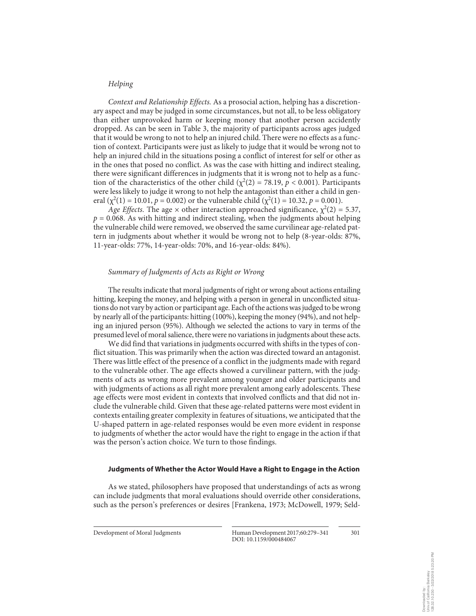#### *Helping*

*Context and Relationship Effects.* As a prosocial action, helping has a discretionary aspect and may be judged in some circumstances, but not all, to be less obligatory than either unprovoked harm or keeping money that another person accidently dropped. As can be seen in Table 3, the majority of participants across ages judged that it would be wrong to not to help an injured child. There were no effects as a function of context. Participants were just as likely to judge that it would be wrong not to help an injured child in the situations posing a conflict of interest for self or other as in the ones that posed no conflict. As was the case with hitting and indirect stealing, there were significant differences in judgments that it is wrong not to help as a function of the characteristics of the other child ( $\chi^2(2) = 78.19$ ,  $p < 0.001$ ). Participants were less likely to judge it wrong to not help the antagonist than either a child in general ( $\chi^2(1) = 10.01$ ,  $p = 0.002$ ) or the vulnerable child ( $\chi^2(1) = 10.32$ ,  $p = 0.001$ ).

*Age Effects*. The age  $\times$  other interaction approached significance,  $\chi^2(2) = 5.37$ ,  $p = 0.068$ . As with hitting and indirect stealing, when the judgments about helping the vulnerable child were removed, we observed the same curvilinear age-related pattern in judgments about whether it would be wrong not to help (8-year-olds: 87%, 11-year-olds: 77%, 14-year-olds: 70%, and 16-year-olds: 84%).

#### *Summary of Judgments of Acts as Right or Wrong*

 The results indicate that moral judgments of right or wrong about actions entailing hitting, keeping the money, and helping with a person in general in unconflicted situations do not vary by action or participant age. Each of the actions was judged to be wrong by nearly all of the participants: hitting (100%), keeping the money (94%), and not helping an injured person (95%). Although we selected the actions to vary in terms of the presumed level of moral salience, there were no variations in judgments about these acts.

 We did find that variations in judgments occurred with shifts in the types of conflict situation. This was primarily when the action was directed toward an antagonist. There was little effect of the presence of a conflict in the judgments made with regard to the vulnerable other. The age effects showed a curvilinear pattern, with the judgments of acts as wrong more prevalent among younger and older participants and with judgments of actions as all right more prevalent among early adolescents. These age effects were most evident in contexts that involved conflicts and that did not include the vulnerable child. Given that these age-related patterns were most evident in contexts entailing greater complexity in features of situations, we anticipated that the U-shaped pattern in age-related responses would be even more evident in response to judgments of whether the actor would have the right to engage in the action if that was the person's action choice. We turn to those findings.

#### **Judgments of Whether the Actor Would Have a Right to Engage in the Action**

 As we stated, philosophers have proposed that understandings of acts as wrong can include judgments that moral evaluations should override other considerations, such as the person's preferences or desires [Frankena, 1973; McDowell, 1979; Seld-

 Development of Moral Judgments Human Development 2017;60:279–341 301 DOI: 10.1159/000484067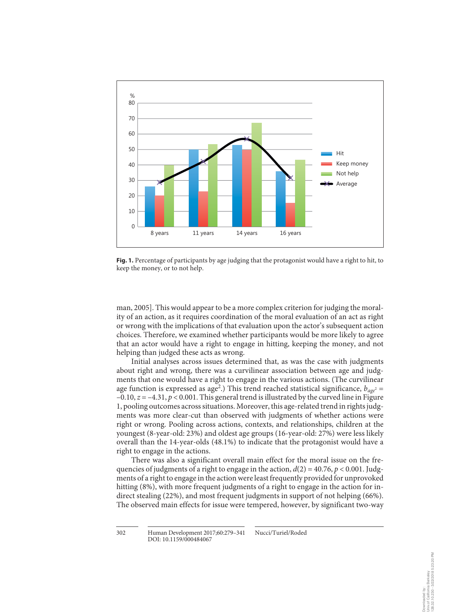

**Fig. 1.** Percentage of participants by age judging that the protagonist would have a right to hit, to keep the money, or to not help.

man, 2005]. This would appear to be a more complex criterion for judging the morality of an action, as it requires coordination of the moral evaluation of an act as right or wrong with the implications of that evaluation upon the actor's subsequent action choices. Therefore, we examined whether participants would be more likely to agree that an actor would have a right to engage in hitting, keeping the money, and not helping than judged these acts as wrong.

 Initial analyses across issues determined that, as was the case with judgments about right and wrong, there was a curvilinear association between age and judgments that one would have a right to engage in the various actions. (The curvilinear age function is expressed as age<sup>2</sup>.) This trend reached statistical significance,  $b_{age^2}$  = –0.10, *z* = –4.31, *p* < 0.001. This general trend is illustrated by the curved line in Figure 1 , pooling outcomes across situations. Moreover, this age-related trend in rights judgments was more clear-cut than observed with judgments of whether actions were right or wrong. Pooling across actions, contexts, and relationships, children at the youngest (8-year-old: 23%) and oldest age groups (16-year-old: 27%) were less likely overall than the 14-year-olds (48.1%) to indicate that the protagonist would have a right to engage in the actions.

 There was also a significant overall main effect for the moral issue on the frequencies of judgments of a right to engage in the action,  $d(2) = 40.76$ ,  $p < 0.001$ . Judgments of a right to engage in the action were least frequently provided for unprovoked hitting (8%), with more frequent judgments of a right to engage in the action for indirect stealing (22%), and most frequent judgments in support of not helping (66%). The observed main effects for issue were tempered, however, by significant two-way

Human Development 2017;60:279–341 302 Nucci/Turiel/Roded DOI: 10.1159/000484067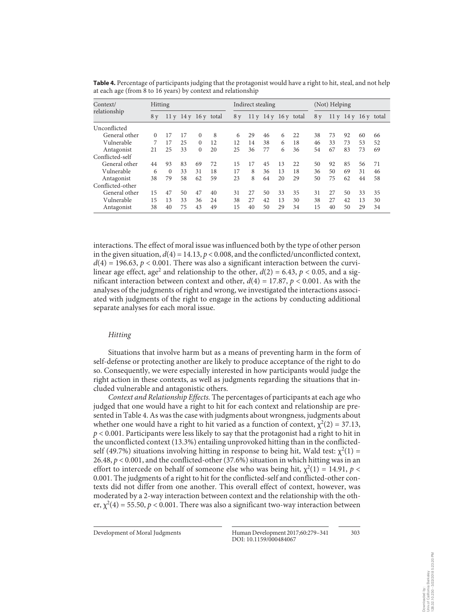| Context/<br>relationship | Hitting  |          |    |          | Indirect stealing |     |    |    | (Not) Helping |                     |     |     |            |    |            |
|--------------------------|----------|----------|----|----------|-------------------|-----|----|----|---------------|---------------------|-----|-----|------------|----|------------|
|                          | 8 y      | 11y      |    |          | $14y$ 16 y total  | 8 y |    |    |               | $11y$ 14y 16y total | 8 y |     | $11y$ 14 y |    | 16 y total |
| Unconflicted             |          |          |    |          |                   |     |    |    |               |                     |     |     |            |    |            |
| General other            | $\Omega$ | 17       | 17 | $\Omega$ | 8                 | 6   | 29 | 46 | 6             | 22                  | 38  | 73  | 92         | 60 | 66         |
| Vulnerable               | 7        | 17       | 25 | $\Omega$ | 12                | 12  | 14 | 38 | 6             | 18                  | 46  | 33  | 73         | 53 | 52         |
| Antagonist               | 21       | 25       | 33 | $\Omega$ | 20                | 25  | 36 | 77 | 6             | 36                  | 54  | 67  | 83         | 73 | 69         |
| Conflicted-self          |          |          |    |          |                   |     |    |    |               |                     |     |     |            |    |            |
| General other            | 44       | 93       | 83 | 69       | 72                | 15  | 17 | 45 | 13            | 22                  | 50  | 92  | 85         | 56 | 71         |
| Vulnerable               | 6        | $\Omega$ | 33 | 31       | 18                | 17  | 8  | 36 | 13            | 18                  | 36  | 50  | 69         | 31 | 46         |
| Antagonist               | 38       | 79       | 58 | 62       | 59                | 23  | 8  | 64 | 20            | 29                  | 50  | 75  | 62         | 44 | 58         |
| Conflicted-other         |          |          |    |          |                   |     |    |    |               |                     |     |     |            |    |            |
| General other            | 15       | 47       | 50 | 47       | 40                | 31  | 27 | 50 | 33            | 35                  | 31  | 27  | 50         | 33 | 35         |
| Vulnerable               | 15       | 13       | 33 | 36       | 24                | 38  | 27 | 42 | 13            | 30                  | 38  | 2.7 | 42         | 13 | 30         |
| Antagonist               | 38       | 40       | 75 | 43       | 49                | 15  | 40 | 50 | 29            | 34                  | 15  | 40  | 50         | 29 | 34         |

 **Table 4.** Percentage of participants judging that the protagonist would have a right to hit, steal, and not help at each age (from 8 to 16 years) by context and relationship

interactions. The effect of moral issue was influenced both by the type of other person in the given situation,  $d(4) = 14.13$ ,  $p < 0.008$ , and the conflicted/unconflicted context,  $d(4) = 196.63$ ,  $p < 0.001$ . There was also a significant interaction between the curvilinear age effect, age<sup>2</sup> and relationship to the other,  $d(2) = 6.43$ ,  $p < 0.05$ , and a significant interaction between context and other,  $d(4) = 17.87$ ,  $p < 0.001$ . As with the analyses of the judgments of right and wrong, we investigated the interactions associated with judgments of the right to engage in the actions by conducting additional separate analyses for each moral issue.

## *Hitting*

 Situations that involve harm but as a means of preventing harm in the form of self-defense or protecting another are likely to produce acceptance of the right to do so. Consequently, we were especially interested in how participants would judge the right action in these contexts, as well as judgments regarding the situations that included vulnerable and antagonistic others.

*Context and Relationship Effects.* The percentages of participants at each age who judged that one would have a right to hit for each context and relationship are presented in Table 4. As was the case with judgments about wrongness, judgments about whether one would have a right to hit varied as a function of context,  $\chi^2(2) = 37.13$ , *p* < 0.001. Participants were less likely to say that the protagonist had a right to hit in the unconflicted context (13.3%) entailing unprovoked hitting than in the conflictedself (49.7%) situations involving hitting in response to being hit, Wald test:  $\chi^2(1)$  = 26.48, *p* < 0.001, and the conflicted-other (37.6%) situation in which hitting was in an effort to intercede on behalf of someone else who was being hit,  $\chi^2(1) = 14.91$ ,  $p <$ 0.001. The judgments of a right to hit for the conflicted-self and conflicted-other contexts did not differ from one another. This overall effect of context, however, was moderated by a 2-way interaction between context and the relationship with the other,  $\chi^2(4)$  = 55.50,  $p < 0.001$ . There was also a significant two-way interaction between

 Development of Moral Judgments Human Development 2017;60:279–341 303 DOI: 10.1159/000484067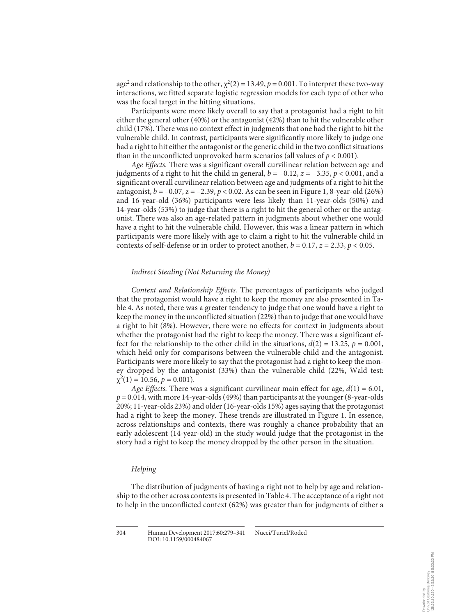age<sup>2</sup> and relationship to the other,  $\chi^2(2) = 13.49$ ,  $p = 0.001$ . To interpret these two-way interactions, we fitted separate logistic regression models for each type of other who was the focal target in the hitting situations.

 Participants were more likely overall to say that a protagonist had a right to hit either the general other (40%) or the antagonist (42%) than to hit the vulnerable other child (17%). There was no context effect in judgments that one had the right to hit the vulnerable child. In contrast, participants were significantly more likely to judge one had a right to hit either the antagonist or the generic child in the two conflict situations than in the unconflicted unprovoked harm scenarios (all values of  $p < 0.001$ ).

*Age Effects.* There was a significant overall curvilinear relation between age and judgments of a right to hit the child in general,  $b = -0.12$ ,  $z = -3.35$ ,  $p < 0.001$ , and a significant overall curvilinear relation between age and judgments of a right to hit the antagonist,  $b = -0.07$ ,  $z = -2.39$ ,  $p < 0.02$ . As can be seen in Figure 1, 8-year-old (26%) and 16-year-old (36%) participants were less likely than 11-year-olds (50%) and 14-year-olds (53%) to judge that there is a right to hit the general other or the antagonist. There was also an age-related pattern in judgments about whether one would have a right to hit the vulnerable child. However, this was a linear pattern in which participants were more likely with age to claim a right to hit the vulnerable child in contexts of self-defense or in order to protect another,  $b = 0.17$ ,  $z = 2.33$ ,  $p < 0.05$ .

#### *Indirect Stealing (Not Returning the Money)*

*Context and Relationship Effects.* The percentages of participants who judged that the protagonist would have a right to keep the money are also presented in Table 4. As noted, there was a greater tendency to judge that one would have a right to keep the money in the unconflicted situation (22%) than to judge that one would have a right to hit (8%). However, there were no effects for context in judgments about whether the protagonist had the right to keep the money. There was a significant effect for the relationship to the other child in the situations,  $d(2) = 13.25$ ,  $p = 0.001$ , which held only for comparisons between the vulnerable child and the antagonist. Participants were more likely to say that the protagonist had a right to keep the money dropped by the antagonist (33%) than the vulnerable child (22%, Wald test:  $\chi^2(1) = 10.56, p = 0.001$ .

*Age Effects.* There was a significant curvilinear main effect for age,  $d(1) = 6.01$ ,  $p = 0.014$ , with more 14-year-olds (49%) than participants at the younger (8-year-olds 20%; 11-year-olds 23%) and older (16-year-olds 15%) ages saying that the protagonist had a right to keep the money. These trends are illustrated in Figure 1. In essence, across relationships and contexts, there was roughly a chance probability that an early adolescent (14-year-old) in the study would judge that the protagonist in the story had a right to keep the money dropped by the other person in the situation.

#### *Helping*

 The distribution of judgments of having a right not to help by age and relationship to the other across contexts is presented in Table 4 . The acceptance of a right not to help in the unconflicted context (62%) was greater than for judgments of either a

Human Development 2017;60:279–341 304 Nucci/Turiel/Roded DOI: 10.1159/000484067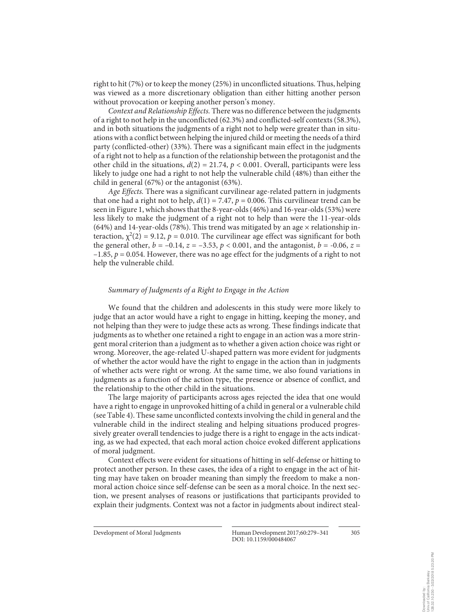right to hit (7%) or to keep the money (25%) in unconflicted situations. Thus, helping was viewed as a more discretionary obligation than either hitting another person without provocation or keeping another person's money.

*Context and Relationship Effects.* There was no difference between the judgments of a right to not help in the unconflicted (62.3%) and conflicted-self contexts (58.3%), and in both situations the judgments of a right not to help were greater than in situations with a conflict between helping the injured child or meeting the needs of a third party (conflicted-other) (33%). There was a significant main effect in the judgments of a right not to help as a function of the relationship between the protagonist and the other child in the situations,  $d(2) = 21.74$ ,  $p < 0.001$ . Overall, participants were less likely to judge one had a right to not help the vulnerable child (48%) than either the child in general (67%) or the antagonist (63%).

*Age Effects.* There was a significant curvilinear age-related pattern in judgments that one had a right not to help,  $d(1) = 7.47$ ,  $p = 0.006$ . This curvilinear trend can be seen in Figure 1, which shows that the 8-year-olds (46%) and 16-year-olds (53%) were less likely to make the judgment of a right not to help than were the 11-year-olds (64%) and 14-year-olds (78%). This trend was mitigated by an age  $\times$  relationship interaction,  $\chi^2(2) = 9.12$ ,  $p = 0.010$ . The curvilinear age effect was significant for both the general other,  $b = -0.14$ ,  $z = -3.53$ ,  $p < 0.001$ , and the antagonist,  $b = -0.06$ ,  $z =$  $-1.85$ ,  $p = 0.054$ . However, there was no age effect for the judgments of a right to not help the vulnerable child.

## *Summary of Judgments of a Right to Engage in the Action*

 We found that the children and adolescents in this study were more likely to judge that an actor would have a right to engage in hitting, keeping the money, and not helping than they were to judge these acts as wrong. These findings indicate that judgments as to whether one retained a right to engage in an action was a more stringent moral criterion than a judgment as to whether a given action choice was right or wrong. Moreover, the age-related U-shaped pattern was more evident for judgments of whether the actor would have the right to engage in the action than in judgments of whether acts were right or wrong. At the same time, we also found variations in judgments as a function of the action type, the presence or absence of conflict, and the relationship to the other child in the situations.

 The large majority of participants across ages rejected the idea that one would have a right to engage in unprovoked hitting of a child in general or a vulnerable child (see Table 4). These same unconflicted contexts involving the child in general and the vulnerable child in the indirect stealing and helping situations produced progressively greater overall tendencies to judge there is a right to engage in the acts indicating, as we had expected, that each moral action choice evoked different applications of moral judgment.

 Context effects were evident for situations of hitting in self-defense or hitting to protect another person. In these cases, the idea of a right to engage in the act of hitting may have taken on broader meaning than simply the freedom to make a nonmoral action choice since self-defense can be seen as a moral choice. In the next section, we present analyses of reasons or justifications that participants provided to explain their judgments. Context was not a factor in judgments about indirect steal-

 Development of Moral Judgments Human Development 2017;60:279–341 305 DOI: 10.1159/000484067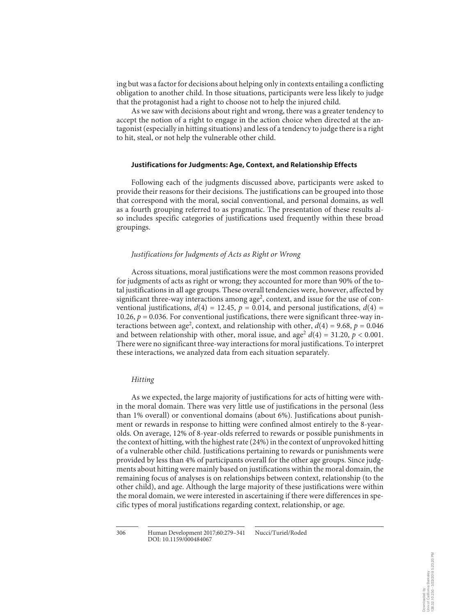ing but was a factor for decisions about helping only in contexts entailing a conflicting obligation to another child. In those situations, participants were less likely to judge that the protagonist had a right to choose not to help the injured child.

 As we saw with decisions about right and wrong, there was a greater tendency to accept the notion of a right to engage in the action choice when directed at the antagonist (especially in hitting situations) and less of a tendency to judge there is a right to hit, steal, or not help the vulnerable other child.

#### **Justifications for Judgments: Age, Context, and Relationship Effects**

 Following each of the judgments discussed above, participants were asked to provide their reasons for their decisions. The justifications can be grouped into those that correspond with the moral, social conventional, and personal domains, as well as a fourth grouping referred to as pragmatic. The presentation of these results also includes specific categories of justifications used frequently within these broad groupings.

#### *Justifications for Judgments of Acts as Right or Wrong*

 Across situations, moral justifications were the most common reasons provided for judgments of acts as right or wrong; they accounted for more than 90% of the total justifications in all age groups. These overall tendencies were, however, affected by significant three-way interactions among age<sup>2</sup>, context, and issue for the use of conventional justifications,  $d(4) = 12.45$ ,  $p = 0.014$ , and personal justifications,  $d(4) =$ 10.26,  $p = 0.036$ . For conventional justifications, there were significant three-way interactions between age<sup>2</sup>, context, and relationship with other,  $d(4) = 9.68$ ,  $p = 0.046$ and between relationship with other, moral issue, and age<sup>2</sup>  $d(4) = 31.20, p < 0.001$ . There were no significant three-way interactions for moral justifications. To interpret these interactions, we analyzed data from each situation separately.

## *Hitting*

 As we expected, the large majority of justifications for acts of hitting were within the moral domain. There was very little use of justifications in the personal (less than 1% overall) or conventional domains (about 6%). Justifications about punishment or rewards in response to hitting were confined almost entirely to the 8-yearolds. On average, 12% of 8-year-olds referred to rewards or possible punishments in the context of hitting, with the highest rate (24%) in the context of unprovoked hitting of a vulnerable other child. Justifications pertaining to rewards or punishments were provided by less than 4% of participants overall for the other age groups. Since judgments about hitting were mainly based on justifications within the moral domain, the remaining focus of analyses is on relationships between context, relationship (to the other child), and age. Although the large majority of these justifications were within the moral domain, we were interested in ascertaining if there were differences in specific types of moral justifications regarding context, relationship, or age.

 Human Development 2017;60:279–341 306 Nucci/Turiel/Roded DOI: 10.1159/000484067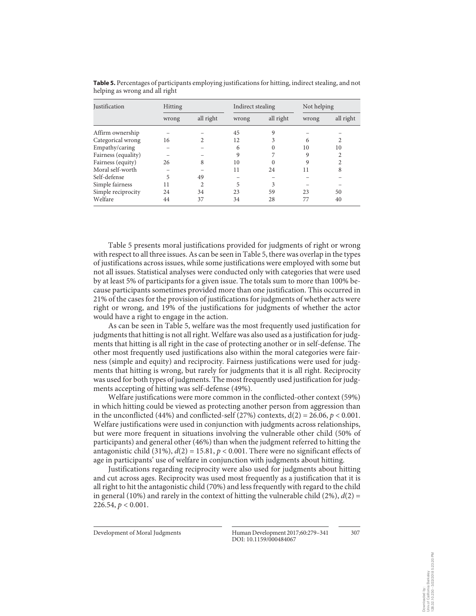| <b>Iustification</b> | Hitting |                | Indirect stealing |           |       | Not helping |  |  |
|----------------------|---------|----------------|-------------------|-----------|-------|-------------|--|--|
|                      | wrong   | all right      | wrong             | all right | wrong | all right   |  |  |
| Affirm ownership     |         |                | 45                | 9         |       |             |  |  |
| Categorical wrong    | 16      | 2.             | 12                | 3         | 6     |             |  |  |
| Empathy/caring       |         |                | 6                 | 0         | 10    | 10          |  |  |
| Fairness (equality)  |         |                | 9                 |           | 9     |             |  |  |
| Fairness (equity)    | 26      | 8              | 10                | $\Omega$  | 9     | 2           |  |  |
| Moral self-worth     |         |                | 11                | 24        | 11    | 8           |  |  |
| Self-defense         | 5       | 49             |                   |           |       |             |  |  |
| Simple fairness      | 11      | $\overline{c}$ | 5                 | 3         |       |             |  |  |
| Simple reciprocity   | 24      | 34             | 23                | 59        | 23    | 50          |  |  |
| Welfare              | 44      | 37             | 34                | 28        | 77    | 40          |  |  |

 **Table 5.** Percentages of participants employing justifications for hitting, indirect stealing, and not helping as wrong and all right

 Table 5 presents moral justifications provided for judgments of right or wrong with respect to all three issues. As can be seen in Table 5 , there was overlap in the types of justifications across issues, while some justifications were employed with some but not all issues. Statistical analyses were conducted only with categories that were used by at least 5% of participants for a given issue. The totals sum to more than 100% because participants sometimes provided more than one justification. This occurred in 21% of the cases for the provision of justifications for judgments of whether acts were right or wrong, and 19% of the justifications for judgments of whether the actor would have a right to engage in the action.

 As can be seen in Table 5 , welfare was the most frequently used justification for judgments that hitting is not all right. Welfare was also used as a justification for judgments that hitting is all right in the case of protecting another or in self-defense. The other most frequently used justifications also within the moral categories were fairness (simple and equity) and reciprocity *.* Fairness justifications were used for judgments that hitting is wrong, but rarely for judgments that it is all right. Reciprocity was used for both types of judgments. The most frequently used justification for judgments accepting of hitting was self-defense (49%).

 Welfare justifications were more common in the conflicted-other context (59%) in which hitting could be viewed as protecting another person from aggression than in the unconflicted (44%) and conflicted-self (27%) contexts,  $d(2) = 26.06$ ,  $p < 0.001$ . Welfare justifications were used in conjunction with judgments across relationships, but were more frequent in situations involving the vulnerable other child (50% of participants) and general other (46%) than when the judgment referred to hitting the antagonistic child (31%),  $d(2) = 15.81$ ,  $p < 0.001$ . There were no significant effects of age in participants' use of welfare in conjunction with judgments about hitting.

 Justifications regarding reciprocity were also used for judgments about hitting and cut across ages. Reciprocity was used most frequently as a justification that it is all right to hit the antagonistic child (70%) and less frequently with regard to the child in general (10%) and rarely in the context of hitting the vulnerable child (2%),  $d(2)$  = 226.54, *p* < 0.001.

 Development of Moral Judgments Human Development 2017;60:279–341 307 DOI: 10.1159/000484067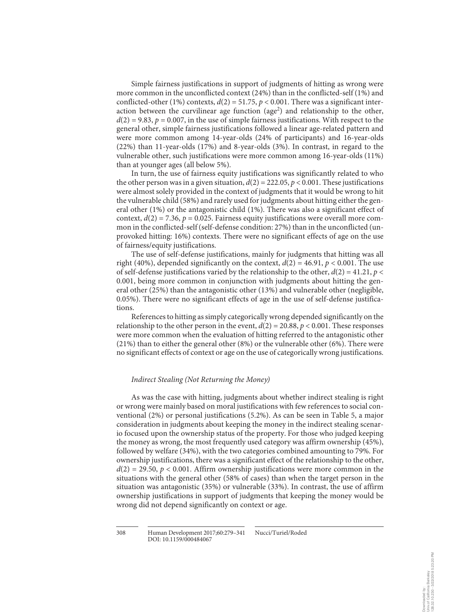Simple fairness justifications in support of judgments of hitting as wrong were more common in the unconflicted context (24%) than in the conflicted-self (1%) and conflicted-other (1%) contexts,  $d(2) = 51.75$ ,  $p < 0.001$ . There was a significant interaction between the curvilinear age function (age<sup>2</sup>) and relationship to the other,  $d(2) = 9.83$ ,  $p = 0.007$ , in the use of simple fairness justifications. With respect to the general other, simple fairness justifications followed a linear age-related pattern and were more common among 14-year-olds (24% of participants) and 16-year-olds (22%) than 11-year-olds (17%) and 8-year-olds (3%). In contrast, in regard to the vulnerable other, such justifications were more common among 16-year-olds (11%) than at younger ages (all below 5%).

 In turn, the use of fairness equity justifications was significantly related to who the other person was in a given situation,  $d(2) = 222.05$ ,  $p < 0.001$ . These justifications were almost solely provided in the context of judgments that it would be wrong to hit the vulnerable child (58%) and rarely used for judgments about hitting either the general other (1%) or the antagonistic child (1%). There was also a significant effect of context,  $d(2) = 7.36$ ,  $p = 0.025$ . Fairness equity justifications were overall more common in the conflicted-self (self-defense condition: 27%) than in the unconflicted (unprovoked hitting: 16%) contexts. There were no significant effects of age on the use of fairness/equity justifications.

The use of self-defense justifications, mainly for judgments that hitting was all right (40%), depended significantly on the context,  $d(2) = 46.91$ ,  $p < 0.001$ . The use of self-defense justifications varied by the relationship to the other,  $d(2) = 41.21$ ,  $p <$ 0.001, being more common in conjunction with judgments about hitting the general other (25%) than the antagonistic other (13%) and vulnerable other (negligible, 0.05%). There were no significant effects of age in the use of self-defense justifications.

 References to hitting as simply categorically wrong depended significantly on the relationship to the other person in the event,  $d(2) = 20.88$ ,  $p < 0.001$ . These responses were more common when the evaluation of hitting referred to the antagonistic other (21%) than to either the general other (8%) or the vulnerable other (6%). There were no significant effects of context or age on the use of categorically wrong justifications.

## *Indirect Stealing (Not Returning the Money)*

 As was the case with hitting, judgments about whether indirect stealing is right or wrong were mainly based on moral justifications with few references to social conventional (2%) or personal justifications (5.2%). As can be seen in Table 5, a major consideration in judgments about keeping the money in the indirect stealing scenario focused upon the ownership status of the property. For those who judged keeping the money as wrong, the most frequently used category was affirm ownership (45%), followed by welfare (34%), with the two categories combined amounting to 79%. For ownership justifications, there was a significant effect of the relationship to the other,  $d(2) = 29.50, p < 0.001$ . Affirm ownership justifications were more common in the situations with the general other (58% of cases) than when the target person in the situation was antagonistic (35%) or vulnerable (33%). In contrast, the use of affirm ownership justifications in support of judgments that keeping the money would be wrong did not depend significantly on context or age.

Human Development 2017;60:279–341 308 Nucci/Turiel/Roded DOI: 10.1159/000484067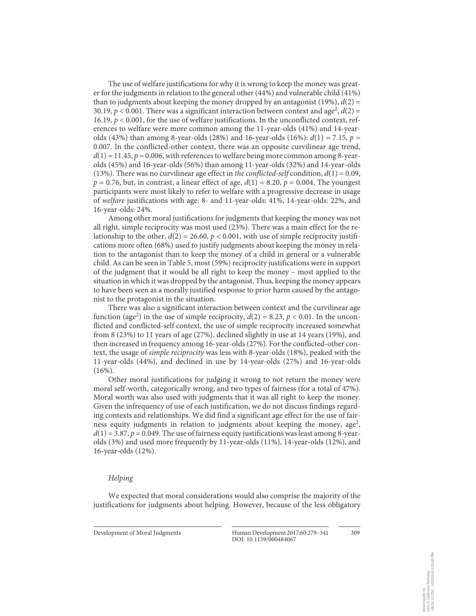The use of welfare justifications for why it is wrong to keep the money was greater for the judgments in relation to the general other (44%) and vulnerable child (41%) than to judgments about keeping the money dropped by an antagonist (19%),  $d(2)$  = 30.19,  $p < 0.001$ . There was a significant interaction between context and age<sup>2</sup>,  $d(2) =$ 16.19, *p* < 0.001, for the use of welfare justifications. In the unconflicted context, references to welfare were more common among the 11-year-olds (41%) and 14-yearolds (43%) than among 8-year-olds (28%) and 16-year-olds (16%):  $d(1) = 7.15$ ,  $p =$ 0.007. In the conflicted-other context, there was an opposite curvilinear age trend,  $d(1) = 11.45$ ,  $p = 0.006$ , with references to welfare being more common among 8-yearolds (45%) and 16-year-olds (56%) than among 11-year-olds (32%) and 14-year-olds (13%). There was no curvilinear age effect in *the conflicted-self* condition,  $d(1) = 0.09$ ,  $p = 0.76$ , but, in contrast, a linear effect of age,  $d(1) = 8.20$ ,  $p = 0.004$ . The youngest participants were most likely to refer to welfare with a progressive decrease in usage of *welfare* justifications with age: 8- and 11-year-olds: 41%, 14-year-olds: 22%, and 16-year-olds: 24%.

 Among other moral justifications for judgments that keeping the money was not all right, simple reciprocity was most used (23%). There was a main effect for the relationship to the other,  $d(2) = 26.60$ ,  $p < 0.001$ , with use of simple reciprocity justifications more often (68%) used to justify judgments about keeping the money in relation to the antagonist than to keep the money of a child in general or a vulnerable child. As can be seen in Table 5, most (59%) reciprocity justifications were in support of the judgment that it would be all right to keep the money – most applied to the situation in which it was dropped by the antagonist. Thus, keeping the money appears to have been seen as a morally justified response to prior harm caused by the antagonist to the protagonist in the situation.

 There was also a significant interaction between context and the curvilinear age function (age<sup>2</sup>) in the use of simple reciprocity,  $d(2) = 8.23$ ,  $p < 0.01$ . In the unconflicted and conflicted-self context, the use of simple reciprocity increased somewhat from 8 (23%) to 11 years of age (27%), declined slightly in use at 14 years (19%), and then increased in frequency among 16-year-olds (27%). For the conflicted-other context, the usage of *simple reciprocity* was less with 8-year-olds (18%), peaked with the 11-year-olds (44%), and declined in use by 14-year-olds (27%) and 16-year-olds (16%).

 Other moral justifications for judging it wrong to not return the money were moral self-worth, categorically wrong, and two types of fairness (for a total of 47%). Moral worth was also used with judgments that it was all right to keep the money. Given the infrequency of use of each justification, we do not discuss findings regarding contexts and relationships. We did find a significant age effect for the use of fairness equity judgments in relation to judgments about keeping the money, age<sup>2</sup>,  $d(1) = 3.87, p = 0.049$ . The use of fairness equity justifications was least among 8-yearolds (3%) and used more frequently by 11-year-olds (11%), 14-year-olds (12%), and 16-year-olds (12%).

## *Helping*

 We expected that moral considerations would also comprise the majority of the justifications for judgments about helping. However, because of the less obligatory

 Development of Moral Judgments Human Development 2017;60:279–341 309 DOI: 10.1159/000484067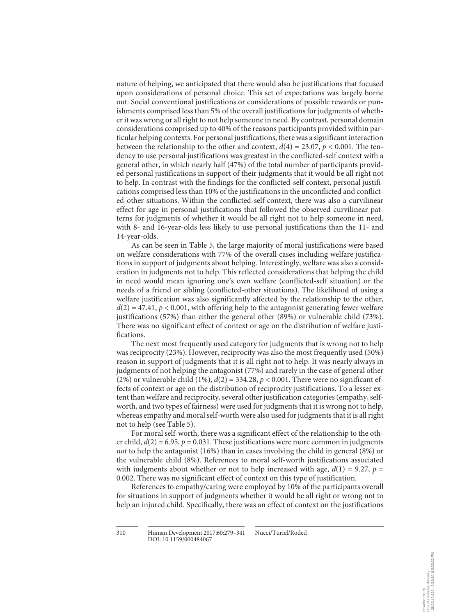nature of helping, we anticipated that there would also be justifications that focused upon considerations of personal choice. This set of expectations was largely borne out. Social conventional justifications or considerations of possible rewards or punishments comprised less than 5% of the overall justifications for judgments of whether it was wrong or all right to not help someone in need. By contrast, personal domain considerations comprised up to 40% of the reasons participants provided within particular helping contexts. For personal justifications, there was a significant interaction between the relationship to the other and context,  $d(4) = 23.07$ ,  $p < 0.001$ . The tendency to use personal justifications was greatest in the conflicted-self context with a general other, in which nearly half (47%) of the total number of participants provided personal justifications in support of their judgments that it would be all right not to help. In contrast with the findings for the conflicted-self context, personal justifications comprised less than 10% of the justifications in the unconflicted and conflicted-other situations. Within the conflicted-self context, there was also a curvilinear effect for age in personal justifications that followed the observed curvilinear patterns for judgments of whether it would be all right not to help someone in need, with 8- and 16-year-olds less likely to use personal justifications than the 11- and 14-year-olds.

 As can be seen in Table 5 , the large majority of moral justifications were based on welfare considerations with 77% of the overall cases including welfare justifications in support of judgments about helping. Interestingly, welfare was also a consideration in judgments not to help. This reflected considerations that helping the child in need would mean ignoring one's own welfare (conflicted-self situation) or the needs of a friend or sibling (conflicted-other situations). The likelihood of using a welfare justification was also significantly affected by the relationship to the other,  $d(2) = 47.41, p < 0.001$ , with offering help to the antagonist generating fewer welfare justifications (57%) than either the general other (89%) or vulnerable child (73%). There was no significant effect of context or age on the distribution of welfare justifications.

 The next most frequently used category for judgments that is wrong not to help was reciprocity (23%). However, reciprocity was also the most frequently used (50%) reason in support of judgments that it is all right not to help. It was nearly always in judgments of not helping the antagonist (77%) and rarely in the case of general other (2%) or vulnerable child (1%),  $d(2) = 334.28$ ,  $p < 0.001$ . There were no significant effects of context or age on the distribution of reciprocity justifications. To a lesser extent than welfare and reciprocity, several other justification categories (empathy, selfworth, and two types of fairness) were used for judgments that it is wrong not to help, whereas empathy and moral self-worth were also used for judgments that it is all right not to help (see Table 5).

 For moral self-worth, there was a significant effect of the relationship to the other child,  $d(2) = 6.95$ ,  $p = 0.031$ . These justifications were more common in judgments *not* to help the antagonist (16%) than in cases involving the child in general (8%) or the vulnerable child (8%). References to moral self-worth justifications associated with judgments about whether or not to help increased with age,  $d(1) = 9.27$ ,  $p =$ 0.002. There was no significant effect of context on this type of justification.

 References to empathy/caring were employed by 10% of the participants overall for situations in support of judgments whether it would be all right or wrong not to help an injured child. Specifically, there was an effect of context on the justifications

 Human Development 2017;60:279–341 310 Nucci/Turiel/Roded DOI: 10.1159/000484067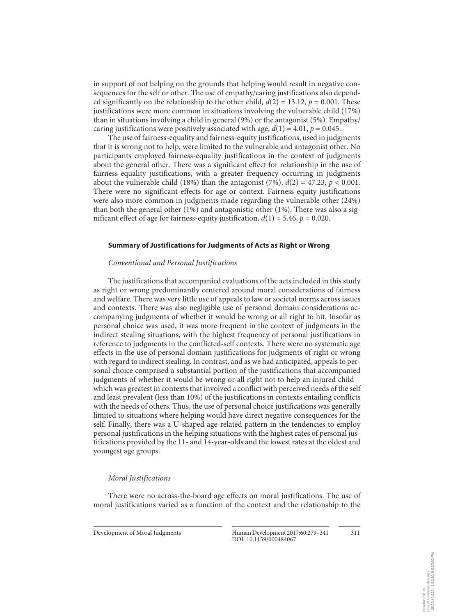in support of not helping on the grounds that helping would result in negative consequences for the self or other. The use of empathy/caring justifications also depended significantly on the relationship to the other child,  $d(2) = 13.12$ ,  $p = 0.001$ . These justifications were more common in situations involving the vulnerable child (17%) than in situations involving a child in general (9%) or the antagonist (5%). Empathy/ caring justifications were positively associated with age,  $d(1) = 4.01$ ,  $p = 0.045$ .

 The use of fairness-equality and fairness-equity justifications, used in judgments that it is wrong not to help, were limited to the vulnerable and antagonist other. No participants employed fairness-equality justifications in the context of judgments about the general other. There was a significant effect for relationship in the use of fairness-equality justifications, with a greater frequency occurring in judgments about the vulnerable child (18%) than the antagonist (7%),  $d(2) = 47.23$ ,  $p < 0.001$ . There were no significant effects for age or context. Fairness-equity justifications were also more common in judgments made regarding the vulnerable other (24%) than both the general other (1%) and antagonistic other (1%). There was also a significant effect of age for fairness-equity justification,  $d(1) = 5.46$ ,  $p = 0.020$ .

#### **Summary of Justifications for Judgments of Acts as Right or Wrong**

## *Conventional and Personal Justifications*

 The justifications that accompanied evaluations of the acts included in this study as right or wrong predominantly centered around moral considerations of fairness and welfare. There was very little use of appeals to law or societal norms across issues and contexts. There was also negligible use of personal domain considerations accompanying judgments of whether it would be wrong or all right to hit. Insofar as personal choice was used, it was more frequent in the context of judgments in the indirect stealing situations, with the highest frequency of personal justifications in reference to judgments in the conflicted-self contexts. There were no systematic age effects in the use of personal domain justifications for judgments of right or wrong with regard to indirect stealing. In contrast, and as we had anticipated, appeals to personal choice comprised a substantial portion of the justifications that accompanied judgments of whether it would be wrong or all right not to help an injured child – which was greatest in contexts that involved a conflict with perceived needs of the self and least prevalent (less than 10%) of the justifications in contexts entailing conflicts with the needs of others. Thus, the use of personal choice justifications was generally limited to situations where helping would have direct negative consequences for the self. Finally, there was a U-shaped age-related pattern in the tendencies to employ personal justifications in the helping situations with the highest rates of personal justifications provided by the 11- and 14-year-olds and the lowest rates at the oldest and youngest age groups.

#### *Moral Justifications*

 There were no across-the-board age effects on moral justifications. The use of moral justifications varied as a function of the context and the relationship to the

 Development of Moral Judgments Human Development 2017;60:279–341 311 DOI: 10.1159/000484067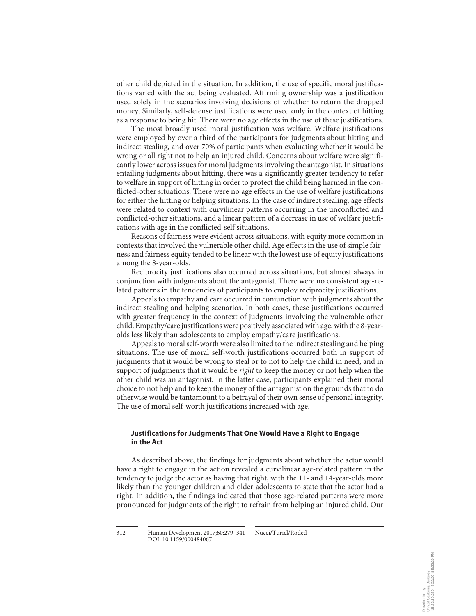other child depicted in the situation. In addition, the use of specific moral justifications varied with the act being evaluated. Affirming ownership was a justification used solely in the scenarios involving decisions of whether to return the dropped money. Similarly, self-defense justifications were used only in the context of hitting as a response to being hit. There were no age effects in the use of these justifications.

 The most broadly used moral justification was welfare. Welfare justifications were employed by over a third of the participants for judgments about hitting and indirect stealing, and over 70% of participants when evaluating whether it would be wrong or all right not to help an injured child. Concerns about welfare were significantly lower across issues for moral judgments involving the antagonist. In situations entailing judgments about hitting, there was a significantly greater tendency to refer to welfare in support of hitting in order to protect the child being harmed in the conflicted-other situations. There were no age effects in the use of welfare justifications for either the hitting or helping situations. In the case of indirect stealing, age effects were related to context with curvilinear patterns occurring in the unconflicted and conflicted-other situations, and a linear pattern of a decrease in use of welfare justifications with age in the conflicted-self situations.

 Reasons of fairness were evident across situations, with equity more common in contexts that involved the vulnerable other child. Age effects in the use of simple fairness and fairness equity tended to be linear with the lowest use of equity justifications among the 8-year-olds.

 Reciprocity justifications also occurred across situations, but almost always in conjunction with judgments about the antagonist. There were no consistent age-related patterns in the tendencies of participants to employ reciprocity justifications.

 Appeals to empathy and care occurred in conjunction with judgments about the indirect stealing and helping scenarios. In both cases, these justifications occurred with greater frequency in the context of judgments involving the vulnerable other child. Empathy/care justifications were positively associated with age, with the 8-yearolds less likely than adolescents to employ empathy/care justifications.

 Appeals to moral self-worth were also limited to the indirect stealing and helping situations. The use of moral self-worth justifications occurred both in support of judgments that it would be wrong to steal or to not to help the child in need, and in support of judgments that it would be *right* to keep the money or not help when the other child was an antagonist. In the latter case, participants explained their moral choice to not help and to keep the money of the antagonist on the grounds that to do otherwise would be tantamount to a betrayal of their own sense of personal integrity. The use of moral self-worth justifications increased with age.

## **Justifications for Judgments That One Would Have a Right to Engage in the Act**

 As described above, the findings for judgments about whether the actor would have a right to engage in the action revealed a curvilinear age-related pattern in the tendency to judge the actor as having that right, with the 11- and 14-year-olds more likely than the younger children and older adolescents to state that the actor had a right. In addition, the findings indicated that those age-related patterns were more pronounced for judgments of the right to refrain from helping an injured child. Our

Human Development 2017;60:279–341 312 Nucci/Turiel/Roded DOI: 10.1159/000484067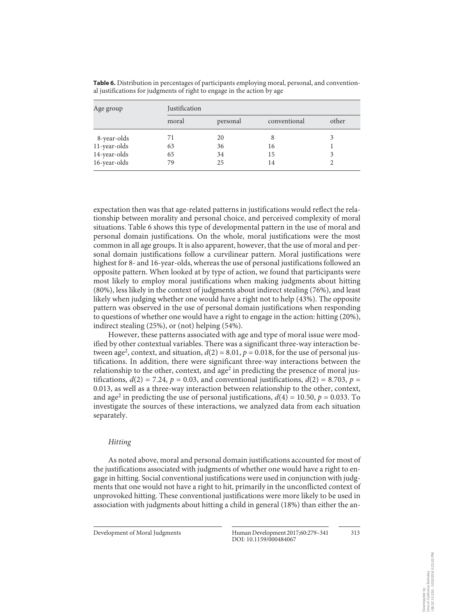| Age group    | <b>Justification</b> |          |              |       |  |  |  |  |  |  |
|--------------|----------------------|----------|--------------|-------|--|--|--|--|--|--|
|              | moral                | personal | conventional | other |  |  |  |  |  |  |
| 8-year-olds  | 71                   | 20       | 8            |       |  |  |  |  |  |  |
| 11-year-olds | 63                   | 36       | 16           |       |  |  |  |  |  |  |
| 14-year-olds | 65                   | 34       | 15           |       |  |  |  |  |  |  |
| 16-year-olds | 79                   | 25       | 14           |       |  |  |  |  |  |  |

 **Table 6.** Distribution in percentages of participants employing moral, personal, and conventional justifications for judgments of right to engage in the action by age

expectation then was that age-related patterns in justifications would reflect the relationship between morality and personal choice, and perceived complexity of moral situations. Table 6 shows this type of developmental pattern in the use of moral and personal domain justifications. On the whole, moral justifications were the most common in all age groups. It is also apparent, however, that the use of moral and personal domain justifications follow a curvilinear pattern. Moral justifications were highest for 8- and 16-year-olds, whereas the use of personal justifications followed an opposite pattern. When looked at by type of action, we found that participants were most likely to employ moral justifications when making judgments about hitting (80%), less likely in the context of judgments about indirect stealing (76%), and least likely when judging whether one would have a right not to help (43%). The opposite pattern was observed in the use of personal domain justifications when responding to questions of whether one would have a right to engage in the action: hitting (20%), indirect stealing (25%), or (not) helping (54%).

However, these patterns associated with age and type of moral issue were modified by other contextual variables. There was a significant three-way interaction between age<sup>2</sup>, context, and situation,  $d(2) = 8.01$ ,  $p = 0.018$ , for the use of personal justifications. In addition, there were significant three-way interactions between the relationship to the other, context, and age<sup>2</sup> in predicting the presence of moral justifications,  $d(2) = 7.24$ ,  $p = 0.03$ , and conventional justifications,  $d(2) = 8.703$ ,  $p =$ 0.013, as well as a three-way interaction between relationship to the other, context, and age<sup>2</sup> in predicting the use of personal justifications,  $d(4) = 10.50$ ,  $p = 0.033$ . To investigate the sources of these interactions, we analyzed data from each situation separately.

#### *Hitting*

 As noted above, moral and personal domain justifications accounted for most of the justifications associated with judgments of whether one would have a right to engage in hitting. Social conventional justifications were used in conjunction with judgments that one would not have a right to hit, primarily in the unconflicted context of unprovoked hitting. These conventional justifications were more likely to be used in association with judgments about hitting a child in general (18%) than either the an-

 Development of Moral Judgments Human Development 2017;60:279–341 313 DOI: 10.1159/000484067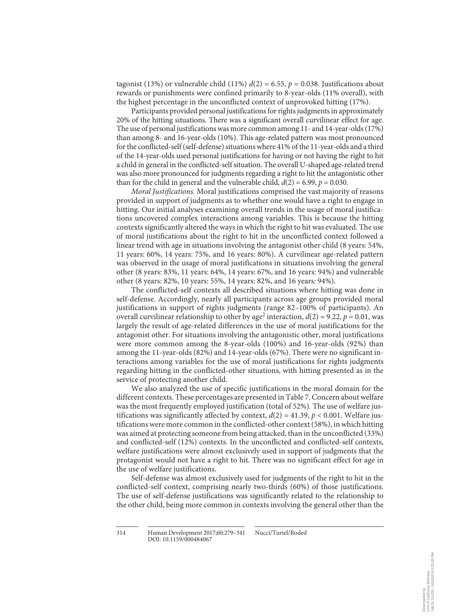tagonist (13%) or vulnerable child (11%)  $d(2) = 6.55$ ,  $p = 0.038$ . Justifications about rewards or punishments were confined primarily to 8-year-olds (11% overall), with the highest percentage in the unconflicted context of unprovoked hitting (17%).

 Participants provided personal justifications for rights judgments in approximately 20% of the hitting situations. There was a significant overall curvilinear effect for age. The use of personal justifications was more common among 11- and 14-year-olds (17%) than among 8- and 16-year-olds (10%). This age-related pattern was most pronounced for the conflicted-self (self-defense) situations where 41% of the 11-year-olds and a third of the 14-year-olds used personal justifications for having or not having the right to hit a child in general in the conflicted-self situation. The overall U-shaped age-related trend was also more pronounced for judgments regarding a right to hit the antagonistic other than for the child in general and the vulnerable child,  $d(2) = 6.99$ ,  $p = 0.030$ .

*Moral Justifications.* Moral justifications comprised the vast majority of reasons provided in support of judgments as to whether one would have a right to engage in hitting. Our initial analyses examining overall trends in the usage of moral justifications uncovered complex interactions among variables. This is because the hitting contexts significantly altered the ways in which the right to hit was evaluated. The use of moral justifications about the right to hit in the unconflicted context followed a linear trend with age in situations involving the antagonist other child (8 years: 54%, 11 years: 60%, 14 years: 75%, and 16 years: 80%). A curvilinear age-related pattern was observed in the usage of moral justifications in situations involving the general other (8 years: 83%, 11 years: 64%, 14 years: 67%, and 16 years: 94%) and vulnerable other (8 years: 82%, 10 years: 55%, 14 years: 82%, and 16 years: 94%).

 The conflicted-self contexts all described situations where hitting was done in self-defense. Accordingly, nearly all participants across age groups provided moral justifications in support of rights judgments (range 82–100% of participants). An overall curvilinear relationship to other by age<sup>2</sup> interaction,  $d(2) = 9.22$ ,  $p = 0.01$ , was largely the result of age-related differences in the use of moral justifications for the antagonist other. For situations involving the antagonistic other, moral justifications were more common among the 8-year-olds (100%) and 16-year-olds (92%) than among the 11-year-olds (82%) and 14-year-olds (67%). There were no significant interactions among variables for the use of moral justifications for rights judgments regarding hitting in the conflicted-other situations, with hitting presented as in the service of protecting another child.

 We also analyzed the use of specific justifications in the moral domain for the different contexts. These percentages are presented in Table 7. Concern about welfare was the most frequently employed justification (total of 52%) *.* The use of welfare justifications was significantly affected by context,  $d(2) = 41.39$ ,  $p < 0.001$ . Welfare justifications were more common in the conflicted-other context (58%), in which hitting was aimed at protecting someone from being attacked, than in the unconflicted (33%) and conflicted-self (12%) contexts. In the unconflicted and conflicted-self contexts, welfare justifications were almost exclusively used in support of judgments that the protagonist would not have a right to hit. There was no significant effect for age in the use of welfare justifications.

 Self-defense was almost exclusively used for judgments of the right to hit in the conflicted-self context, comprising nearly two-thirds (60%) of those justifications. The use of self-defense justifications was significantly related to the relationship to the other child, being more common in contexts involving the general other than the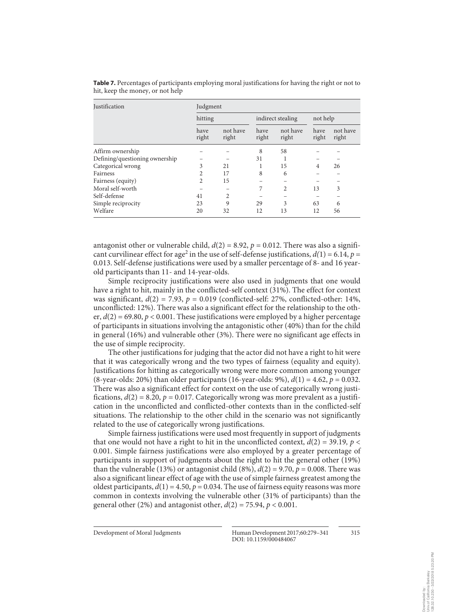| <b>Iustification</b>           | Judgment       |                   |               |                   |               |                   |  |  |  |  |
|--------------------------------|----------------|-------------------|---------------|-------------------|---------------|-------------------|--|--|--|--|
|                                | hitting        |                   |               | indirect stealing | not help      |                   |  |  |  |  |
|                                | have<br>right  | not have<br>right | have<br>right | not have<br>right | have<br>right | not have<br>right |  |  |  |  |
| Affirm ownership               |                |                   | 8             | 58                |               |                   |  |  |  |  |
| Defining/questioning ownership |                |                   | 31            |                   |               |                   |  |  |  |  |
| Categorical wrong              | 3              | 21                |               | 15                | 4             | 26                |  |  |  |  |
| Fairness                       | 2              | 17                | 8             | 6                 |               |                   |  |  |  |  |
| Fairness (equity)              | $\overline{c}$ | 15                |               |                   |               |                   |  |  |  |  |
| Moral self-worth               |                |                   | 7             | $\overline{2}$    | 13            | 3                 |  |  |  |  |
| Self-defense                   | 41             | 2                 |               |                   |               |                   |  |  |  |  |
| Simple reciprocity             | 23             | 9                 | 29            | 3                 | 63            | 6                 |  |  |  |  |
| Welfare                        | 20             | 32                | 12            | 13                | 12            | 56                |  |  |  |  |

 **Table 7.** Percentages of participants employing moral justifications for having the right or not to hit, keep the money, or not help

antagonist other or vulnerable child,  $d(2) = 8.92$ ,  $p = 0.012$ . There was also a significant curvilinear effect for age<sup>2</sup> in the use of self-defense justifications,  $d(1) = 6.14$ ,  $p =$ 0.013. Self-defense justifications were used by a smaller percentage of 8- and 16 yearold participants than 11- and 14-year-olds.

 Simple reciprocity justifications were also used in judgments that one would have a right to hit, mainly in the conflicted-self context (31%). The effect for context was significant,  $d(2) = 7.93$ ,  $p = 0.019$  (conflicted-self: 27%, conflicted-other: 14%, unconflicted: 12%). There was also a significant effect for the relationship to the other,  $d(2) = 69.80$ ,  $p < 0.001$ . These justifications were employed by a higher percentage of participants in situations involving the antagonistic other (40%) than for the child in general (16%) and vulnerable other (3%). There were no significant age effects in the use of simple reciprocity.

 The other justifications for judging that the actor did not have a right to hit were that it was categorically wrong and the two types of fairness (equality and equity). Justifications for hitting as categorically wrong were more common among younger (8-year-olds: 20%) than older participants (16-year-olds: 9%), *d* (1) = 4.62, *p* = 0.032. There was also a significant effect for context on the use of categorically wrong justifications,  $d(2) = 8.20$ ,  $p = 0.017$ . Categorically wrong was more prevalent as a justification in the unconflicted and conflicted-other contexts than in the conflicted-self situations. The relationship to the other child in the scenario was not significantly related to the use of categorically wrong justifications.

 Simple fairness justifications were used most frequently in support of judgments that one would not have a right to hit in the unconflicted context,  $d(2) = 39.19$ ,  $p <$ 0.001. Simple fairness justifications were also employed by a greater percentage of participants in support of judgments about the right to hit the general other (19%) than the vulnerable (13%) or antagonist child (8%),  $d(2) = 9.70$ ,  $p = 0.008$ . There was also a significant linear effect of age with the use of simple fairness greatest among the oldest participants,  $d(1) = 4.50$ ,  $p = 0.034$ . The use of fairness equity reasons was more common in contexts involving the vulnerable other (31% of participants) than the general other (2%) and antagonist other,  $d(2) = 75.94$ ,  $p < 0.001$ .

 Development of Moral Judgments Human Development 2017;60:279–341 315 DOI: 10.1159/000484067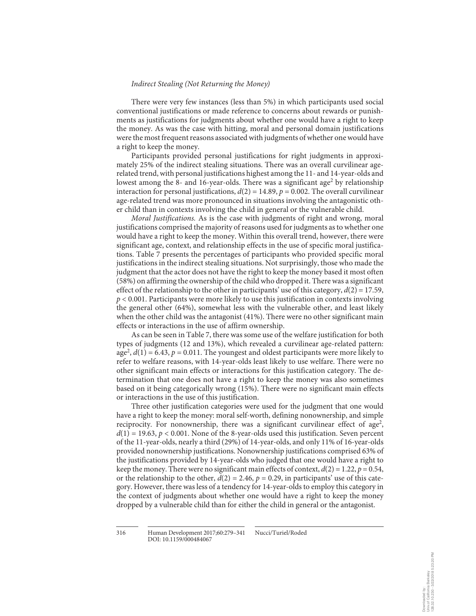#### *Indirect Stealing (Not Returning the Money)*

 There were very few instances (less than 5%) in which participants used social conventional justifications or made reference to concerns about rewards or punishments as justifications for judgments about whether one would have a right to keep the money. As was the case with hitting, moral and personal domain justifications were the most frequent reasons associated with judgments of whether one would have a right to keep the money.

 Participants provided personal justifications for right judgments in approximately 25% of the indirect stealing situations. There was an overall curvilinear agerelated trend, with personal justifications highest among the 11- and 14-year-olds and lowest among the 8- and 16-year-olds. There was a significant age<sup>2</sup> by relationship interaction for personal justifications,  $d(2) = 14.89$ ,  $p = 0.002$ . The overall curvilinear age-related trend was more pronounced in situations involving the antagonistic other child than in contexts involving the child in general or the vulnerable child.

*Moral Justifications.* As is the case with judgments of right and wrong, moral justifications comprised the majority of reasons used for judgments as to whether one would have a right to keep the money. Within this overall trend, however, there were significant age, context, and relationship effects in the use of specific moral justifications. Table 7 presents the percentages of participants who provided specific moral justifications in the indirect stealing situations. Not surprisingly, those who made the judgment that the actor does not have the right to keep the money based it most often (58%) on affirming the ownership of the child who dropped it. There was a significant effect of the relationship to the other in participants' use of this category,  $d(2) = 17.59$ , *p* < 0.001. Participants were more likely to use this justification in contexts involving the general other (64%), somewhat less with the vulnerable other, and least likely when the other child was the antagonist (41%). There were no other significant main effects or interactions in the use of affirm ownership.

 As can be seen in Table 7 , there was some use of the welfare justification for both types of judgments (12 and 13%), which revealed a curvilinear age-related pattern: age<sup>2</sup>,  $d(1) = 6.43$ ,  $p = 0.011$ . The youngest and oldest participants were more likely to refer to welfare reasons, with 14-year-olds least likely to use welfare. There were no other significant main effects or interactions for this justification category. The determination that one does not have a right to keep the money was also sometimes based on it being categorically wrong (15%). There were no significant main effects or interactions in the use of this justification.

 Three other justification categories were used for the judgment that one would have a right to keep the money: moral self-worth, defining nonownership, and simple reciprocity. For nonownership, there was a significant curvilinear effect of  $age<sup>2</sup>$ ,  $d(1) = 19.63$ ,  $p < 0.001$ . None of the 8-year-olds used this justification. Seven percent of the 11-year-olds, nearly a third (29%) of 14-year-olds, and only 11% of 16-year-olds provided nonownership justifications. Nonownership justifications comprised 63% of the justifications provided by 14-year-olds who judged that one would have a right to keep the money. There were no significant main effects of context,  $d(2) = 1.22$ ,  $p = 0.54$ , or the relationship to the other,  $d(2) = 2.46$ ,  $p = 0.29$ , in participants' use of this category. However, there was less of a tendency for 14-year-olds to employ this category in the context of judgments about whether one would have a right to keep the money dropped by a vulnerable child than for either the child in general or the antagonist.

 Human Development 2017;60:279–341 316 Nucci/Turiel/Roded DOI: 10.1159/000484067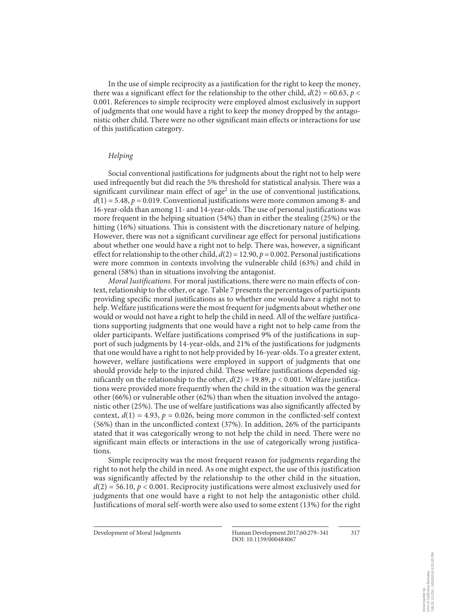In the use of simple reciprocity as a justification for the right to keep the money, there was a significant effect for the relationship to the other child,  $d(2) = 60.63$ ,  $p <$ 0.001. References to simple reciprocity were employed almost exclusively in support of judgments that one would have a right to keep the money dropped by the antagonistic other child. There were no other significant main effects or interactions for use of this justification category.

## *Helping*

 Social conventional justifications for judgments about the right not to help were used infrequently but did reach the 5% threshold for statistical analysis. There was a significant curvilinear main effect of  $age<sup>2</sup>$  in the use of conventional justifications,  $d(1) = 5.48$ ,  $p = 0.019$ . Conventional justifications were more common among 8- and 16-year-olds than among 11- and 14-year-olds. The use of personal justifications was more frequent in the helping situation (54%) than in either the stealing (25%) or the hitting (16%) situations. This is consistent with the discretionary nature of helping. However, there was not a significant curvilinear age effect for personal justifications about whether one would have a right not to help. There was, however, a significant effect for relationship to the other child,  $d(2) = 12.90$ ,  $p = 0.002$ . Personal justifications were more common in contexts involving the vulnerable child (63%) and child in general (58%) than in situations involving the antagonist.

*Moral Justifications.* For moral justifications, there were no main effects of context, relationship to the other, or age. Table 7 presents the percentages of participants providing specific moral justifications as to whether one would have a right not to help. Welfare justifications were the most frequent for judgments about whether one would or would not have a right to help the child in need. All of the welfare justifications supporting judgments that one would have a right not to help came from the older participants. Welfare justifications comprised 9% of the justifications in support of such judgments by 14-year-olds, and 21% of the justifications for judgments that one would have a right to not help provided by 16-year-olds. To a greater extent, however, welfare justifications were employed in support of judgments that one should provide help to the injured child. These welfare justifications depended significantly on the relationship to the other,  $d(2) = 19.89$ ,  $p < 0.001$ . Welfare justifications were provided more frequently when the child in the situation was the general other (66%) or vulnerable other (62%) than when the situation involved the antagonistic other (25%). The use of welfare justifications was also significantly affected by context,  $d(1) = 4.93$ ,  $p = 0.026$ , being more common in the conflicted-self context (56%) than in the unconflicted context (37%). In addition, 26% of the participants stated that it was categorically wrong to not help the child in need. There were no significant main effects or interactions in the use of categorically wrong justifications.

 Simple reciprocity was the most frequent reason for judgments regarding the right to not help the child in need. As one might expect, the use of this justification was significantly affected by the relationship to the other child in the situation,  $d(2) = 56.10, p < 0.001$ . Reciprocity justifications were almost exclusively used for judgments that one would have a right to not help the antagonistic other child. Justifications of moral self-worth were also used to some extent (13%) for the right

 Development of Moral Judgments Human Development 2017;60:279–341 317 DOI: 10.1159/000484067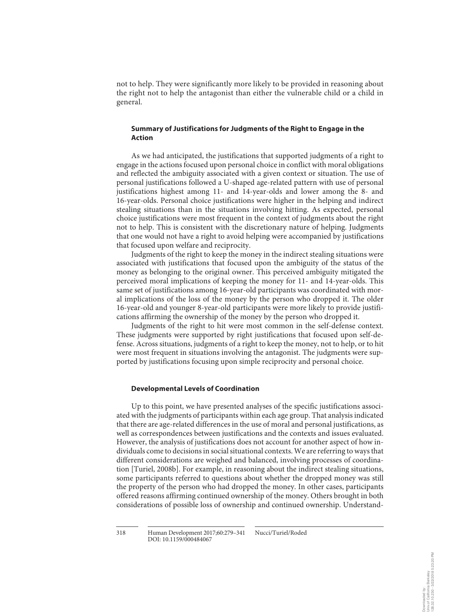not to help. They were significantly more likely to be provided in reasoning about the right not to help the antagonist than either the vulnerable child or a child in general.

## **Summary of Justifications for Judgments of the Right to Engage in the Action**

 As we had anticipated, the justifications that supported judgments of a right to engage in the actions focused upon personal choice in conflict with moral obligations and reflected the ambiguity associated with a given context or situation. The use of personal justifications followed a U-shaped age-related pattern with use of personal justifications highest among 11- and 14-year-olds and lower among the 8- and 16-year-olds. Personal choice justifications were higher in the helping and indirect stealing situations than in the situations involving hitting. As expected, personal choice justifications were most frequent in the context of judgments about the right not to help. This is consistent with the discretionary nature of helping. Judgments that one would not have a right to avoid helping were accompanied by justifications that focused upon welfare and reciprocity.

 Judgments of the right to keep the money in the indirect stealing situations were associated with justifications that focused upon the ambiguity of the status of the money as belonging to the original owner. This perceived ambiguity mitigated the perceived moral implications of keeping the money for 11- and 14-year-olds. This same set of justifications among 16-year-old participants was coordinated with moral implications of the loss of the money by the person who dropped it. The older 16-year-old and younger 8-year-old participants were more likely to provide justifications affirming the ownership of the money by the person who dropped it.

 Judgments of the right to hit were most common in the self-defense context. These judgments were supported by right justifications that focused upon self-defense. Across situations, judgments of a right to keep the money, not to help, or to hit were most frequent in situations involving the antagonist. The judgments were supported by justifications focusing upon simple reciprocity and personal choice.

#### **Developmental Levels of Coordination**

 Up to this point, we have presented analyses of the specific justifications associated with the judgments of participants within each age group. That analysis indicated that there are age-related differences in the use of moral and personal justifications, as well as correspondences between justifications and the contexts and issues evaluated. However, the analysis of justifications does not account for another aspect of how individuals come to decisions in social situational contexts. We are referring to ways that different considerations are weighed and balanced, involving processes of coordination [Turiel, 2008b]. For example, in reasoning about the indirect stealing situations, some participants referred to questions about whether the dropped money was still the property of the person who had dropped the money. In other cases, participants offered reasons affirming continued ownership of the money. Others brought in both considerations of possible loss of ownership and continued ownership. Understand-

Human Development 2017;60:279–341 318 Nucci/Turiel/Roded DOI: 10.1159/000484067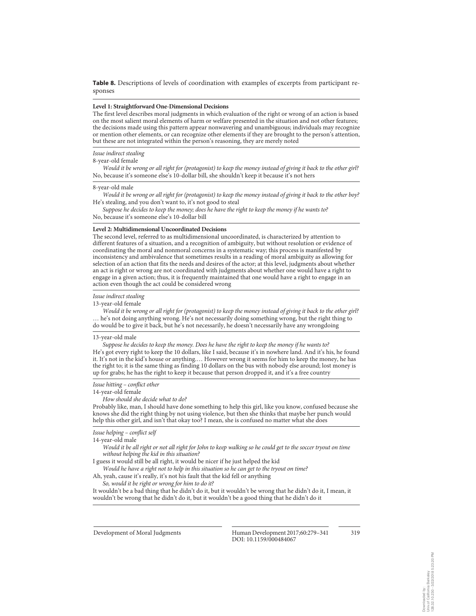**Table 8.** Descriptions of levels of coordination with examples of excerpts from participant responses

#### **Level 1: Straightforward One-Dimensional Decisions**

The first level describes moral judgments in which evaluation of the right or wrong of an action is based on the most salient moral elements of harm or welfare presented in the situation and not other features; the decisions made using this pattern appear nonwavering and unambiguous; individuals may recognize or mention other elements, or can recognize other elements if they are brought to the person's attention, but these are not integrated within the person's reasoning, they are merely noted

#### *Issue indirect stealing*

#### 8-year-old female

Would it be wrong or all right for (protagonist) to keep the money instead of giving it back to the other girl? No, because it's someone else's 10-dollar bill, she shouldn't keep it because it's not hers

#### 8-year-old male

Would it be wrong or all right for (protagonist) to keep the money instead of giving it back to the other boy? He's stealing, and you don't want to, it's not good to steal

Suppose he decides to keep the money; does he have the right to keep the money if he wants to? No, because it's someone else's 10-dollar bill

#### **Level 2: Multidimensional Uncoordinated Decisions**

The second level, referred to as multidimensional uncoordinated, is characterized by attention to different features of a situation, and a recognition of ambiguity, but without resolution or evidence of coordinating the moral and nonmoral concerns in a systematic way; this process is manifested by inconsistency and ambivalence that sometimes results in a reading of moral ambiguity as allowing for selection of an action that fits the needs and desires of the actor; at this level, judgments about whether an act is right or wrong are not coordinated with judgments about whether one would have a right to engage in a given action; thus, it is frequently maintained that one would have a right to engage in an action even though the act could be considered wrong

#### *Issue indirect stealing*

#### 13-year-old female

Would it be wrong or all right for (protagonist) to keep the money instead of giving it back to the other girl? … he's not doing anything wrong. He's not necessarily doing something wrong, but the right thing to do would be to give it back, but he's not necessarily, he doesn't necessarily have any wrongdoing

#### 13-year-old male

Suppose he decides to keep the money. Does he have the right to keep the money if he wants to? He's got every right to keep the 10 dollars, like I said, because it's in nowhere land. And it's his, he found it. It's not in the kid's house or anything.… However wrong it seems for him to keep the money, he has the right to; it is the same thing as finding 10 dollars on the bus with nobody else around; lost money is up for grabs; he has the right to keep it because that person dropped it, and it's a free country

*Issue hitting – conflict other*

14-year-old female

*How should she decide what to do?*

Probably like, man, I should have done something to help this girl, like you know, confused because she knows she did the right thing by not using violence, but then she thinks that maybe her punch would help this other girl, and isn't that okay too? I mean, she is confused no matter what she does

*Issue helping – conflict self*

#### 14-year-old male

Would it be all right or not all right for John to keep walking so he could get to the soccer tryout on time *without helping the kid in this situation?*

I guess it would still be all right, it would be nicer if he just helped the kid

Would he have a right not to help in this situation so he can get to the tryout on time?

Ah, yeah, cause it's really, it's not his fault that the kid fell or anything

*So, would it be right or wrong for him to do it?*

It wouldn't be a bad thing that he didn't do it, but it wouldn't be wrong that he didn't do it, I mean, it wouldn't be wrong that he didn't do it, but it wouldn't be a good thing that he didn't do it

 Development of Moral Judgments Human Development 2017;60:279–341 319 DOI: 10.1159/000484067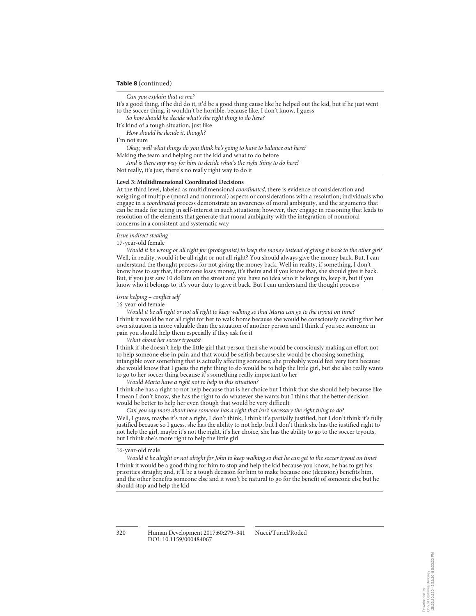#### **Table 8** (continued)

*Can you explain that to me?*

It's a good thing, if he did do it, it'd be a good thing cause like he helped out the kid, but if he just went to the soccer thing, it wouldn't be horrible, because like, I don't know, I guess

*So how should he decide what's the right thing to do here?*

It's kind of a tough situation, just like

*How should he decide it, though?*

I'm not sure

*Okay, well what things do you think he's going to have to balance out here?*

Making the team and helping out the kid and what to do before *And is there any way for him to decide what's the right thing to do here?*

Not really, it's just, there's no really right way to do it

#### **Level 3: Multidimensional Coordinated Decisions**

At the third level, labeled as multidimensional *coordinated,* there is evidence of consideration and weighing of multiple (moral and nonmoral) aspects or considerations with a resolution; individuals who engage in a *coordinated* process demonstrate an awareness of moral ambiguity, and the arguments that can be made for acting in self-interest in such situations; however, they engage in reasoning that leads to resolution of the elements that generate that moral ambiguity with the integration of nonmoral concerns in a consistent and systematic way

#### *Issue indirect stealing*

17-year-old female

Would it be wrong or all right for (protagonist) to keep the money instead of giving it back to the other girl? Well, in reality, would it be all right or not all right? You should always give the money back. But, I can understand the thought process for not giving the money back. Well in reality, if something, I don't know how to say that, if someone loses money, it's theirs and if you know that, she should give it back. But, if you just saw 10 dollars on the street and you have no idea who it belongs to, keep it, but if you know who it belongs to, it's your duty to give it back. But I can understand the thought process

#### *Issue helping* – *conflict self*

16-year-old female

Would it be all right or not all right to keep walking so that Maria can go to the tryout on time? I think it would be not all right for her to walk home because she would be consciously deciding that her own situation is more valuable than the situation of another person and I think if you see someone in pain you should help them especially if they ask for it

*What about her soccer tryouts?*

I think if she doesn't help the little girl that person then she would be consciously making an effort not to help someone else in pain and that would be selfish because she would be choosing something intangible over something that is actually affecting someone; she probably would feel very torn because she would know that I guess the right thing to do would be to help the little girl, but she also really wants to go to her soccer thing because it's something really important to her

*Would Maria have a right not to help in this situation?*

I think she has a right to not help because that is her choice but I think that she should help because like I mean I don't know, she has the right to do whatever she wants but I think that the better decision would be better to help her even though that would be very difficult

*Can you say more about how someone has a right that isn't necessary the right thing to do?*

Well, I guess, maybe it's not a right, I don't think, I think it's partially justified, but I don't think it's fully justified because so I guess, she has the ability to not help, but I don't think she has the justified right to not help the girl, maybe it's not the right, it's her choice, she has the ability to go to the soccer tryouts, but I think she's more right to help the little girl

#### 16-year-old male

Would it be alright or not alright for John to keep walking so that he can get to the soccer tryout on time? I think it would be a good thing for him to stop and help the kid because you know, he has to get his priorities straight; and, it'll be a tough decision for him to make because one (decision) benefits him, and the other benefits someone else and it won't be natural to go for the benefit of someone else but he should stop and help the kid

 Human Development 2017;60:279–341 320 Nucci/Turiel/Roded DOI: 10.1159/000484067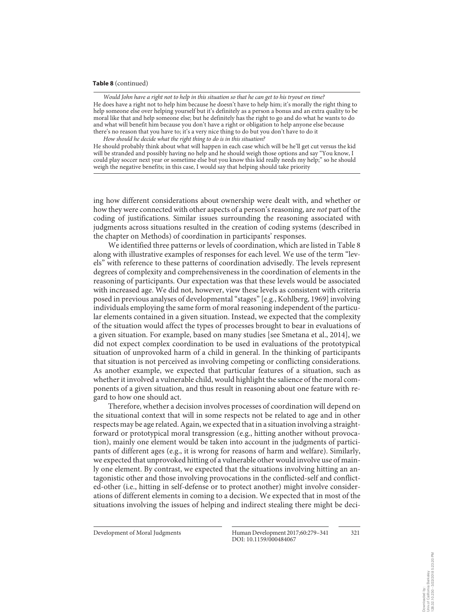#### **Table 8** (continued)

Would John have a right not to help in this situation so that he can get to his tryout on time? He does have a right not to help him because he doesn't have to help him; it's morally the right thing to help someone else over helping yourself but it's definitely as a person a bonus and an extra quality to be moral like that and help someone else; but he definitely has the right to go and do what he wants to do and what will benefit him because you don't have a right or obligation to help anyone else because there's no reason that you have to; it's a very nice thing to do but you don't have to do it

*How should he decide what the right thing to do is in this situation?*

He should probably think about what will happen in each case which will be he'll get cut versus the kid will be stranded and possibly having no help and he should weigh those options and say "You know, I could play soccer next year or sometime else but you know this kid really needs my help;" so he should weigh the negative benefits; in this case, I would say that helping should take priority

ing how different considerations about ownership were dealt with, and whether or how they were connected with other aspects of a person's reasoning, are *not* part of the coding of justifications. Similar issues surrounding the reasoning associated with judgments across situations resulted in the creation of coding systems (described in the chapter on Methods) of coordination in participants' responses.

 We identified three patterns or levels of coordination, which are listed in Table 8 along with illustrative examples of responses for each level. We use of the term "levels" with reference to these patterns of coordination advisedly. The levels represent degrees of complexity and comprehensiveness in the coordination of elements in the reasoning of participants. Our expectation was that these levels would be associated with increased age. We did not, however, view these levels as consistent with criteria posed in previous analyses of developmental "stages" [e.g., Kohlberg, 1969] involving individuals employing the same form of moral reasoning independent of the particular elements contained in a given situation. Instead, we expected that the complexity of the situation would affect the types of processes brought to bear in evaluations of a given situation. For example, based on many studies [see Smetana et al., 2014], we did not expect complex coordination to be used in evaluations of the prototypical situation of unprovoked harm of a child in general. In the thinking of participants that situation is not perceived as involving competing or conflicting considerations. As another example, we expected that particular features of a situation, such as whether it involved a vulnerable child, would highlight the salience of the moral components of a given situation, and thus result in reasoning about one feature with regard to how one should act.

 Therefore, whether a decision involves processes of coordination will depend on the situational context that will in some respects not be related to age and in other respects may be age related. Again, we expected that in a situation involving a straightforward or prototypical moral transgression (e.g., hitting another without provocation), mainly one element would be taken into account in the judgments of participants of different ages (e.g., it is wrong for reasons of harm and welfare). Similarly, we expected that unprovoked hitting of a vulnerable other would involve use of mainly one element. By contrast, we expected that the situations involving hitting an antagonistic other and those involving provocations in the conflicted-self and conflicted-other (i.e., hitting in self-defense or to protect another) might involve considerations of different elements in coming to a decision. We expected that in most of the situations involving the issues of helping and indirect stealing there might be deci-

 Development of Moral Judgments Human Development 2017;60:279–341 321 DOI: 10.1159/000484067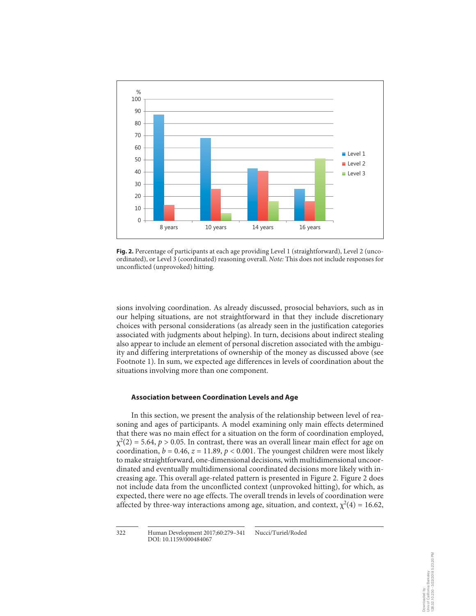

Fig. 2. Percentage of participants at each age providing Level 1 (straightforward), Level 2 (uncoordinated), or Level 3 (coordinated) reasoning overall. *Note:* This does not include responses for unconflicted (unprovoked) hitting.

sions involving coordination. As already discussed, prosocial behaviors, such as in our helping situations, are not straightforward in that they include discretionary choices with personal considerations (as already seen in the justification categories associated with judgments about helping). In turn, decisions about indirect stealing also appear to include an element of personal discretion associated with the ambiguity and differing interpretations of ownership of the money as discussed above (see Footnote 1). In sum, we expected age differences in levels of coordination about the situations involving more than one component.

## **Association between Coordination Levels and Age**

 In this section, we present the analysis of the relationship between level of reasoning and ages of participants. A model examining only main effects determined that there was no main effect for a situation on the form of coordination employed,  $\chi^2(2) = 5.64$ ,  $p > 0.05$ . In contrast, there was an overall linear main effect for age on coordination,  $b = 0.46$ ,  $z = 11.89$ ,  $p < 0.001$ . The youngest children were most likely to make straightforward, one-dimensional decisions, with multidimensional uncoordinated and eventually multidimensional coordinated decisions more likely with increasing age. This overall age-related pattern is presented in Figure 2 . Figure 2 does not include data from the unconflicted context (unprovoked hitting), for which, as expected, there were no age effects. The overall trends in levels of coordination were affected by three-way interactions among age, situation, and context,  $\chi^2(4) = 16.62$ ,

 Human Development 2017;60:279–341 322 Nucci/Turiel/Roded DOI: 10.1159/000484067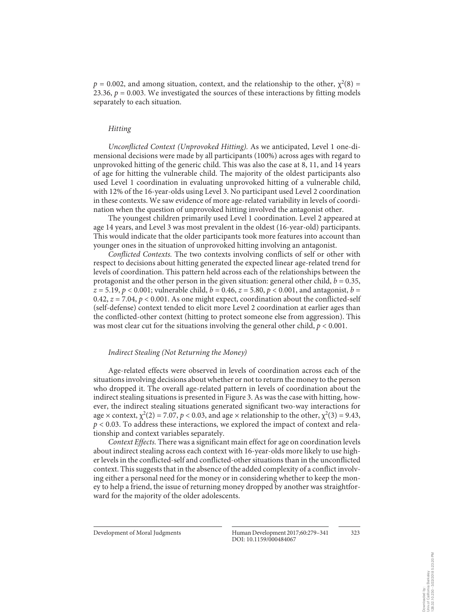$p = 0.002$ , and among situation, context, and the relationship to the other,  $\chi^2(8) =$ 23.36,  $p = 0.003$ . We investigated the sources of these interactions by fitting models separately to each situation.

#### *Hitting*

*Unconflicted Context (Unprovoked Hitting).* As we anticipated, Level 1 one-dimensional decisions were made by all participants (100%) across ages with regard to unprovoked hitting of the generic child. This was also the case at 8, 11, and 14 years of age for hitting the vulnerable child. The majority of the oldest participants also used Level 1 coordination in evaluating unprovoked hitting of a vulnerable child, with 12% of the 16-year-olds using Level 3. No participant used Level 2 coordination in these contexts. We saw evidence of more age-related variability in levels of coordination when the question of unprovoked hitting involved the antagonist other.

 The youngest children primarily used Level 1 coordination. Level 2 appeared at age 14 years, and Level 3 was most prevalent in the oldest (16-year-old) participants. This would indicate that the older participants took more features into account than younger ones in the situation of unprovoked hitting involving an antagonist.

*Conflicted Contexts.* The two contexts involving conflicts of self or other with respect to decisions about hitting generated the expected linear age-related trend for levels of coordination. This pattern held across each of the relationships between the protagonist and the other person in the given situation: general other child, *b =* 0.35,  $z = 5.19$ ,  $p < 0.001$ ; vulnerable child,  $b = 0.46$ ,  $z = 5.80$ ,  $p < 0.001$ , and antagonist,  $b = 0.46$ 0.42,  $z = 7.04$ ,  $p < 0.001$ . As one might expect, coordination about the conflicted-self (self-defense) context tended to elicit more Level 2 coordination at earlier ages than the conflicted-other context (hitting to protect someone else from aggression). This was most clear cut for the situations involving the general other child, *p* < 0.001.

#### *Indirect Stealing (Not Returning the Money)*

 Age-related effects were observed in levels of coordination across each of the situations involving decisions about whether or not to return the money to the person who dropped it. The overall age-related pattern in levels of coordination about the indirect stealing situations is presented in Figure 3. As was the case with hitting, however, the indirect stealing situations generated significant two-way interactions for age  $\times$  context,  $\chi^2(2) = 7.07$ ,  $p < 0.03$ , and age  $\times$  relationship to the other,  $\chi^2(3) = 9.43$ , *p* < 0.03. To address these interactions, we explored the impact of context and relationship and context variables separately.

*Context Effects.* There was a significant main effect for age on coordination levels about indirect stealing across each context with 16-year-olds more likely to use higher levels in the conflicted-self and conflicted-other situations than in the unconflicted context. This suggests that in the absence of the added complexity of a conflict involving either a personal need for the money or in considering whether to keep the money to help a friend, the issue of returning money dropped by another was straightforward for the majority of the older adolescents.

 Development of Moral Judgments Human Development 2017;60:279–341 323 DOI: 10.1159/000484067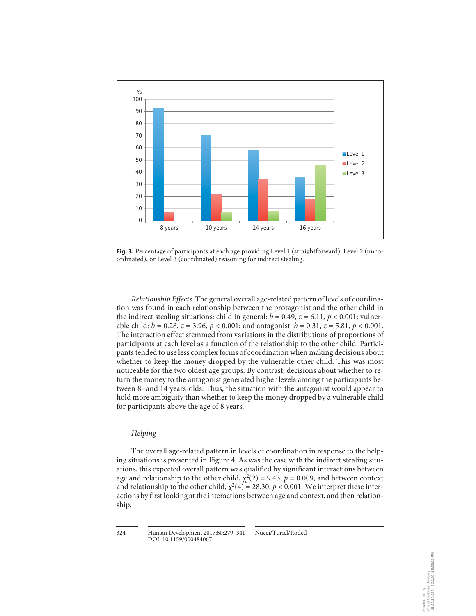

Fig. 3. Percentage of participants at each age providing Level 1 (straightforward), Level 2 (uncoordinated), or Level 3 (coordinated) reasoning for indirect stealing.

*Relationship Effects.* The general overall age-related pattern of levels of coordination was found in each relationship between the protagonist and the other child in the indirect stealing situations: child in general:  $b = 0.49$ ,  $z = 6.11$ ,  $p < 0.001$ ; vulnerable child:  $b = 0.28$ ,  $z = 3.96$ ,  $p < 0.001$ ; and antagonist:  $b = 0.31$ ,  $z = 5.81$ ,  $p < 0.001$ . The interaction effect stemmed from variations in the distributions of proportions of participants at each level as a function of the relationship to the other child. Participants tended to use less complex forms of coordination when making decisions about whether to keep the money dropped by the vulnerable other child. This was most noticeable for the two oldest age groups. By contrast, decisions about whether to return the money to the antagonist generated higher levels among the participants between 8- and 14 years-olds. Thus, the situation with the antagonist would appear to hold more ambiguity than whether to keep the money dropped by a vulnerable child for participants above the age of 8 years.

## *Helping*

 The overall age-related pattern in levels of coordination in response to the helping situations is presented in Figure 4. As was the case with the indirect stealing situations, this expected overall pattern was qualified by significant interactions between age and relationship to the other child,  $\chi^2(2) = 9.43$ ,  $p = 0.009$ , and between context and relationship to the other child,  $\chi^2(4) = 28.30, p < 0.001$ . We interpret these interactions by first looking at the interactions between age and context, and then relationship.

 Human Development 2017;60:279–341 324 Nucci/Turiel/Roded DOI: 10.1159/000484067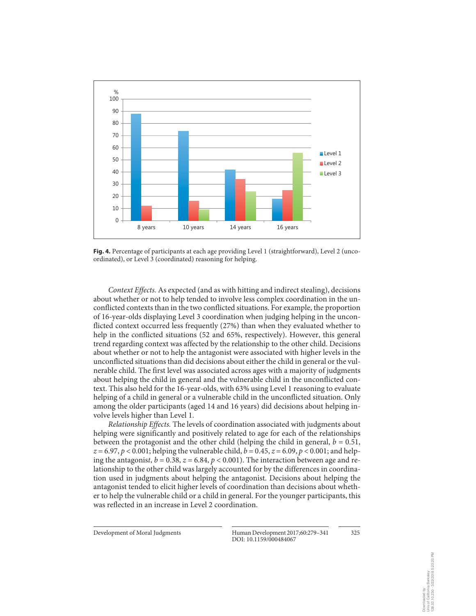

Fig. 4. Percentage of participants at each age providing Level 1 (straightforward), Level 2 (uncoordinated), or Level 3 (coordinated) reasoning for helping.

*Context Effects.* As expected (and as with hitting and indirect stealing), decisions about whether or not to help tended to involve less complex coordination in the unconflicted contexts than in the two conflicted situations. For example, the proportion of 16-year-olds displaying Level 3 coordination when judging helping in the unconflicted context occurred less frequently (27%) than when they evaluated whether to help in the conflicted situations (52 and 65%, respectively). However, this general trend regarding context was affected by the relationship to the other child. Decisions about whether or not to help the antagonist were associated with higher levels in the unconflicted situations than did decisions about either the child in general or the vulnerable child. The first level was associated across ages with a majority of judgments about helping the child in general and the vulnerable child in the unconflicted context. This also held for the 16-year-olds, with 63% using Level 1 reasoning to evaluate helping of a child in general or a vulnerable child in the unconflicted situation. Only among the older participants (aged 14 and 16 years) did decisions about helping involve levels higher than Level 1.

*Relationship Effects.* The levels of coordination associated with judgments about helping were significantly and positively related to age for each of the relationships between the protagonist and the other child (helping the child in general,  $b = 0.51$ ,  $z = 6.97, p < 0.001$ ; helping the vulnerable child,  $b = 0.45, z = 6.09, p < 0.001$ ; and helping the antagonist,  $b = 0.38$ ,  $z = 6.84$ ,  $p < 0.001$ ). The interaction between age and relationship to the other child was largely accounted for by the differences in coordination used in judgments about helping the antagonist. Decisions about helping the antagonist tended to elicit higher levels of coordination than decisions about whether to help the vulnerable child or a child in general. For the younger participants, this was reflected in an increase in Level 2 coordination.

 Development of Moral Judgments Human Development 2017;60:279–341 325 DOI: 10.1159/000484067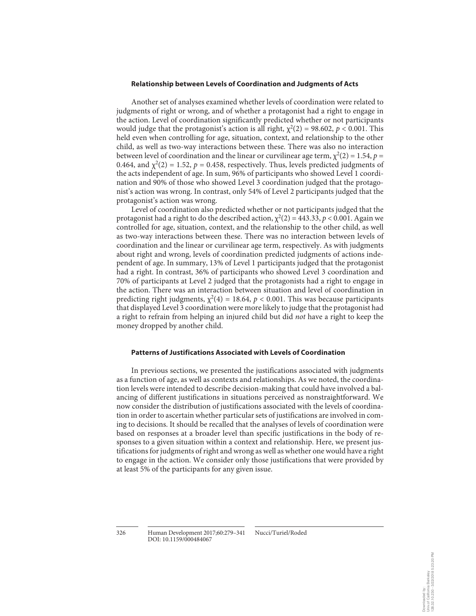#### **Relationship between Levels of Coordination and Judgments of Acts**

 Another set of analyses examined whether levels of coordination were related to judgments of right or wrong, and of whether a protagonist had a right to engage in the action. Level of coordination significantly predicted whether or not participants would judge that the protagonist's action is all right,  $\chi^2(2) = 98.602$ ,  $p < 0.001$ . This held even when controlling for age, situation, context, and relationship to the other child, as well as two-way interactions between these. There was also no interaction between level of coordination and the linear or curvilinear age term,  $\chi^2(2) = 1.54$ ,  $p =$ 0.464, and  $\chi^2(2) = 1.52$ ,  $p = 0.458$ , respectively. Thus, levels predicted judgments of the acts independent of age. In sum, 96% of participants who showed Level 1 coordination and 90% of those who showed Level 3 coordination judged that the protagonist's action was wrong. In contrast, only 54% of Level 2 participants judged that the protagonist's action was wrong.

 Level of coordination also predicted whether or not participants judged that the protagonist had a right to do the described action,  $\chi^2(2) = 443.33$ ,  $p < 0.001$ . Again we controlled for age, situation, context, and the relationship to the other child, as well as two-way interactions between these. There was no interaction between levels of coordination and the linear or curvilinear age term, respectively. As with judgments about right and wrong, levels of coordination predicted judgments of actions independent of age. In summary, 13% of Level 1 participants judged that the protagonist had a right. In contrast, 36% of participants who showed Level 3 coordination and 70% of participants at Level 2 judged that the protagonists had a right to engage in the action. There was an interaction between situation and level of coordination in predicting right judgments,  $\chi^2(4) = 18.64$ ,  $p < 0.001$ . This was because participants that displayed Level 3 coordination were more likely to judge that the protagonist had a right to refrain from helping an injured child but did *not* have a right to keep the money dropped by another child.

#### **Patterns of Justifications Associated with Levels of Coordination**

 In previous sections, we presented the justifications associated with judgments as a function of age, as well as contexts and relationships. As we noted, the coordination levels were intended to describe decision-making that could have involved a balancing of different justifications in situations perceived as nonstraightforward. We now consider the distribution of justifications associated with the levels of coordination in order to ascertain whether particular sets of justifications are involved in coming to decisions. It should be recalled that the analyses of levels of coordination were based on responses at a broader level than specific justifications in the body of responses to a given situation within a context and relationship. Here, we present justifications for judgments of right and wrong as well as whether one would have a right to engage in the action. We consider only those justifications that were provided by at least 5% of the participants for any given issue.

Human Development 2017;60:279–341 326 Nucci/Turiel/Roded DOI: 10.1159/000484067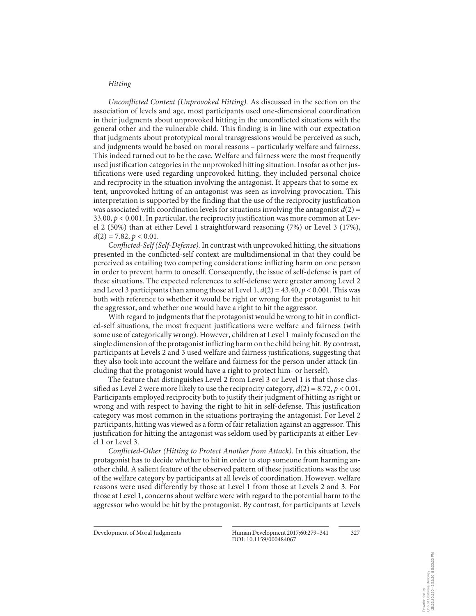#### *Hitting*

*Unconflicted Context (Unprovoked Hitting).* As discussed in the section on the association of levels and age, most participants used one-dimensional coordination in their judgments about unprovoked hitting in the unconflicted situations with the general other and the vulnerable child. This finding is in line with our expectation that judgments about prototypical moral transgressions would be perceived as such, and judgments would be based on moral reasons – particularly welfare and fairness. This indeed turned out to be the case. Welfare and fairness were the most frequently used justification categories in the unprovoked hitting situation. Insofar as other justifications were used regarding unprovoked hitting, they included personal choice and reciprocity in the situation involving the antagonist. It appears that to some extent, unprovoked hitting of an antagonist was seen as involving provocation. This interpretation is supported by the finding that the use of the reciprocity justification was associated with coordination levels for situations involving the antagonist  $d(2)$  = 33.00,  $p < 0.001$ . In particular, the reciprocity justification was more common at Level 2 (50%) than at either Level 1 straightforward reasoning (7%) or Level 3 (17%),  $d(2) = 7.82, p < 0.01.$ 

*Conflicted-Self (Self-Defense).* In contrast with unprovoked hitting, the situations presented in the conflicted-self context are multidimensional in that they could be perceived as entailing two competing considerations: inflicting harm on one person in order to prevent harm to oneself. Consequently, the issue of self-defense is part of these situations. The expected references to self-defense were greater among Level 2 and Level 3 participants than among those at Level 1,  $d(2) = 43.40$ ,  $p < 0.001$ . This was both with reference to whether it would be right or wrong for the protagonist to hit the aggressor, and whether one would have a right to hit the aggressor.

 With regard to judgments that the protagonist would be wrong to hit in conflicted-self situations, the most frequent justifications were welfare and fairness (with some use of categorically wrong). However, children at Level 1 mainly focused on the single dimension of the protagonist inflicting harm on the child being hit. By contrast, participants at Levels 2 and 3 used welfare and fairness justifications, suggesting that they also took into account the welfare and fairness for the person under attack (including that the protagonist would have a right to protect him- or herself).

 The feature that distinguishes Level 2 from Level 3 or Level 1 is that those classified as Level 2 were more likely to use the reciprocity category,  $d(2) = 8.72$ ,  $p < 0.01$ . Participants employed reciprocity both to justify their judgment of hitting as right or wrong and with respect to having the right to hit in self-defense. This justification category was most common in the situations portraying the antagonist *.* For Level 2 participants, hitting was viewed as a form of fair retaliation against an aggressor. This justification for hitting the antagonist was seldom used by participants at either Level 1 or Level 3.

*Conflicted-Other (Hitting to Protect Another from Attack).* In this situation, the protagonist has to decide whether to hit in order to stop someone from harming another child. A salient feature of the observed pattern of these justifications was the use of the welfare category by participants at all levels of coordination. However, welfare reasons were used differently by those at Level 1 from those at Levels 2 and 3. For those at Level 1, concerns about welfare were with regard to the potential harm to the aggressor who would be hit by the protagonist. By contrast, for participants at Levels

 Development of Moral Judgments Human Development 2017;60:279–341 327 DOI: 10.1159/000484067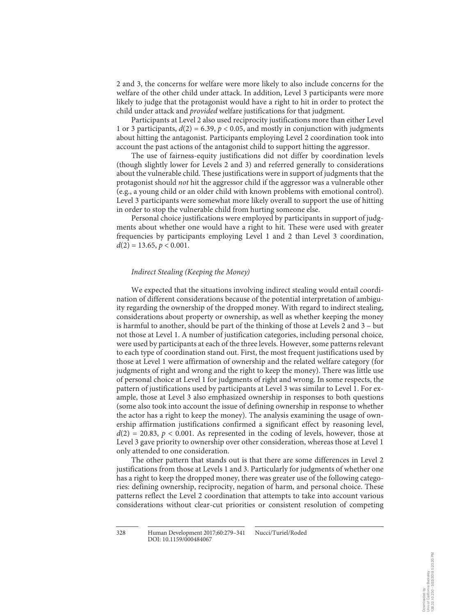2 and 3, the concerns for welfare were more likely to also include concerns for the welfare of the other child under attack. In addition, Level 3 participants were more likely to judge that the protagonist would have a right to hit in order to protect the child under attack and *provided* welfare justifications for that judgment.

 Participants at Level 2 also used reciprocity justifications more than either Level 1 or 3 participants,  $d(2) = 6.39$ ,  $p < 0.05$ , and mostly in conjunction with judgments about hitting the antagonist. Participants employing Level 2 coordination took into account the past actions of the antagonist child to support hitting the aggressor.

 The use of fairness-equity justifications did not differ by coordination levels (though slightly lower for Levels 2 and 3) and referred generally to considerations about the vulnerable child. These justifications were in support of judgments that the protagonist should *not* hit the aggressor child if the aggressor was a vulnerable other (e.g., a young child or an older child with known problems with emotional control). Level 3 participants were somewhat more likely overall to support the use of hitting in order to stop the vulnerable child from hurting someone else.

 Personal choice justifications were employed by participants in support of judgments about whether one would have a right to hit. These were used with greater frequencies by participants employing Level 1 and 2 than Level 3 coordination,  $d(2) = 13.65, p < 0.001.$ 

#### *Indirect Stealing (Keeping the Money)*

 We expected that the situations involving indirect stealing would entail coordination of different considerations because of the potential interpretation of ambiguity regarding the ownership of the dropped money. With regard to indirect stealing, considerations about property or ownership, as well as whether keeping the money is harmful to another, should be part of the thinking of those at Levels 2 and 3 – but not those at Level 1. A number of justification categories, including personal choice *,* were used by participants at each of the three levels. However, some patterns relevant to each type of coordination stand out. First, the most frequent justifications used by those at Level 1 were affirmation of ownership and the related welfare category (for judgments of right and wrong and the right to keep the money). There was little use of personal choice at Level 1 for judgments of right and wrong. In some respects, the pattern of justifications used by participants at Level 3 was similar to Level 1. For example, those at Level 3 also emphasized ownership in responses to both questions (some also took into account the issue of defining ownership in response to whether the actor has a right to keep the money). The analysis examining the usage of ownership affirmation justifications confirmed a significant effect by reasoning level,  $d(2) = 20.83$ ,  $p < 0.001$ . As represented in the coding of levels, however, those at Level 3 gave priority to ownership over other consideration, whereas those at Level 1 only attended to one consideration.

 The other pattern that stands out is that there are some differences in Level 2 justifications from those at Levels 1 and 3. Particularly for judgments of whether one has a right to keep the dropped money, there was greater use of the following categories: defining ownership, reciprocity, negation of harm, and personal choice. These patterns reflect the Level 2 coordination that attempts to take into account various considerations without clear-cut priorities or consistent resolution of competing

 Human Development 2017;60:279–341 328 Nucci/Turiel/Roded DOI: 10.1159/000484067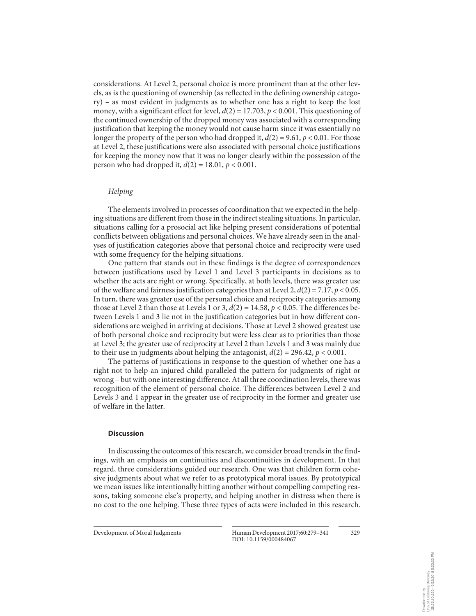considerations. At Level 2, personal choice is more prominent than at the other levels, as is the questioning of ownership (as reflected in the defining ownership category) – as most evident in judgments as to whether one has a right to keep the lost money, with a significant effect for level,  $d(2) = 17.703$ ,  $p < 0.001$ . This questioning of the continued ownership of the dropped money was associated with a corresponding justification that keeping the money would not cause harm since it was essentially no longer the property of the person who had dropped it,  $d(2) = 9.61$ ,  $p < 0.01$ . For those at Level 2, these justifications were also associated with personal choice justifications for keeping the money now that it was no longer clearly within the possession of the person who had dropped it,  $d(2) = 18.01$ ,  $p < 0.001$ .

## *Helping*

 The elements involved in processes of coordination that we expected in the helping situations are different from those in the indirect stealing situations. In particular, situations calling for a prosocial act like helping present considerations of potential conflicts between obligations and personal choices. We have already seen in the analyses of justification categories above that personal choice and reciprocity were used with some frequency for the helping situations.

 One pattern that stands out in these findings is the degree of correspondences between justifications used by Level 1 and Level 3 participants in decisions as to whether the acts are right or wrong. Specifically, at both levels, there was greater use of the welfare and fairness justification categories than at Level 2,  $d(2) = 7.17$ ,  $p < 0.05$ . In turn, there was greater use of the personal choice and reciprocity categories among those at Level 2 than those at Levels 1 or 3,  $d(2) = 14.58$ ,  $p < 0.05$ . The differences between Levels 1 and 3 lie not in the justification categories but in how different considerations are weighed in arriving at decisions. Those at Level 2 showed greatest use of both personal choice and reciprocity but were less clear as to priorities than those at Level 3; the greater use of reciprocity at Level 2 than Levels 1 and 3 was mainly due to their use in judgments about helping the antagonist,  $d(2) = 296.42$ ,  $p < 0.001$ .

 The patterns of justifications in response to the question of whether one has a right not to help an injured child paralleled the pattern for judgments of right or wrong – but with one interesting difference. At all three coordination levels, there was recognition of the element of personal choice *.* The differences between Level 2 and Levels 3 and 1 appear in the greater use of reciprocity in the former and greater use of welfare in the latter.

#### **Discussion**

 In discussing the outcomes of this research, we consider broad trends in the findings, with an emphasis on continuities and discontinuities in development. In that regard, three considerations guided our research. One was that children form cohesive judgments about what we refer to as prototypical moral issues. By prototypical we mean issues like intentionally hitting another without compelling competing reasons, taking someone else's property, and helping another in distress when there is no cost to the one helping. These three types of acts were included in this research.

 Development of Moral Judgments Human Development 2017;60:279–341 329 DOI: 10.1159/000484067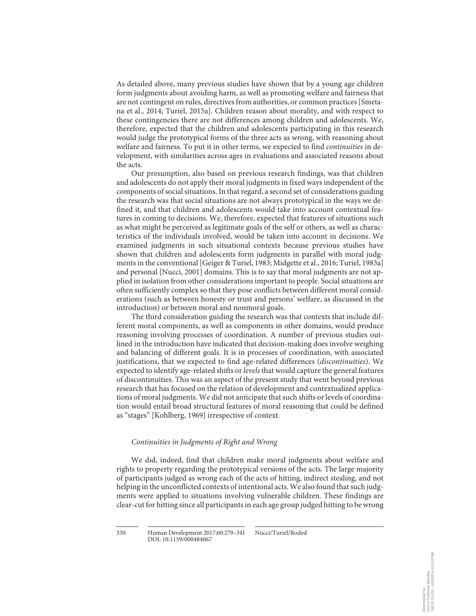As detailed above, many previous studies have shown that by a young age children form judgments about avoiding harm, as well as promoting welfare and fairness that are not contingent on rules, directives from authorities, or common practices [Smetana et al., 2014; Turiel, 2015a]. Children reason about morality, and with respect to these contingencies there are not differences among children and adolescents. We, therefore, expected that the children and adolescents participating in this research would judge the prototypical forms of the three acts as wrong, with reasoning about welfare and fairness. To put it in other terms, we expected to find *continuities* in development, with similarities across ages in evaluations and associated reasons about the acts.

 Our presumption, also based on previous research findings, was that children and adolescents do not apply their moral judgments in fixed ways independent of the components of social situations. In that regard, a second set of considerations guiding the research was that social situations are not always prototypical in the ways we defined it, and that children and adolescents would take into account contextual features in coming to decisions. We, therefore, expected that features of situations such as what might be perceived as legitimate goals of the self or others, as well as characteristics of the individuals involved, would be taken into account in decisions. We examined judgments in such situational contexts because previous studies have shown that children and adolescents form judgments in parallel with moral judgments in the conventional [Geiger & Turiel, 1983; Midgette et al., 2016; Turiel, 1983a] and personal [Nucci, 2001] domains. This is to say that moral judgments are not applied in isolation from other considerations important to people. Social situations are often sufficiently complex so that they pose conflicts between different moral considerations (such as between honesty or trust and persons' welfare, as discussed in the introduction) or between moral and nonmoral goals.

 The third consideration guiding the research was that contexts that include different moral components, as well as components in other domains, would produce reasoning involving processes of coordination. A number of previous studies outlined in the introduction have indicated that decision-making does involve weighing and balancing of different goals. It is in processes of coordination, with associated justifications, that we expected to find age-related differences (*discontinuities*). We expected to identify age-related shifts or *levels* that would capture the general features of discontinuities. This was an aspect of the present study that went beyond previous research that has focused on the relation of development and contextualized applications of moral judgments. We did not anticipate that such shifts or levels of coordination would entail broad structural features of moral reasoning that could be defined as "stages" [Kohlberg, 1969] irrespective of context.

#### *Continuities in Judgments of Right and Wrong*

 We did, indeed, find that children make moral judgments about welfare and rights to property regarding the prototypical versions of the acts. The large majority of participants judged as wrong each of the acts of hitting, indirect stealing, and not helping in the unconflicted contexts of intentional acts. We also found that such judgments were applied to situations involving vulnerable children. These findings are clear-cut for hitting since all participants in each age group judged hitting to be wrong

Human Development 2017;60:279–341 330 Nucci/Turiel/Roded DOI: 10.1159/000484067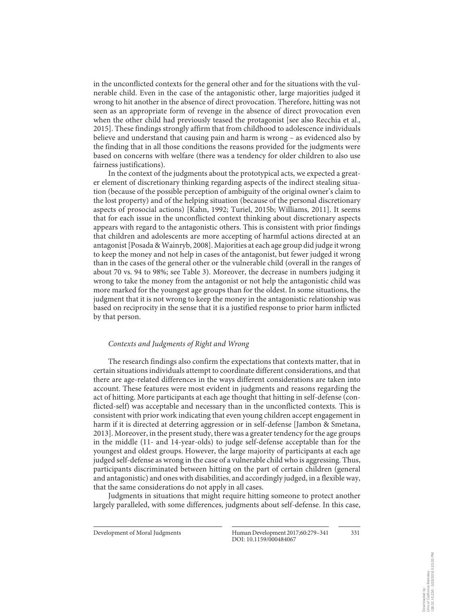in the unconflicted contexts for the general other and for the situations with the vulnerable child. Even in the case of the antagonistic other, large majorities judged it wrong to hit another in the absence of direct provocation. Therefore, hitting was not seen as an appropriate form of revenge in the absence of direct provocation even when the other child had previously teased the protagonist [see also Recchia et al., 2015]. These findings strongly affirm that from childhood to adolescence individuals believe and understand that causing pain and harm is wrong – as evidenced also by the finding that in all those conditions the reasons provided for the judgments were based on concerns with welfare (there was a tendency for older children to also use fairness justifications).

 In the context of the judgments about the prototypical acts, we expected a greater element of discretionary thinking regarding aspects of the indirect stealing situation (because of the possible perception of ambiguity of the original owner's claim to the lost property) and of the helping situation (because of the personal discretionary aspects of prosocial actions) [Kahn, 1992; Turiel, 2015b; Williams, 2011]. It seems that for each issue in the unconflicted context thinking about discretionary aspects appears with regard to the antagonistic others. This is consistent with prior findings that children and adolescents are more accepting of harmful actions directed at an antagonist [Posada & Wainryb, 2008]. Majorities at each age group did judge it wrong to keep the money and not help in cases of the antagonist, but fewer judged it wrong than in the cases of the general other or the vulnerable child (overall in the ranges of about 70 vs. 94 to 98%; see Table 3). Moreover, the decrease in numbers judging it wrong to take the money from the antagonist or not help the antagonistic child was more marked for the youngest age groups than for the oldest. In some situations, the judgment that it is not wrong to keep the money in the antagonistic relationship was based on reciprocity in the sense that it is a justified response to prior harm inflicted by that person.

## *Contexts and Judgments of Right and Wrong*

 The research findings also confirm the expectations that contexts matter, that in certain situations individuals attempt to coordinate different considerations, and that there are age-related differences in the ways different considerations are taken into account. These features were most evident in judgments and reasons regarding the act of hitting. More participants at each age thought that hitting in self-defense (conflicted-self) was acceptable and necessary than in the unconflicted contexts. This is consistent with prior work indicating that even young children accept engagement in harm if it is directed at deterring aggression or in self-defense [Jambon & Smetana, 2013]. Moreover, in the present study, there was a greater tendency for the age groups in the middle (11- and 14-year-olds) to judge self-defense acceptable than for the youngest and oldest groups. However, the large majority of participants at each age judged self-defense as wrong in the case of a vulnerable child who is aggressing. Thus, participants discriminated between hitting on the part of certain children (general and antagonistic) and ones with disabilities, and accordingly judged, in a flexible way, that the same considerations do not apply in all cases.

 Judgments in situations that might require hitting someone to protect another largely paralleled, with some differences, judgments about self-defense. In this case,

 Development of Moral Judgments Human Development 2017;60:279–341 331 DOI: 10.1159/000484067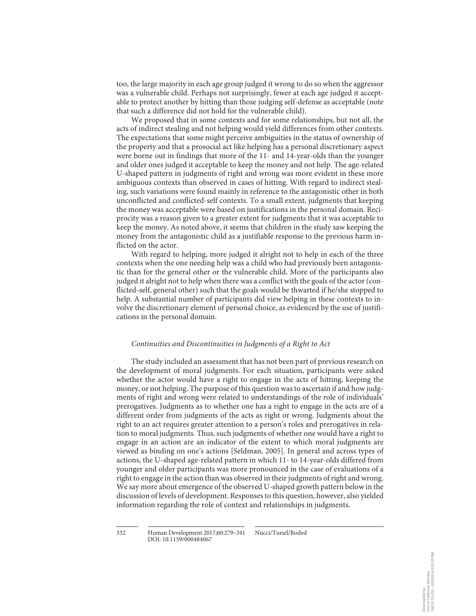too, the large majority in each age group judged it wrong to do so when the aggressor was a vulnerable child. Perhaps not surprisingly, fewer at each age judged it acceptable to protect another by hitting than those judging self-defense as acceptable (note that such a difference did not hold for the vulnerable child).

 We proposed that in some contexts and for some relationships, but not all, the acts of indirect stealing and not helping would yield differences from other contexts. The expectations that some might perceive ambiguities in the status of ownership of the property and that a prosocial act like helping has a personal discretionary aspect were borne out in findings that more of the 11- and 14-year-olds than the younger and older ones judged it acceptable to keep the money and not help. The age-related U-shaped pattern in judgments of right and wrong was more evident in these more ambiguous contexts than observed in cases of hitting. With regard to indirect stealing, such variations were found mainly in reference to the antagonistic other in both unconflicted and conflicted-self contexts. To a small extent, judgments that keeping the money was acceptable were based on justifications in the personal domain. Reciprocity was a reason given to a greater extent for judgments that it was acceptable to keep the money. As noted above, it seems that children in the study saw keeping the money from the antagonistic child as a justifiable response to the previous harm inflicted on the actor.

 With regard to helping, more judged it alright not to help in each of the three contexts when the one needing help was a child who had previously been antagonistic than for the general other or the vulnerable child. More of the participants also judged it alright not to help when there was a conflict with the goals of the actor (conflicted-self, general other) such that the goals would be thwarted if he/she stopped to help. A substantial number of participants did view helping in these contexts to involve the discretionary element of personal choice, as evidenced by the use of justifications in the personal domain.

## *Continuities and Discontinuities in Judgments of a Right to Act*

 The study included an assessment that has not been part of previous research on the development of moral judgments. For each situation, participants were asked whether the actor would have a right to engage in the acts of hitting, keeping the money, or not helping. The purpose of this question was to ascertain if and how judgments of right and wrong were related to understandings of the role of individuals' prerogatives. Judgments as to whether one has a right to engage in the acts are of a different order from judgments of the acts as right or wrong. Judgments about the right to an act requires greater attention to a person's roles and prerogatives in relation to moral judgments. Thus, such judgments of whether one would have a right to engage in an action are an indicator of the extent to which moral judgments are viewed as binding on one's actions [Seldman, 2005]. In general and across types of actions, the U-shaped age-related pattern in which 11- to 14-year-olds differed from younger and older participants was more pronounced in the case of evaluations of a right to engage in the action than was observed in their judgments of right and wrong. We say more about emergence of the observed U-shaped growth pattern below in the discussion of levels of development. Responses to this question, however, also yielded information regarding the role of context and relationships in judgments.

Human Development 2017;60:279–341 332 Nucci/Turiel/Roded DOI: 10.1159/000484067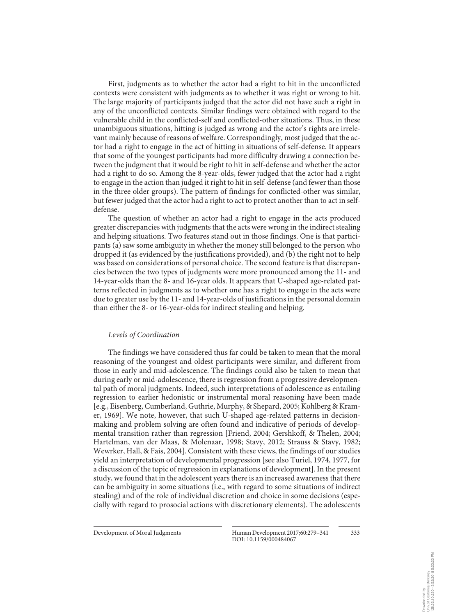First, judgments as to whether the actor had a right to hit in the unconflicted contexts were consistent with judgments as to whether it was right or wrong to hit. The large majority of participants judged that the actor did not have such a right in any of the unconflicted contexts. Similar findings were obtained with regard to the vulnerable child in the conflicted-self and conflicted-other situations. Thus, in these unambiguous situations, hitting is judged as wrong and the actor's rights are irrelevant mainly because of reasons of welfare. Correspondingly, most judged that the actor had a right to engage in the act of hitting in situations of self-defense. It appears that some of the youngest participants had more difficulty drawing a connection between the judgment that it would be right to hit in self-defense and whether the actor had a right to do so. Among the 8-year-olds, fewer judged that the actor had a right to engage in the action than judged it right to hit in self-defense (and fewer than those in the three older groups). The pattern of findings for conflicted-other was similar, but fewer judged that the actor had a right to act to protect another than to act in selfdefense.

 The question of whether an actor had a right to engage in the acts produced greater discrepancies with judgments that the acts were wrong in the indirect stealing and helping situations. Two features stand out in those findings. One is that participants (a) saw some ambiguity in whether the money still belonged to the person who dropped it (as evidenced by the justifications provided), and (b) the right not to help was based on considerations of personal choice. The second feature is that discrepancies between the two types of judgments were more pronounced among the 11- and 14-year-olds than the 8- and 16-year olds. It appears that U-shaped age-related patterns reflected in judgments as to whether one has a right to engage in the acts were due to greater use by the 11- and 14-year-olds of justifications in the personal domain than either the 8- or 16-year-olds for indirect stealing and helping.

#### *Levels of Coordination*

 The findings we have considered thus far could be taken to mean that the moral reasoning of the youngest and oldest participants were similar, and different from those in early and mid-adolescence. The findings could also be taken to mean that during early or mid-adolescence, there is regression from a progressive developmental path of moral judgments. Indeed, such interpretations of adolescence as entailing regression to earlier hedonistic or instrumental moral reasoning have been made [e.g., Eisenberg, Cumberland, Guthrie, Murphy, & Shepard, 2005; Kohlberg & Kramer, 1969]. We note, however, that such U-shaped age-related patterns in decisionmaking and problem solving are often found and indicative of periods of developmental transition rather than regression [Friend, 2004; Gershkoff, & Thelen, 2004; Hartelman, van der Maas, & Molenaar, 1998; Stavy, 2012; Strauss & Stavy, 1982; Wewrker, Hall, & Fais, 2004]. Consistent with these views, the findings of our studies yield an interpretation of developmental progression [see also Turiel, 1974, 1977, for a discussion of the topic of regression in explanations of development]. In the present study, we found that in the adolescent years there is an increased awareness that there can be ambiguity in some situations (i.e., with regard to some situations of indirect stealing) and of the role of individual discretion and choice in some decisions (especially with regard to prosocial actions with discretionary elements). The adolescents

 Development of Moral Judgments Human Development 2017;60:279–341 333 DOI: 10.1159/000484067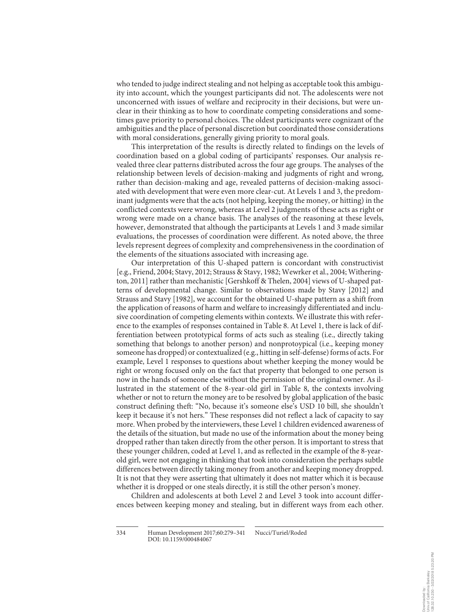who tended to judge indirect stealing and not helping as acceptable took this ambiguity into account, which the youngest participants did not. The adolescents were not unconcerned with issues of welfare and reciprocity in their decisions, but were unclear in their thinking as to how to coordinate competing considerations and sometimes gave priority to personal choices. The oldest participants were cognizant of the ambiguities and the place of personal discretion but coordinated those considerations with moral considerations, generally giving priority to moral goals.

 This interpretation of the results is directly related to findings on the levels of coordination based on a global coding of participants' responses. Our analysis revealed three clear patterns distributed across the four age groups. The analyses of the relationship between levels of decision-making and judgments of right and wrong, rather than decision-making and age, revealed patterns of decision-making associated with development that were even more clear-cut. At Levels 1 and 3, the predominant judgments were that the acts (not helping, keeping the money, or hitting) in the conflicted contexts were wrong, whereas at Level 2 judgments of these acts as right or wrong were made on a chance basis. The analyses of the reasoning at these levels, however, demonstrated that although the participants at Levels 1 and 3 made similar evaluations, the processes of coordination were different. As noted above, the three levels represent degrees of complexity and comprehensiveness in the coordination of the elements of the situations associated with increasing age.

 Our interpretation of this U-shaped pattern is concordant with constructivist [e.g., Friend, 2004; Stavy, 2012; Strauss & Stavy, 1982; Wewrker et al., 2004; Witherington, 2011] rather than mechanistic [Gershkoff & Thelen, 2004] views of U-shaped patterns of developmental change. Similar to observations made by Stavy [2012] and Strauss and Stavy [1982], we account for the obtained U-shape pattern as a shift from the application of reasons of harm and welfare to increasingly differentiated and inclusive coordination of competing elements within contexts. We illustrate this with reference to the examples of responses contained in Table 8 . At Level 1, there is lack of differentiation between prototypical forms of acts such as stealing (i.e., directly taking something that belongs to another person) and nonprotoypical (i.e., keeping money someone has dropped) or contextualized (e.g., hitting in self-defense) forms of acts. For example, Level 1 responses to questions about whether keeping the money would be right or wrong focused only on the fact that property that belonged to one person is now in the hands of someone else without the permission of the original owner. As illustrated in the statement of the 8-year-old girl in Table 8 , the contexts involving whether or not to return the money are to be resolved by global application of the basic construct defining theft: "No, because it's someone else's USD 10 bill, she shouldn't keep it because it's not hers." These responses did not reflect a lack of capacity to say more. When probed by the interviewers, these Level 1 children evidenced awareness of the details of the situation, but made no use of the information about the money being dropped rather than taken directly from the other person. It is important to stress that these younger children, coded at Level 1, and as reflected in the example of the 8-yearold girl, were not engaging in thinking that took into consideration the perhaps subtle differences between directly taking money from another and keeping money dropped. It is not that they were asserting that ultimately it does not matter which it is because whether it is dropped or one steals directly, it is still the other person's money.

 Children and adolescents at both Level 2 and Level 3 took into account differences between keeping money and stealing, but in different ways from each other.

Human Development 2017;60:279–341 334 Nucci/Turiel/Roded DOI: 10.1159/000484067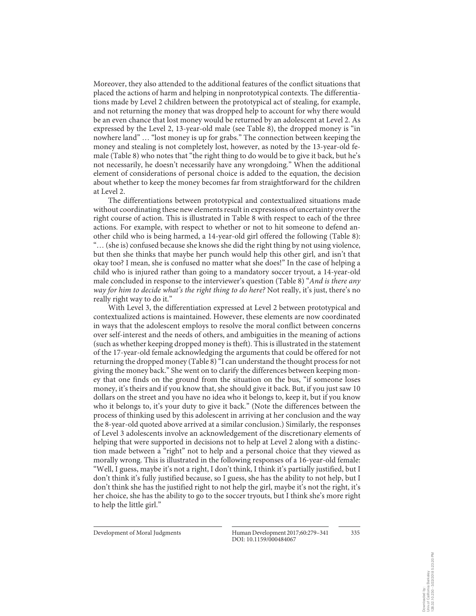Moreover, they also attended to the additional features of the conflict situations that placed the actions of harm and helping in nonprototypical contexts. The differentiations made by Level 2 children between the prototypical act of stealing, for example, and not returning the money that was dropped help to account for why there would be an even chance that lost money would be returned by an adolescent at Level 2. As expressed by the Level 2, 13-year-old male (see Table 8), the dropped money is "in nowhere land" … "lost money is up for grabs." The connection between keeping the money and stealing is not completely lost, however, as noted by the 13-year-old female (Table 8) who notes that "the right thing to do would be to give it back, but he's not necessarily, he doesn't necessarily have any wrongdoing." When the additional element of considerations of personal choice is added to the equation, the decision about whether to keep the money becomes far from straightforward for the children at Level 2.

 The differentiations between prototypical and contextualized situations made without coordinating these new elements result in expressions of uncertainty over the right course of action. This is illustrated in Table 8 with respect to each of the three actions. For example, with respect to whether or not to hit someone to defend another child who is being harmed, a 14-year-old girl offered the following (Table 8): "… (she is) confused because she knows she did the right thing by not using violence, but then she thinks that maybe her punch would help this other girl, and isn't that okay too? I mean, she is confused no matter what she does!" In the case of helping a child who is injured rather than going to a mandatory soccer tryout, a 14-year-old male concluded in response to the interviewer's question ( Table 8 ) " *And is there any way for him to decide what's the right thing to do here?* Not really, it's just, there's no really right way to do it."

 With Level 3, the differentiation expressed at Level 2 between prototypical and contextualized actions is maintained. However, these elements are now coordinated in ways that the adolescent employs to resolve the moral conflict between concerns over self-interest and the needs of others, and ambiguities in the meaning of actions (such as whether keeping dropped money is theft). This is illustrated in the statement of the 17-year-old female acknowledging the arguments that could be offered for not returning the dropped money (Table 8) "I can understand the thought process for not giving the money back." She went on to clarify the differences between keeping money that one finds on the ground from the situation on the bus, "if someone loses money, it's theirs and if you know that, she should give it back. But, if you just saw 10 dollars on the street and you have no idea who it belongs to, keep it, but if you know who it belongs to, it's your duty to give it back." (Note the differences between the process of thinking used by this adolescent in arriving at her conclusion and the way the 8-year-old quoted above arrived at a similar conclusion.) Similarly, the responses of Level 3 adolescents involve an acknowledgement of the discretionary elements of helping that were supported in decisions not to help at Level 2 along with a distinction made between a "right" not to help and a personal choice that they viewed as morally wrong. This is illustrated in the following responses of a 16-year-old female: "Well, I guess, maybe it's not a right, I don't think, I think it's partially justified, but I don't think it's fully justified because, so I guess, she has the ability to not help, but I don't think she has the justified right to not help the girl, maybe it's not the right, it's her choice, she has the ability to go to the soccer tryouts, but I think she's more right to help the little girl."

 Development of Moral Judgments Human Development 2017;60:279–341 335 DOI: 10.1159/000484067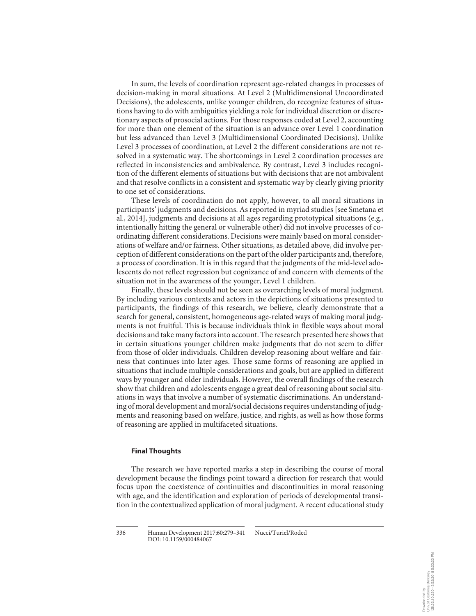In sum, the levels of coordination represent age-related changes in processes of decision-making in moral situations. At Level 2 (Multidimensional Uncoordinated Decisions), the adolescents, unlike younger children, do recognize features of situations having to do with ambiguities yielding a role for individual discretion or discretionary aspects of prosocial actions. For those responses coded at Level 2, accounting for more than one element of the situation is an advance over Level 1 coordination but less advanced than Level 3 (Multidimensional Coordinated Decisions). Unlike Level 3 processes of coordination, at Level 2 the different considerations are not resolved in a systematic way. The shortcomings in Level 2 coordination processes are reflected in inconsistencies and ambivalence. By contrast, Level 3 includes recognition of the different elements of situations but with decisions that are not ambivalent and that resolve conflicts in a consistent and systematic way by clearly giving priority to one set of considerations.

 These levels of coordination do not apply, however, to all moral situations in participants' judgments and decisions. As reported in myriad studies [see Smetana et al., 2014], judgments and decisions at all ages regarding prototypical situations (e.g., intentionally hitting the general or vulnerable other) did not involve processes of coordinating different considerations. Decisions were mainly based on moral considerations of welfare and/or fairness. Other situations, as detailed above, did involve perception of different considerations on the part of the older participants and, therefore, a process of coordination. It is in this regard that the judgments of the mid-level adolescents do not reflect regression but cognizance of and concern with elements of the situation not in the awareness of the younger, Level 1 children.

 Finally, these levels should not be seen as overarching levels of moral judgment. By including various contexts and actors in the depictions of situations presented to participants, the findings of this research, we believe, clearly demonstrate that a search for general, consistent, homogeneous age-related ways of making moral judgments is not fruitful. This is because individuals think in flexible ways about moral decisions and take many factors into account. The research presented here shows that in certain situations younger children make judgments that do not seem to differ from those of older individuals. Children develop reasoning about welfare and fairness that continues into later ages. Those same forms of reasoning are applied in situations that include multiple considerations and goals, but are applied in different ways by younger and older individuals. However, the overall findings of the research show that children and adolescents engage a great deal of reasoning about social situations in ways that involve a number of systematic discriminations. An understanding of moral development and moral/social decisions requires understanding of judgments and reasoning based on welfare, justice, and rights, as well as how those forms of reasoning are applied in multifaceted situations.

#### **Final Thoughts**

 The research we have reported marks a step in describing the course of moral development because the findings point toward a direction for research that would focus upon the coexistence of continuities and discontinuities in moral reasoning with age, and the identification and exploration of periods of developmental transition in the contextualized application of moral judgment. A recent educational study

 Human Development 2017;60:279–341 336 Nucci/Turiel/Roded DOI: 10.1159/000484067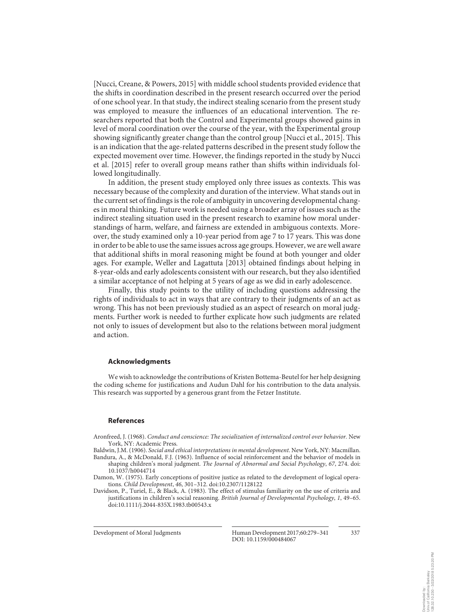[Nucci, Creane, & Powers, 2015] with middle school students provided evidence that the shifts in coordination described in the present research occurred over the period of one school year. In that study, the indirect stealing scenario from the present study was employed to measure the influences of an educational intervention. The researchers reported that both the Control and Experimental groups showed gains in level of moral coordination over the course of the year, with the Experimental group showing significantly greater change than the control group [Nucci et al., 2015]. This is an indication that the age-related patterns described in the present study follow the expected movement over time. However, the findings reported in the study by Nucci et al. [2015] refer to overall group means rather than shifts within individuals followed longitudinally.

 In addition, the present study employed only three issues as contexts. This was necessary because of the complexity and duration of the interview. What stands out in the current set of findings is the role of ambiguity in uncovering developmental changes in moral thinking. Future work is needed using a broader array of issues such as the indirect stealing situation used in the present research to examine how moral understandings of harm, welfare, and fairness are extended in ambiguous contexts. Moreover, the study examined only a 10-year period from age 7 to 17 years. This was done in order to be able to use the same issues across age groups. However, we are well aware that additional shifts in moral reasoning might be found at both younger and older ages. For example, Weller and Lagattuta [2013] obtained findings about helping in 8-year-olds and early adolescents consistent with our research, but they also identified a similar acceptance of not helping at 5 years of age as we did in early adolescence.

 Finally, this study points to the utility of including questions addressing the rights of individuals to act in ways that are contrary to their judgments of an act as wrong. This has not been previously studied as an aspect of research on moral judgments. Further work is needed to further explicate how such judgments are related not only to issues of development but also to the relations between moral judgment and action.

#### **Acknowledgments**

 We wish to acknowledge the contributions of Kristen Bottema-Beutel for her help designing the coding scheme for justifications and Audun Dahl for his contribution to the data analysis. This research was supported by a generous grant from the Fetzer Institute.

#### **References**

 Aronfreed, J. (1968). *Conduct and conscience: The socialization of internalized control over behavior.* New York, NY: Academic Press.

- Baldwin, J.M. (1906). *Social and ethical interpretations in mental development* . New York, NY: Macmillan. Bandura, A., & McDonald, F.J. (1963). Influence of social reinforcement and the behavior of models in shaping children's moral judgment. *The Journal of Abnormal and Social Psychology*, 67, 274. doi: 10.1037/h0044714
- Damon, W. (1975). Early conceptions of positive justice as related to the development of logical operations. *Child Development* , *46* , 301–312. doi:10.2307/1128122

 Davidson, P., Turiel, E., & Black, A. (1983). The effect of stimulus familiarity on the use of criteria and justifications in children's social reasoning. *British Journal of Developmental Psychology* , *1* , 49–65. doi:10.1111/j.2044-835X.1983.tb00543.x

 Development of Moral Judgments Human Development 2017;60:279–341 337 DOI: 10.1159/000484067

Jniv.of California Berkeley<br>28.32.10.230 - 3/22/2018 5:23:20 PM 128.32.10.230 - 3/22/2018 5:23:20 PMUniv.of California Berkeley Downloaded by: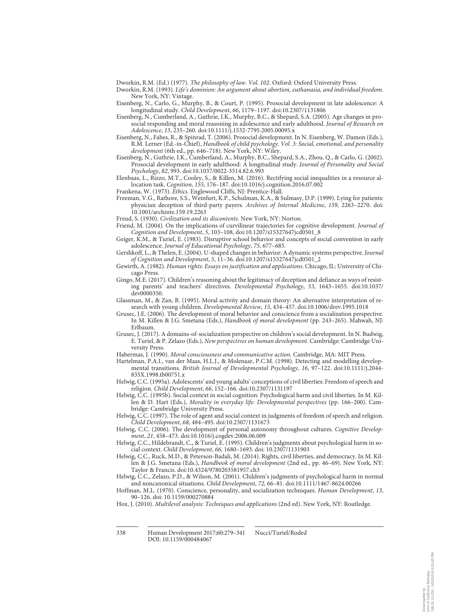Dworkin, R.M. (Ed.) (1977). *The philosophy of law. Vol. 102* . Oxford: Oxford University Press.

 Dworkin, R.M. (1993). *Life's dominion: An argument about abortion, euthanasia, and individual freedom* . New York, NY: Vintage.

 Eisenberg, N., Carlo, G., Murphy, B., & Court, P. (1995). Prosocial development in late adolescence: A longitudinal study. *Child Development* , *66* , 1179–1197. doi:10.2307/1131806

- Eisenberg, N., Cumberland, A., Guthrie, I.K., Murphy, B.C., & Shepard, S.A. (2005). Age changes in prosocial responding and moral reasoning in adolescence and early adulthood. *Journal of Research on Adolescence* , *15* , 235–260. doi:10.1111/j.1532-7795.2005.00095.x
- Eisenberg, N., Fabes, R., & Spinrad, T. (2006). Prosocial development. In N. Eisenberg, W. Damon (Eds.), R.M. Lerner (Ed.-in-Chief), *Handbook of child psychology* . *Vol. 3: Social, emotional, and personality development* (6th ed., pp. 646–718). New York, NY: Wiley.
- Eisenberg, N., Guthrie, I.K., Cumberland, A., Murphy, B.C., Shepard, S.A., Zhou, Q., & Carlo, G. (2002). Prosocial development in early adulthood: A longitudinal study. *Journal of Personality and Social Psychology* , *82* , 993. doi:10.1037/0022-3514.82.6.993
- Elenbaas, L., Rizzo, M.T., Cooley, S., & Killen, M. (2016). Rectifying social inequalities in a resource allocation task. *Cognition* , *155* , 176–187. doi:10.1016/j.cognition.2016.07.002
- Frankena, W. (1973). *Ethics.* Englewood Cliffs, NJ: Prentice-Hall.
- Freeman, V.G., Rathore, S.S., Weinfurt, K.P., Schulman, K.A., & Sulmasy, D.P. (1999). Lying for patients: physician deception of third-party payers. Archives of Internal Medicine, 159, 2263-2270. doi: 10.1001/archinte.159.19.2263

Freud, S. (1930). *Civilization and its discontents* . New York, NY: Norton.

- Friend, M. (2004). On the implications of curvilinear trajectories for cognitive development. *Journal of Cognition and Development* , *5* , 103–108, doi:10.1207/s15327647jcd0501\_8
- Geiger, K.M., & Turiel, E. (1983). Disruptive school behavior and concepts of social convention in early adolescence. *Journal of Educational Psychology*, *75*, 677–685.
- Gershkoff, L., & Thelen, E. (2004). U-shaped changes in behavior: A dynamic systems perspective. *Journal of Cognition and Development* , *5* , 11–36. doi:10.1207/s15327647jcd0501\_2
- Gewirth, A. (1982). *Human rights: Essays on justification and applications* . Chicago, IL: University of Chicago Press.
- Gingo, M.E. (2017). Children's reasoning about the legitimacy of deception and defiance as ways of resisting parents' and teachers' directives. *Developmental Psychology*, *53*, 1643–1655. doi:10.1037/ dev0000350.
- Glassman, M., & Zan, B. (1995). Moral activity and domain theory: An alternative interpretation of research with young children. *Developmental Review* , *15* , 434–457. doi:10.1006/drev.1995.1018
- Grusec, J.E. (2006). The development of moral behavior and conscience from a socialization perspective. In M. Killen & J.G. Smetana (Eds.), *Handbook of moral development* (pp. 243–265). Mahwah, NJ: Erlbaum.
- Grusec, J. (2017). A domains-of-socialization perspective on children's social development. In N. Budwig, E. Turiel, & P. Zelazo (Eds.), *New perspectives on human development* . Cambridge: Cambridge University Press.
- Habermas, J. (1990). *Moral consciousness and communicative action.* Cambridge, MA: MIT Press.
- Hartelman, P.A.I., van der Maas, H.L.J., & Molenaar, P.C.M. (1998). Detecting and modelling developmental transitions. *British Journal of Developmental Psychology*, 16, 97-122. doi:10.1111/j.2044-835X.1998.tb00751.x
- Helwig, C.C. (1995a). Adolescents' and young adults' conceptions of civil liberties: Freedom of speech and religion. *Child Development* , *66* , 152–166. doi:10.2307/1131197
- Helwig, C.C. (1995b). Social context in social cognition: Psychological harm and civil liberties. In M. Killen & D. Hart (Eds.), *Morality in everyday life: Developmental perspectives* (pp. 166–200). Cambridge: Cambridge University Press.
- Helwig, C.C. (1997). The role of agent and social context in judgments of freedom of speech and religion. *Child Development* , *68* , 484–495. doi:10.2307/1131673
- Helwig, C.C. (2006). The development of personal autonomy throughout cultures. *Cognitive Development* , *21* , 458–473. doi:10.1016/j.cogdev.2006.06.009
- Helwig, C.C., Hildebrandt, C., & Turiel, E. (1995). Children's judgments about psychological harm in social context. *Child Development* , *66* , 1680–1693. doi: 10.2307/1131903
- Helwig, C.C., Ruck, M.D., & Peterson-Badali, M. (2014). Rights, civil liberties, and democracy. In M. Killen & J.G. Smetana (Eds.), *Handbook of moral development* (2nd ed., pp. 46–69). New York, NY: Taylor & Francis. doi:10.4324/9780203581957.ch3
- Helwig, C.C., Zelazo, P.D., & Wilson, M. (2001). Children's judgments of psychological harm in normal and noncanonical situations. *Child Development* , *72* , 66–81. doi:10.1111/1467-8624.00266
- Hoffman, M.L. (1970). Conscience, personality, and socialization techniques. *Human Development*, 13, 90–126. doi: 10.1159/000270884

Downloaded by:<br>Univ.of California Berkeley<br>128.32.10.230 - 3/22/2018 5:23:20 PM 128.32.10.230 - 3/22/2018 5:23:20 PMUniv.of California Berkeley Downloaded by:

Hox, J. (2010). *Multilevel analysis: Techniques and applications* (2nd ed). New York, NY: Routledge.

Human Development 2017;60:279–341 338 Nucci/Turiel/Roded DOI: 10.1159/000484067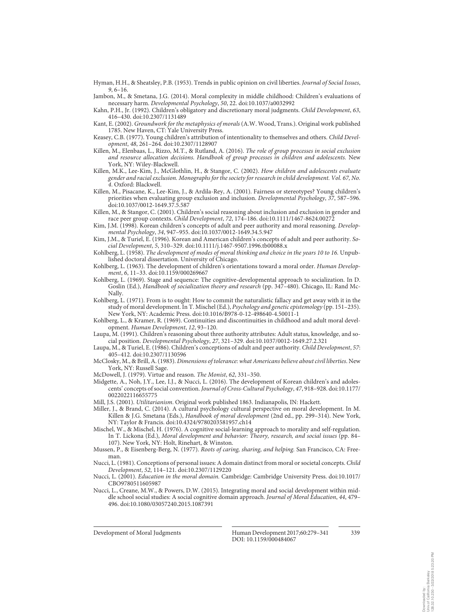- Hyman, H.H., & Sheatsley, P.B. (1953). Trends in public opinion on civil liberties. *Journal of Social Issues*, *9*, 6–16.
- Jambon, M., & Smetana, J.G. (2014). Moral complexity in middle childhood: Children's evaluations of necessary harm. *Developmental Psychology* , *50* , 22. doi:10.1037/a0032992
- Kahn, P.H., Jr. (1992). Children's obligatory and discretionary moral judgments. *Child Development* , *63* , 416–430. doi:10.2307/1131489
- Kant, E. (2002). *Groundwork for the metaphysics of morals* (A.W. Wood, Trans.). Original work published 1785. New Haven, CT: Yale University Press.
- Keasey, C.B. (1977). Young children's attribution of intentionality to themselves and others. *Child Development* , *48* , 261–264. doi:10.2307/1128907
- Killen, M., Elenbaas, L., Rizzo, M.T., & Rutland, A. (2016). *The role of group processes in social exclusion and resource allocation decisions. Handbook of group processes in children and adolescents.* New York, NY: Wiley-Blackwell.
- Killen, M.K., Lee-Kim, J., McGlothlin, H., & Stangor, C. (2002). *How children and adolescents evaluate gender and racial exclusion. Monographs for the society for research in child development. Vol. 67, No. 4* . Oxford: Blackwell.
- Killen, M., Pisacane, K., Lee-Kim, J., & Ardila-Rey, A. (2001). Fairness or stereotypes? Young children's priorities when evaluating group exclusion and inclusion. *Developmental Psychology* , *37* , 587–596. doi:10.1037/0012-1649.37.5.587
- Killen, M., & Stangor, C. (2001). Children's social reasoning about inclusion and exclusion in gender and race peer group contexts. *Child Development* , *72* , 174–186. doi:10.1111/1467-8624.00272
- Kim, J.M. (1998). Korean children's concepts of adult and peer authority and moral reasoning. *Developmental Psychology* , *34* , 947–955. doi:10.1037/0012-1649.34.5.947
- Kim, J.M., & Turiel, E. (1996). Korean and American children's concepts of adult and peer authority. *Social Development* , *5* , 310–329. doi:10.1111/j.1467-9507.1996.tb00088.x
- Kohlberg, L. (1958). *The development of modes of moral thinking and choice in the years 10 to 16.* Unpublished doctoral dissertation. University of Chicago.
- Kohlberg, L. (1963). The development of children's orientations toward a moral order. *Human Development* , *6* , 11–33. doi:10.1159/000269667
- Kohlberg, L. (1969). Stage and sequence: The cognitive-developmental approach to socialization. In D. Goslin (Ed.), *Handbook of socialization theory and research* (pp. 347–480). Chicago, IL: Rand Mc-Nally.
- Kohlberg, L. (1971). From is to ought: How to commit the naturalistic fallacy and get away with it in the study of moral development. In T. Mischel (Ed.), *Psychology and genetic epistemology* (pp. 151–235). New York, NY: Academic Press. doi:10.1016/B978-0-12-498640-4.50011-1
- Kohlberg, L., & Kramer, R. (1969). Continuities and discontinuities in childhood and adult moral development. *Human Development*, *12*, 93–120.
- Laupa, M. (1991). Children's reasoning about three authority attributes: Adult status, knowledge, and social position. *Developmental Psychology* , *27* , 321–329. doi:10.1037/0012-1649.27.2.321
- Laupa, M., & Turiel, E. (1986). Children's conceptions of adult and peer authority. *Child Development* , *57* : 405–412. doi:10.2307/1130596
- McClosky, M., & Brill, A. (1983). *Dimensions of tolerance*: *what Americans believe about civil liberties*. New York, NY: Russell Sage.
- McDowell, J. (1979). Virtue and reason. *The Monist*, *62*, 331–350.
- Midgette, A., Noh, J.Y., Lee, I.J., & Nucci, L. (2016). The development of Korean children's and adolescents' concepts of social convention. *Journal of Cross-Cultural Psychology* , *47* , 918–928. doi:10.1177/ 0022022116655775
- Mill, J.S. (2001). *Utilitarianism* . Original work published 1863. Indianapolis, IN: Hackett.
- Miller, J., & Brand, C. (2014). A cultural psychology cultural perspective on moral development. In M. Killen & J.G. Smetana (Eds.), *Handbook of moral development* (2nd ed., pp. 299–314). New York, NY: Taylor & Francis. doi:10.4324/9780203581957.ch14

 Mischel, W., & Mischel, H. (1976). A cognitive social-learning approach to morality and self-regulation. In T. Lickona (Ed.), *Moral development and behavior: Theory, research, and social issues* (pp. 84– 107). New York, NY: Holt, Rinehart, & Winston.

- Mussen, P., & Eisenberg-Berg, N. (1977). *Roots of caring, sharing, and helping.* San Francisco, CA: Freeman.
- Nucci, L. (1981). Conceptions of personal issues: A domain distinct from moral or societal concepts. *Child Development* , *52* , 114–121. doi:10.2307/1129220
- Nucci, L. (2001). *Education in the moral domain.* Cambridge: Cambridge University Press. doi:10.1017/ CBO9780511605987
- Nucci, L., Creane, M.W., & Powers, D.W. (2015). Integrating moral and social development within middle school social studies: A social cognitive domain approach. *Journal of Moral Education* , *44* , 479– 496. doi:10.1080/03057240.2015.1087391

 Development of Moral Judgments Human Development 2017;60:279–341 339 DOI: 10.1159/000484067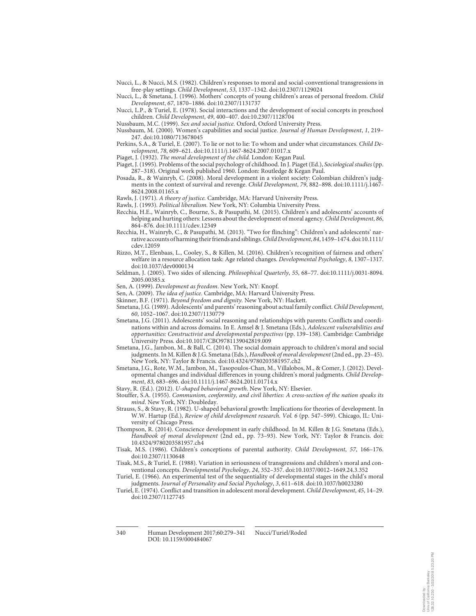- Nucci, L., & Nucci, M.S. (1982). Children's responses to moral and social-conventional transgressions in free-play settings. *Child Development* , *53* , 1337–1342. doi:10.2307/1129024
- Nucci, L., & Smetana, J. (1996). Mothers' concepts of young children's areas of personal freedom. *Child Development* , *67* , 1870–1886. doi:10.2307/1131737
- Nucci, L.P., & Turiel, E. (1978). Social interactions and the development of social concepts in preschool children. *Child Development* , *49* , 400–407. doi:10.2307/1128704
- Nussbaum, M.C. (1999). *Sex and social justice.* Oxford, Oxford University Press.
- Nussbaum, M. (2000). Women's capabilities and social justice. *Journal of Human Development*, 1, 219– 247. doi:10.1080/713678045
- Perkins, S.A., & Turiel, E. (2007). To lie or not to lie: To whom and under what circumstances. *Child Development* , *78* , 609–621. doi:10.1111/j.1467-8624.2007.01017.x
- Piaget, J. (1932). *The moral development of the child.* London: Kegan Paul.
- Piaget, J. (1995). Problems of the social psychology of childhood. In J. Piaget (Ed.), *Sociological studies* (pp. 287–318) *.* Original work published 1960. London: Routledge & Kegan Paul.
- Posada, R., & Wainryb, C. (2008). Moral development in a violent society: Colombian children's judgments in the context of survival and revenge. *Child Development* , *79* , 882–898. doi:10.1111/j.1467- 8624.2008.01165.x
- Rawls, J. (1971). *A theory of justice.* Cambridge, MA: Harvard University Press.
- Rawls, J. (1993). *Political liberalism.* New York, NY: Columbia University Press.
- Recchia, H.E., Wainryb, C., Bourne, S., & Pasupathi, M. (2015). Children's and adolescents' accounts of helping and hurting others: Lessons about the development of moral agency. *Child Development* , *86* , 864–876. doi:10.1111/cdev.12349
- Recchia, H., Wainryb, C., & Pasupathi, M. (2013). "Two for flinching": Children's and adolescents' narrative accounts of harming their friends and siblings. *Child Development* , *84* , 1459–1474. doi:10.1111/ cdev.12059
- Rizzo, M.T., Elenbaas, L., Cooley, S., & Killen, M. (2016). Children's recognition of fairness and others' welfare in a resource allocation task: Age related changes. *Developmental Psychology* , *8* , 1307–1317. doi:10.1037/dev0000134
- Seldman, J. (2005). Two sides of silencing. *Philosophical Quarterly* , *55* , 68–77. doi:10.1111/j.0031-8094. 2005.00385.x
- Sen, A. (1999). *Development as freedom* . New York, NY: Knopf.
- Sen, A. (2009). *The idea of justice* . Cambridge, MA: Harvard University Press.
- Skinner, B.F. (1971). *Beyond freedom and dignity.* New York, NY: Hackett.
- Smetana, J.G. (1989). Adolescents' and parents' reasoning about actual family conflict. *Child Development* , *60* , 1052–1067. doi:10.2307/1130779
- Smetana, J.G. (2011). Adolescents' social reasoning and relationships with parents: Conflicts and coordinations within and across domains. In E. Amsel & J. Smetana (Eds.), *Adolescent vulnerabilities and opportunities: Constructivist and developmental perspectives* (pp. 139–158). Cambridge: Cambridge University Press. doi:10.1017/CBO9781139042819.009
- Smetana, J.G., Jambon, M., & Ball, C. (2014). The social domain approach to children's moral and social judgments. In M. Killen & J.G. Smetana (Eds.), *Handbook of moral development* (2nd ed., pp. 23–45). New York, NY: Taylor & Francis. doi:10.4324/9780203581957.ch2
- Smetana, J.G., Rote, W.M., Jambon, M., Tasopoulos-Chan, M., Villalobos, M., & Comer, J. (2012). Developmental changes and individual differences in young children's moral judgments. *Child Development* , *83* , 683–696. doi:10.1111/j.1467-8624.2011.01714.x
- Stavy, R. (Ed.). (2012). *U-shaped behavioral growth* . New York, NY: Elsevier.
- Stouffer, S.A. (1955). *Communism, conformity, and civil liberties: A cross-section of the nation speaks its mind*. New York, NY: Doubleday.
- Strauss, S., & Stavy, R. (1982). U-shaped behavioral growth: Implications for theories of development. In W.W. Hartup (Ed.), *Review of child development research. Vol. 6* (pp. 547–599). Chicago, IL: University of Chicago Press.
- Thompson, R. (2014). Conscience development in early childhood. In M. Killen & J.G. Smetana (Eds.), *Handbook of moral development* (2nd ed., pp. 73–93). New York, NY: Taylor & Francis. doi: 10.4324/9780203581957.ch4
- Tisak, M.S. (1986). Children's conceptions of parental authority. *Child Development* , *57* , 166–176. doi:10.2307/1130648
- Tisak, M.S., & Turiel, E. (1988). Variation in seriousness of transgressions and children's moral and conventional concepts. *Developmental Psychology* , *24* , 352–357. doi:10.1037/0012–1649.24.3.352
- Turiel, E. (1966). An experimental test of the sequentiality of developmental stages in the child's moral judgments. *Journal of Personality and Social Psychology* , *3* , 611–618. doi:10.1037/h0023280

Downloaded by:<br>Univ.of California Berkeley<br>128.32.10.230 - 3/22/2018 5:23:20 PM 128.32.10.230 - 3/22/2018 5:23:20 PMUniv.of California Berkeley Downloaded by:

Turiel, E. (1974). Conflict and transition in adolescent moral development. *Child Development* , *45* , 14–29. doi:10.2307/1127745

Human Development 2017;60:279–341 340 Nucci/Turiel/Roded DOI: 10.1159/000484067